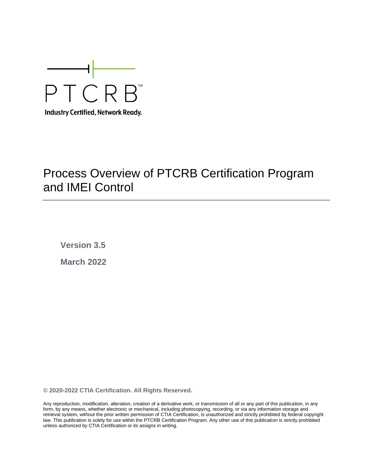

# Process Overview of PTCRB Certification Program and IMEI Control

**Version 3.5 March 2022**

**© 2020-2022 CTIA Certification. All Rights Reserved.**

Any reproduction, modification, alteration, creation of a derivative work, or transmission of all or any part of this publication, in any form, by any means, whether electronic or mechanical, including photocopying, recording, or via any information storage and retrieval system, without the prior written permission of CTIA Certification, is unauthorized and strictly prohibited by federal copyright law. This publication is solely for use within the PTCRB Certification Program. Any other use of this publication is strictly prohibited unless authorized by CTIA Certification or its assigns in writing.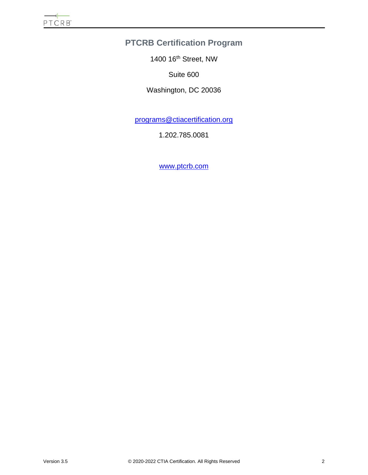# **PTCRB Certification Program**

1400 16th Street, NW

Suite 600

Washington, DC 20036

[programs@ctiacertification.org](mailto:programs@ctiacertification.org)

1.202.785.0081

[www.ptcrb.com](http://www.ptcrb.com/)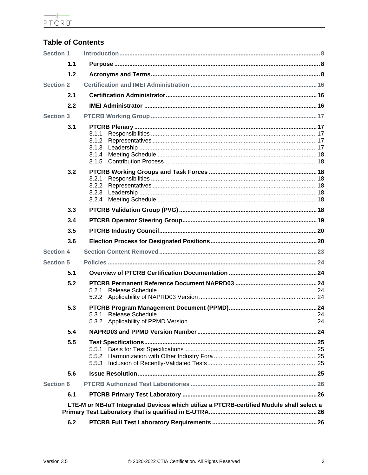$\begin{array}{c}\n\hline\n\leftarrow \\
\hline\n\text{PTCRB}^*\n\end{array}$ 

# **Table of Contents**

| <b>Section 1</b> |     |                                                                                          |  |  |  |
|------------------|-----|------------------------------------------------------------------------------------------|--|--|--|
|                  | 1.1 |                                                                                          |  |  |  |
|                  | 1.2 |                                                                                          |  |  |  |
| <b>Section 2</b> |     |                                                                                          |  |  |  |
|                  | 2.1 |                                                                                          |  |  |  |
|                  | 2.2 |                                                                                          |  |  |  |
| <b>Section 3</b> |     |                                                                                          |  |  |  |
|                  | 3.1 | 3.1.1<br>3.1.2<br>3.1.3<br>3.1.4<br>3.1.5                                                |  |  |  |
|                  | 3.2 | 3.2.1<br>3.2.2<br>3.2.3<br>3.2.4                                                         |  |  |  |
|                  | 3.3 |                                                                                          |  |  |  |
|                  | 3.4 |                                                                                          |  |  |  |
|                  | 3.5 |                                                                                          |  |  |  |
|                  | 3.6 |                                                                                          |  |  |  |
| <b>Section 4</b> |     |                                                                                          |  |  |  |
| <b>Section 5</b> |     |                                                                                          |  |  |  |
|                  | 5.1 |                                                                                          |  |  |  |
|                  | 5.2 | 5.2.1                                                                                    |  |  |  |
|                  | 5.3 |                                                                                          |  |  |  |
|                  | 5.4 |                                                                                          |  |  |  |
|                  | 5.5 | 5.5.1<br>5.5.2<br>5.5.3                                                                  |  |  |  |
|                  | 5.6 |                                                                                          |  |  |  |
| <b>Section 6</b> |     |                                                                                          |  |  |  |
|                  | 6.1 |                                                                                          |  |  |  |
|                  |     | LTE-M or NB-IoT Integrated Devices which utilize a PTCRB-certified Module shall select a |  |  |  |
|                  | 6.2 |                                                                                          |  |  |  |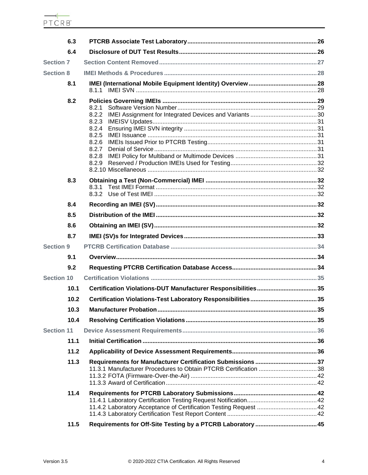| 6.3               |                                                                                        |  |
|-------------------|----------------------------------------------------------------------------------------|--|
| 6.4               |                                                                                        |  |
| <b>Section 7</b>  |                                                                                        |  |
| <b>Section 8</b>  |                                                                                        |  |
| 8.1               |                                                                                        |  |
| 8.2<br>8.3        | 8.2.1<br>8.2.2<br>8.2.3<br>8.2.4<br>8.2.5<br>8.2.6<br>8.2.7<br>8.2.8<br>8.2.9<br>8.3.1 |  |
|                   |                                                                                        |  |
| 8.4               |                                                                                        |  |
| 8.5               |                                                                                        |  |
| 8.6               |                                                                                        |  |
| 8.7               |                                                                                        |  |
| <b>Section 9</b>  |                                                                                        |  |
| 9.1               |                                                                                        |  |
| 9.2               |                                                                                        |  |
| <b>Section 10</b> |                                                                                        |  |
| 10.1              |                                                                                        |  |
| 10.2              |                                                                                        |  |
| 10.3              |                                                                                        |  |
| 10.4              |                                                                                        |  |
| <b>Section 11</b> |                                                                                        |  |
| 11.1              |                                                                                        |  |
| 11.2              |                                                                                        |  |
| 11.3              |                                                                                        |  |
| 11.4              |                                                                                        |  |
| 11.5              |                                                                                        |  |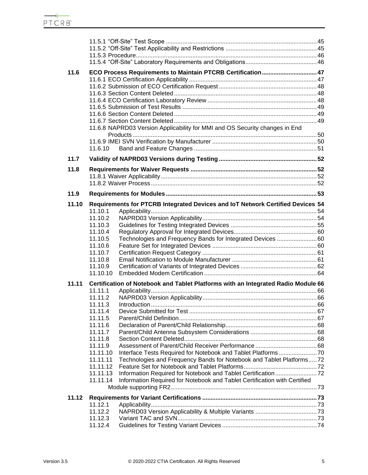| 11.6  |                      | ECO Process Requirements to Maintain PTCRB Certification 47                       |  |
|-------|----------------------|-----------------------------------------------------------------------------------|--|
|       |                      |                                                                                   |  |
|       |                      |                                                                                   |  |
|       |                      |                                                                                   |  |
|       |                      |                                                                                   |  |
|       |                      |                                                                                   |  |
|       |                      |                                                                                   |  |
|       |                      | 11.6.8 NAPRD03 Version Applicability for MMI and OS Security changes in End       |  |
|       |                      |                                                                                   |  |
|       |                      |                                                                                   |  |
|       | 11.6.10              |                                                                                   |  |
| 11.7  |                      |                                                                                   |  |
| 11.8  |                      |                                                                                   |  |
|       |                      |                                                                                   |  |
|       |                      |                                                                                   |  |
|       |                      |                                                                                   |  |
| 11.9  |                      |                                                                                   |  |
| 11.10 |                      | Requirements for PTCRB Integrated Devices and IoT Network Certified Devices 54    |  |
|       | 11.10.1              |                                                                                   |  |
|       | 11.10.2              |                                                                                   |  |
|       | 11.10.3              |                                                                                   |  |
|       | 11.10.4              |                                                                                   |  |
|       | 11.10.5              | Technologies and Frequency Bands for Integrated Devices  60                       |  |
|       | 11.10.6<br>11.10.7   |                                                                                   |  |
|       | 11.10.8              |                                                                                   |  |
|       | 11.10.9              |                                                                                   |  |
|       | 11.10.10             |                                                                                   |  |
| 11.11 |                      | Certification of Notebook and Tablet Platforms with an Integrated Radio Module 66 |  |
|       | 11.11.1              |                                                                                   |  |
|       | 11.11.2              |                                                                                   |  |
|       | 11.11.3              |                                                                                   |  |
|       | 11.11.4              |                                                                                   |  |
|       | 11.11.5              |                                                                                   |  |
|       | 11.11.6              |                                                                                   |  |
|       | 11.11.7              |                                                                                   |  |
|       | 11.11.8              |                                                                                   |  |
|       | 11.11.9              |                                                                                   |  |
|       | 11.11.10             |                                                                                   |  |
|       | 11.11.11             | Technologies and Frequency Bands for Notebook and Tablet Platforms72              |  |
|       | 11.11.12             |                                                                                   |  |
|       | 11.11.13<br>11.11.14 | Information Required for Notebook and Tablet Certification with Certified         |  |
|       |                      |                                                                                   |  |
|       |                      |                                                                                   |  |
| 11.12 |                      |                                                                                   |  |
|       | 11.12.1              |                                                                                   |  |
|       | 11.12.2<br>11.12.3   |                                                                                   |  |
|       | 11.12.4              |                                                                                   |  |
|       |                      |                                                                                   |  |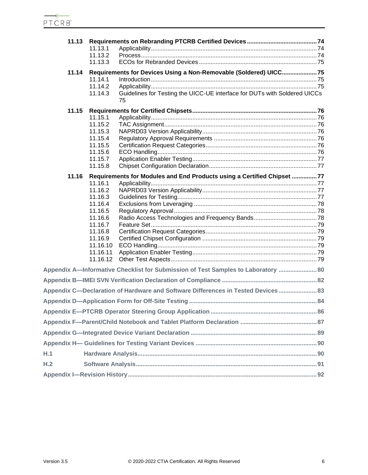| 11.13 | 11.13.1            |                                                                                   |  |
|-------|--------------------|-----------------------------------------------------------------------------------|--|
|       | 11.13.2            |                                                                                   |  |
|       | 11.13.3            |                                                                                   |  |
| 11.14 |                    | Requirements for Devices Using a Non-Removable (Soldered) UICC75                  |  |
|       | 11.14.1            |                                                                                   |  |
|       | 11.14.2            |                                                                                   |  |
|       | 11.14.3            | Guidelines for Testing the UICC-UE interface for DUTs with Soldered UICCs         |  |
|       |                    | 75                                                                                |  |
| 11.15 |                    |                                                                                   |  |
|       | 11.15.1            |                                                                                   |  |
|       | 11.15.2            |                                                                                   |  |
|       | 11.15.3            |                                                                                   |  |
|       | 11.15.4            |                                                                                   |  |
|       | 11.15.5            |                                                                                   |  |
|       | 11.15.6<br>11.15.7 |                                                                                   |  |
|       | 11.15.8            |                                                                                   |  |
|       |                    |                                                                                   |  |
| 11.16 |                    | Requirements for Modules and End Products using a Certified Chipset 77            |  |
|       | 11.16.1            |                                                                                   |  |
|       | 11.16.2<br>11.16.3 |                                                                                   |  |
|       | 11.16.4            |                                                                                   |  |
|       | 11.16.5            |                                                                                   |  |
|       | 11.16.6            |                                                                                   |  |
|       | 11.16.7            |                                                                                   |  |
|       | 11.16.8            |                                                                                   |  |
|       | 11.16.9            |                                                                                   |  |
|       | 11.16.10           |                                                                                   |  |
|       | 11.16.11           |                                                                                   |  |
|       | 11.16.12           |                                                                                   |  |
|       |                    | Appendix A-Informative Checklist for Submission of Test Samples to Laboratory  80 |  |
|       |                    |                                                                                   |  |
|       |                    | Appendix C-Declaration of Hardware and Software Differences in Tested Devices 83  |  |
|       |                    |                                                                                   |  |
|       |                    |                                                                                   |  |
|       |                    |                                                                                   |  |
|       |                    |                                                                                   |  |
|       |                    |                                                                                   |  |
| H.1   |                    |                                                                                   |  |
| H.2   |                    |                                                                                   |  |
|       |                    |                                                                                   |  |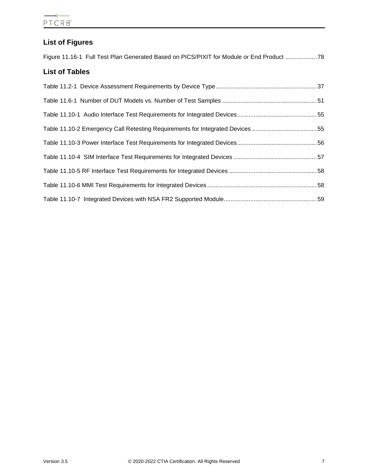# **List of Figures**

| Figure 11.16-1 Full Test Plan Generated Based on PICS/PIXIT for Module or End Product  78 |  |  |  |  |
|-------------------------------------------------------------------------------------------|--|--|--|--|
| <b>List of Tables</b>                                                                     |  |  |  |  |

| Table 11.10-2 Emergency Call Retesting Requirements for Integrated Devices 55 |  |
|-------------------------------------------------------------------------------|--|
|                                                                               |  |
|                                                                               |  |
|                                                                               |  |
|                                                                               |  |
|                                                                               |  |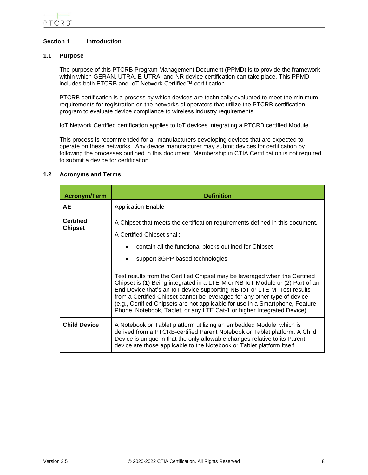# <span id="page-7-0"></span>**Section 1 Introduction**

# <span id="page-7-1"></span>**1.1 Purpose**

The purpose of this PTCRB Program Management Document (PPMD) is to provide the framework within which GERAN, UTRA, E-UTRA, and NR device certification can take place. This PPMD includes both PTCRB and IoT Network Certified™ certification.

PTCRB certification is a process by which devices are technically evaluated to meet the minimum requirements for registration on the networks of operators that utilize the PTCRB certification program to evaluate device compliance to wireless industry requirements.

IoT Network Certified certification applies to IoT devices integrating a PTCRB certified Module.

This process is recommended for all manufacturers developing devices that are expected to operate on these networks. Any device manufacturer may submit devices for certification by following the processes outlined in this document. Membership in CTIA Certification is not required to submit a device for certification.

# <span id="page-7-2"></span>**1.2 Acronyms and Terms**

| <b>Acronym/Term</b>                | <b>Definition</b>                                                                                                                                                                                                                                                                                                                                                                                                                                                                                                                 |
|------------------------------------|-----------------------------------------------------------------------------------------------------------------------------------------------------------------------------------------------------------------------------------------------------------------------------------------------------------------------------------------------------------------------------------------------------------------------------------------------------------------------------------------------------------------------------------|
| AE.                                | <b>Application Enabler</b>                                                                                                                                                                                                                                                                                                                                                                                                                                                                                                        |
| <b>Certified</b><br><b>Chipset</b> | A Chipset that meets the certification requirements defined in this document.<br>A Certified Chipset shall:<br>contain all the functional blocks outlined for Chipset<br>support 3GPP based technologies<br>Test results from the Certified Chipset may be leveraged when the Certified<br>Chipset is (1) Being integrated in a LTE-M or NB-IoT Module or (2) Part of an<br>End Device that's an IoT device supporting NB-IoT or LTE-M. Test results<br>from a Certified Chipset cannot be leveraged for any other type of device |
|                                    | (e.g., Certified Chipsets are not applicable for use in a Smartphone, Feature<br>Phone, Notebook, Tablet, or any LTE Cat-1 or higher Integrated Device).                                                                                                                                                                                                                                                                                                                                                                          |
| <b>Child Device</b>                | A Notebook or Tablet platform utilizing an embedded Module, which is<br>derived from a PTCRB-certified Parent Notebook or Tablet platform. A Child<br>Device is unique in that the only allowable changes relative to its Parent<br>device are those applicable to the Notebook or Tablet platform itself.                                                                                                                                                                                                                        |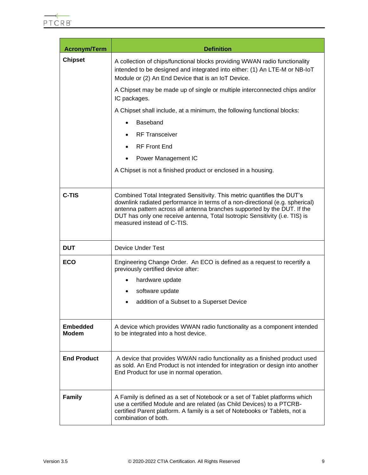| <b>Acronym/Term</b>             | <b>Definition</b>                                                                                                                                                                                                                                                                                                                                |
|---------------------------------|--------------------------------------------------------------------------------------------------------------------------------------------------------------------------------------------------------------------------------------------------------------------------------------------------------------------------------------------------|
| <b>Chipset</b>                  | A collection of chips/functional blocks providing WWAN radio functionality<br>intended to be designed and integrated into either: (1) An LTE-M or NB-IoT<br>Module or (2) An End Device that is an IoT Device.                                                                                                                                   |
|                                 | A Chipset may be made up of single or multiple interconnected chips and/or<br>IC packages.                                                                                                                                                                                                                                                       |
|                                 | A Chipset shall include, at a minimum, the following functional blocks:                                                                                                                                                                                                                                                                          |
|                                 | Baseband                                                                                                                                                                                                                                                                                                                                         |
|                                 | <b>RF Transceiver</b>                                                                                                                                                                                                                                                                                                                            |
|                                 | <b>RF Front End</b><br>٠                                                                                                                                                                                                                                                                                                                         |
|                                 | Power Management IC                                                                                                                                                                                                                                                                                                                              |
|                                 | A Chipset is not a finished product or enclosed in a housing.                                                                                                                                                                                                                                                                                    |
| C-TIS                           | Combined Total Integrated Sensitivity. This metric quantifies the DUT's<br>downlink radiated performance in terms of a non-directional (e.g. spherical)<br>antenna pattern across all antenna branches supported by the DUT. If the<br>DUT has only one receive antenna, Total Isotropic Sensitivity (i.e. TIS) is<br>measured instead of C-TIS. |
| <b>DUT</b>                      | <b>Device Under Test</b>                                                                                                                                                                                                                                                                                                                         |
| <b>ECO</b>                      | Engineering Change Order. An ECO is defined as a request to recertify a<br>previously certified device after:                                                                                                                                                                                                                                    |
|                                 | hardware update                                                                                                                                                                                                                                                                                                                                  |
|                                 | software update                                                                                                                                                                                                                                                                                                                                  |
|                                 | addition of a Subset to a Superset Device                                                                                                                                                                                                                                                                                                        |
| <b>Embedded</b><br><b>Modem</b> | A device which provides WWAN radio functionality as a component intended<br>to be integrated into a host device.                                                                                                                                                                                                                                 |
| <b>End Product</b>              | A device that provides WWAN radio functionality as a finished product used<br>as sold. An End Product is not intended for integration or design into another<br>End Product for use in normal operation.                                                                                                                                         |
| <b>Family</b>                   | A Family is defined as a set of Notebook or a set of Tablet platforms which<br>use a certified Module and are related (as Child Devices) to a PTCRB-<br>certified Parent platform. A family is a set of Notebooks or Tablets, not a<br>combination of both.                                                                                      |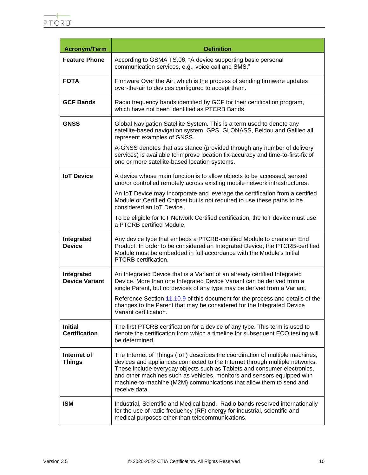| <b>Acronym/Term</b>                    | <b>Definition</b>                                                                                                                                                                                                                                                                                                                                                                                           |
|----------------------------------------|-------------------------------------------------------------------------------------------------------------------------------------------------------------------------------------------------------------------------------------------------------------------------------------------------------------------------------------------------------------------------------------------------------------|
| <b>Feature Phone</b>                   | According to GSMA TS.06, "A device supporting basic personal<br>communication services, e.g., voice call and SMS."                                                                                                                                                                                                                                                                                          |
| <b>FOTA</b>                            | Firmware Over the Air, which is the process of sending firmware updates<br>over-the-air to devices configured to accept them.                                                                                                                                                                                                                                                                               |
| <b>GCF Bands</b>                       | Radio frequency bands identified by GCF for their certification program,<br>which have not been identified as PTCRB Bands.                                                                                                                                                                                                                                                                                  |
| <b>GNSS</b>                            | Global Navigation Satellite System. This is a term used to denote any<br>satellite-based navigation system. GPS, GLONASS, Beidou and Galileo all<br>represent examples of GNSS.<br>A-GNSS denotes that assistance (provided through any number of delivery<br>services) is available to improve location fix accuracy and time-to-first-fix of                                                              |
|                                        | one or more satellite-based location systems.                                                                                                                                                                                                                                                                                                                                                               |
| <b>IoT</b> Device                      | A device whose main function is to allow objects to be accessed, sensed<br>and/or controlled remotely across existing mobile network infrastructures.                                                                                                                                                                                                                                                       |
|                                        | An IoT Device may incorporate and leverage the certification from a certified<br>Module or Certified Chipset but is not required to use these paths to be<br>considered an IoT Device.                                                                                                                                                                                                                      |
|                                        | To be eligible for IoT Network Certified certification, the IoT device must use<br>a PTCRB certified Module.                                                                                                                                                                                                                                                                                                |
| Integrated<br><b>Device</b>            | Any device type that embeds a PTCRB-certified Module to create an End<br>Product. In order to be considered an Integrated Device, the PTCRB-certified<br>Module must be embedded in full accordance with the Module's Initial<br>PTCRB certification.                                                                                                                                                       |
| Integrated<br><b>Device Variant</b>    | An Integrated Device that is a Variant of an already certified Integrated<br>Device. More than one Integrated Device Variant can be derived from a<br>single Parent, but no devices of any type may be derived from a Variant.                                                                                                                                                                              |
|                                        | Reference Section 11.10.9 of this document for the process and details of the<br>changes to the Parent that may be considered for the Integrated Device<br>Variant certification.                                                                                                                                                                                                                           |
| <b>Initial</b><br><b>Certification</b> | The first PTCRB certification for a device of any type. This term is used to<br>denote the certification from which a timeline for subsequent ECO testing will<br>be determined.                                                                                                                                                                                                                            |
| Internet of<br><b>Things</b>           | The Internet of Things (IoT) describes the coordination of multiple machines,<br>devices and appliances connected to the Internet through multiple networks.<br>These include everyday objects such as Tablets and consumer electronics,<br>and other machines such as vehicles, monitors and sensors equipped with<br>machine-to-machine (M2M) communications that allow them to send and<br>receive data. |
| <b>ISM</b>                             | Industrial, Scientific and Medical band. Radio bands reserved internationally<br>for the use of radio frequency (RF) energy for industrial, scientific and<br>medical purposes other than telecommunications.                                                                                                                                                                                               |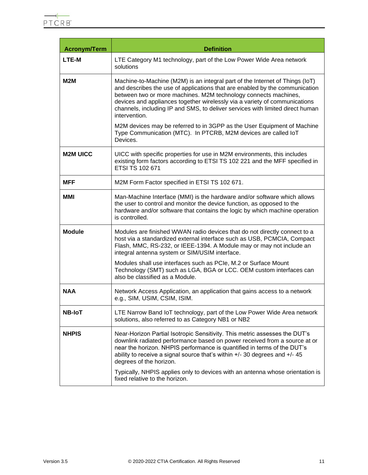| <b>Acronym/Term</b> | <b>Definition</b>                                                                                                                                                                                                                                                                                                                                                                                              |
|---------------------|----------------------------------------------------------------------------------------------------------------------------------------------------------------------------------------------------------------------------------------------------------------------------------------------------------------------------------------------------------------------------------------------------------------|
| <b>LTE-M</b>        | LTE Category M1 technology, part of the Low Power Wide Area network<br>solutions                                                                                                                                                                                                                                                                                                                               |
| M2M                 | Machine-to-Machine (M2M) is an integral part of the Internet of Things (IoT)<br>and describes the use of applications that are enabled by the communication<br>between two or more machines. M2M technology connects machines,<br>devices and appliances together wirelessly via a variety of communications<br>channels, including IP and SMS, to deliver services with limited direct human<br>intervention. |
|                     | M2M devices may be referred to in 3GPP as the User Equipment of Machine<br>Type Communication (MTC). In PTCRB, M2M devices are called IoT<br>Devices.                                                                                                                                                                                                                                                          |
| <b>M2M UICC</b>     | UICC with specific properties for use in M2M environments, this includes<br>existing form factors according to ETSI TS 102 221 and the MFF specified in<br>ETSI TS 102 671                                                                                                                                                                                                                                     |
| <b>MFF</b>          | M2M Form Factor specified in ETSI TS 102 671.                                                                                                                                                                                                                                                                                                                                                                  |
| MMI                 | Man-Machine Interface (MMI) is the hardware and/or software which allows<br>the user to control and monitor the device function, as opposed to the<br>hardware and/or software that contains the logic by which machine operation<br>is controlled.                                                                                                                                                            |
| <b>Module</b>       | Modules are finished WWAN radio devices that do not directly connect to a<br>host via a standardized external interface such as USB, PCMCIA, Compact<br>Flash, MMC, RS-232, or IEEE-1394. A Module may or may not include an<br>integral antenna system or SIM/USIM interface.                                                                                                                                 |
|                     | Modules shall use interfaces such as PCIe, M.2 or Surface Mount<br>Technology (SMT) such as LGA, BGA or LCC. OEM custom interfaces can<br>also be classified as a Module.                                                                                                                                                                                                                                      |
| <b>NAA</b>          | Network Access Application, an application that gains access to a network<br>e.g., SIM, USIM, CSIM, ISIM.                                                                                                                                                                                                                                                                                                      |
| <b>NB-IoT</b>       | LTE Narrow Band IoT technology, part of the Low Power Wide Area network<br>solutions, also referred to as Category NB1 or NB2                                                                                                                                                                                                                                                                                  |
| <b>NHPIS</b>        | Near-Horizon Partial Isotropic Sensitivity. This metric assesses the DUT's<br>downlink radiated performance based on power received from a source at or<br>near the horizon. NHPIS performance is quantified in terms of the DUT's<br>ability to receive a signal source that's within $+/-$ 30 degrees and $+/-$ 45<br>degrees of the horizon.                                                                |
|                     | Typically, NHPIS applies only to devices with an antenna whose orientation is<br>fixed relative to the horizon.                                                                                                                                                                                                                                                                                                |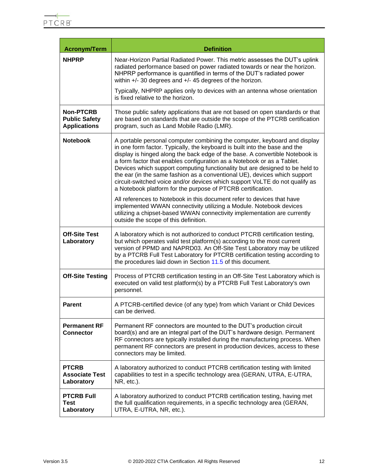| <b>Acronym/Term</b>                                      | <b>Definition</b>                                                                                                                                                                                                                                                                                                                                                                                                                                                                                                                                                                                                            |
|----------------------------------------------------------|------------------------------------------------------------------------------------------------------------------------------------------------------------------------------------------------------------------------------------------------------------------------------------------------------------------------------------------------------------------------------------------------------------------------------------------------------------------------------------------------------------------------------------------------------------------------------------------------------------------------------|
| <b>NHPRP</b>                                             | Near-Horizon Partial Radiated Power. This metric assesses the DUT's uplink<br>radiated performance based on power radiated towards or near the horizon.<br>NHPRP performance is quantified in terms of the DUT's radiated power<br>within $+/-$ 30 degrees and $+/-$ 45 degrees of the horizon.                                                                                                                                                                                                                                                                                                                              |
|                                                          | Typically, NHPRP applies only to devices with an antenna whose orientation<br>is fixed relative to the horizon.                                                                                                                                                                                                                                                                                                                                                                                                                                                                                                              |
| Non-PTCRB<br><b>Public Safety</b><br><b>Applications</b> | Those public safety applications that are not based on open standards or that<br>are based on standards that are outside the scope of the PTCRB certification<br>program, such as Land Mobile Radio (LMR).                                                                                                                                                                                                                                                                                                                                                                                                                   |
| <b>Notebook</b>                                          | A portable personal computer combining the computer, keyboard and display<br>in one form factor. Typically, the keyboard is built into the base and the<br>display is hinged along the back edge of the base. A convertible Notebook is<br>a form factor that enables configuration as a Notebook or as a Tablet.<br>Devices which support computing functionality but are designed to be held to<br>the ear (in the same fashion as a conventional UE), devices which support<br>circuit-switched voice and/or devices which support VoLTE do not qualify as<br>a Notebook platform for the purpose of PTCRB certification. |
|                                                          | All references to Notebook in this document refer to devices that have<br>implemented WWAN connectivity utilizing a Module. Notebook devices<br>utilizing a chipset-based WWAN connectivity implementation are currently<br>outside the scope of this definition.                                                                                                                                                                                                                                                                                                                                                            |
| <b>Off-Site Test</b><br>Laboratory                       | A laboratory which is not authorized to conduct PTCRB certification testing,<br>but which operates valid test platform(s) according to the most current<br>version of PPMD and NAPRD03. An Off-Site Test Laboratory may be utilized<br>by a PTCRB Full Test Laboratory for PTCRB certification testing according to<br>the procedures laid down in Section 11.5 of this document.                                                                                                                                                                                                                                            |
| <b>Off-Site Testing</b>                                  | Process of PTCRB certification testing in an Off-Site Test Laboratory which is<br>executed on valid test platform(s) by a PTCRB Full Test Laboratory's own<br>personnel.                                                                                                                                                                                                                                                                                                                                                                                                                                                     |
| <b>Parent</b>                                            | A PTCRB-certified device (of any type) from which Variant or Child Devices<br>can be derived.                                                                                                                                                                                                                                                                                                                                                                                                                                                                                                                                |
| <b>Permanent RF</b><br><b>Connector</b>                  | Permanent RF connectors are mounted to the DUT's production circuit<br>board(s) and are an integral part of the DUT's hardware design. Permanent<br>RF connectors are typically installed during the manufacturing process. When<br>permanent RF connectors are present in production devices, access to these<br>connectors may be limited.                                                                                                                                                                                                                                                                                 |
| <b>PTCRB</b><br><b>Associate Test</b><br>Laboratory      | A laboratory authorized to conduct PTCRB certification testing with limited<br>capabilities to test in a specific technology area (GERAN, UTRA, E-UTRA,<br>NR, etc.).                                                                                                                                                                                                                                                                                                                                                                                                                                                        |
| <b>PTCRB Full</b><br><b>Test</b><br>Laboratory           | A laboratory authorized to conduct PTCRB certification testing, having met<br>the full qualification requirements, in a specific technology area (GERAN,<br>UTRA, E-UTRA, NR, etc.).                                                                                                                                                                                                                                                                                                                                                                                                                                         |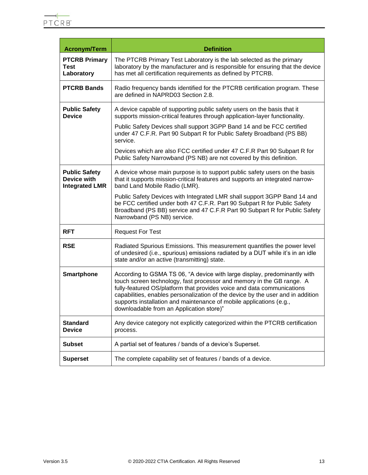| <b>Acronym/Term</b>                                          | <b>Definition</b>                                                                                                                                                                                                                                                                                                                                                                                                                  |
|--------------------------------------------------------------|------------------------------------------------------------------------------------------------------------------------------------------------------------------------------------------------------------------------------------------------------------------------------------------------------------------------------------------------------------------------------------------------------------------------------------|
| <b>PTCRB Primary</b><br><b>Test</b><br>Laboratory            | The PTCRB Primary Test Laboratory is the lab selected as the primary<br>laboratory by the manufacturer and is responsible for ensuring that the device<br>has met all certification requirements as defined by PTCRB.                                                                                                                                                                                                              |
| <b>PTCRB Bands</b>                                           | Radio frequency bands identified for the PTCRB certification program. These<br>are defined in NAPRD03 Section 2.8.                                                                                                                                                                                                                                                                                                                 |
| <b>Public Safety</b><br><b>Device</b>                        | A device capable of supporting public safety users on the basis that it<br>supports mission-critical features through application-layer functionality.                                                                                                                                                                                                                                                                             |
|                                                              | Public Safety Devices shall support 3GPP Band 14 and be FCC certified<br>under 47 C.F.R. Part 90 Subpart R for Public Safety Broadband (PS BB)<br>service.                                                                                                                                                                                                                                                                         |
|                                                              | Devices which are also FCC certified under 47 C.F.R Part 90 Subpart R for<br>Public Safety Narrowband (PS NB) are not covered by this definition.                                                                                                                                                                                                                                                                                  |
| <b>Public Safety</b><br>Device with<br><b>Integrated LMR</b> | A device whose main purpose is to support public safety users on the basis<br>that it supports mission-critical features and supports an integrated narrow-<br>band Land Mobile Radio (LMR).                                                                                                                                                                                                                                       |
|                                                              | Public Safety Devices with Integrated LMR shall support 3GPP Band 14 and<br>be FCC certified under both 47 C.F.R. Part 90 Subpart R for Public Safety<br>Broadband (PS BB) service and 47 C.F.R Part 90 Subpart R for Public Safety<br>Narrowband (PS NB) service.                                                                                                                                                                 |
| <b>RFT</b>                                                   | <b>Request For Test</b>                                                                                                                                                                                                                                                                                                                                                                                                            |
| <b>RSE</b>                                                   | Radiated Spurious Emissions. This measurement quantifies the power level<br>of undesired (i.e., spurious) emissions radiated by a DUT while it's in an idle<br>state and/or an active (transmitting) state.                                                                                                                                                                                                                        |
| <b>Smartphone</b>                                            | According to GSMA TS 06, "A device with large display, predominantly with<br>touch screen technology, fast processor and memory in the GB range. A<br>fully-featured OS/platform that provides voice and data communications<br>capabilities, enables personalization of the device by the user and in addition<br>supports installation and maintenance of mobile applications (e.g.,<br>downloadable from an Application store)" |
| <b>Standard</b><br><b>Device</b>                             | Any device category not explicitly categorized within the PTCRB certification<br>process.                                                                                                                                                                                                                                                                                                                                          |
| <b>Subset</b>                                                | A partial set of features / bands of a device's Superset.                                                                                                                                                                                                                                                                                                                                                                          |
| <b>Superset</b>                                              | The complete capability set of features / bands of a device.                                                                                                                                                                                                                                                                                                                                                                       |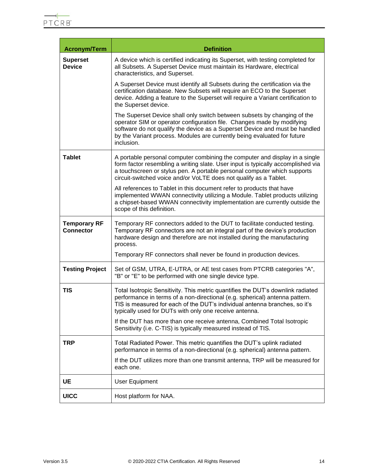$\blacksquare$ 

| <b>Acronym/Term</b>                     | <b>Definition</b>                                                                                                                                                                                                                                                                                                           |  |
|-----------------------------------------|-----------------------------------------------------------------------------------------------------------------------------------------------------------------------------------------------------------------------------------------------------------------------------------------------------------------------------|--|
| <b>Superset</b><br><b>Device</b>        | A device which is certified indicating its Superset, with testing completed for<br>all Subsets. A Superset Device must maintain its Hardware, electrical<br>characteristics, and Superset.                                                                                                                                  |  |
|                                         | A Superset Device must identify all Subsets during the certification via the<br>certification database. New Subsets will require an ECO to the Superset<br>device. Adding a feature to the Superset will require a Variant certification to<br>the Superset device.                                                         |  |
|                                         | The Superset Device shall only switch between subsets by changing of the<br>operator SIM or operator configuration file. Changes made by modifying<br>software do not qualify the device as a Superset Device and must be handled<br>by the Variant process. Modules are currently being evaluated for future<br>inclusion. |  |
| <b>Tablet</b>                           | A portable personal computer combining the computer and display in a single<br>form factor resembling a writing slate. User input is typically accomplished via<br>a touchscreen or stylus pen. A portable personal computer which supports<br>circuit-switched voice and/or VoLTE does not qualify as a Tablet.            |  |
|                                         | All references to Tablet in this document refer to products that have<br>implemented WWAN connectivity utilizing a Module. Tablet products utilizing<br>a chipset-based WWAN connectivity implementation are currently outside the<br>scope of this definition.                                                             |  |
| <b>Temporary RF</b><br><b>Connector</b> | Temporary RF connectors added to the DUT to facilitate conducted testing.<br>Temporary RF connectors are not an integral part of the device's production<br>hardware design and therefore are not installed during the manufacturing<br>process.                                                                            |  |
|                                         | Temporary RF connectors shall never be found in production devices.                                                                                                                                                                                                                                                         |  |
| <b>Testing Project</b>                  | Set of GSM, UTRA, E-UTRA, or AE test cases from PTCRB categories "A",<br>"B" or "E" to be performed with one single device type.                                                                                                                                                                                            |  |
| <b>TIS</b>                              | Total Isotropic Sensitivity. This metric quantifies the DUT's downlink radiated<br>performance in terms of a non-directional (e.g. spherical) antenna pattern.<br>TIS is measured for each of the DUT's individual antenna branches, so it's<br>typically used for DUTs with only one receive antenna.                      |  |
|                                         | If the DUT has more than one receive antenna, Combined Total Isotropic<br>Sensitivity (i.e. C-TIS) is typically measured instead of TIS.                                                                                                                                                                                    |  |
| <b>TRP</b>                              | Total Radiated Power. This metric quantifies the DUT's uplink radiated<br>performance in terms of a non-directional (e.g. spherical) antenna pattern.                                                                                                                                                                       |  |
|                                         | If the DUT utilizes more than one transmit antenna, TRP will be measured for<br>each one.                                                                                                                                                                                                                                   |  |
| UE                                      | <b>User Equipment</b>                                                                                                                                                                                                                                                                                                       |  |
| <b>UICC</b>                             | Host platform for NAA.                                                                                                                                                                                                                                                                                                      |  |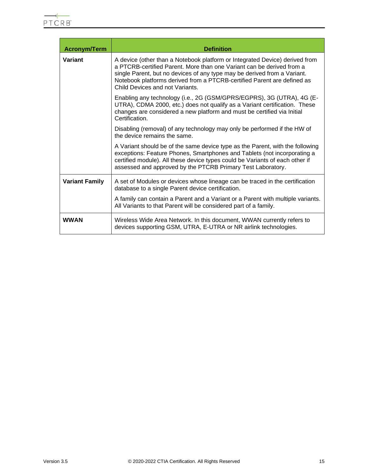| <b>Acronym/Term</b>   | <b>Definition</b>                                                                                                                                                                                                                                                                                                                              |
|-----------------------|------------------------------------------------------------------------------------------------------------------------------------------------------------------------------------------------------------------------------------------------------------------------------------------------------------------------------------------------|
| Variant               | A device (other than a Notebook platform or Integrated Device) derived from<br>a PTCRB-certified Parent. More than one Variant can be derived from a<br>single Parent, but no devices of any type may be derived from a Variant.<br>Notebook platforms derived from a PTCRB-certified Parent are defined as<br>Child Devices and not Variants. |
|                       | Enabling any technology (i.e., 2G (GSM/GPRS/EGPRS), 3G (UTRA), 4G (E-<br>UTRA), CDMA 2000, etc.) does not qualify as a Variant certification. These<br>changes are considered a new platform and must be certified via Initial<br>Certification.                                                                                               |
|                       | Disabling (removal) of any technology may only be performed if the HW of<br>the device remains the same.                                                                                                                                                                                                                                       |
|                       | A Variant should be of the same device type as the Parent, with the following<br>exceptions: Feature Phones, Smartphones and Tablets (not incorporating a<br>certified module). All these device types could be Variants of each other if<br>assessed and approved by the PTCRB Primary Test Laboratory.                                       |
| <b>Variant Family</b> | A set of Modules or devices whose lineage can be traced in the certification<br>database to a single Parent device certification.                                                                                                                                                                                                              |
|                       | A family can contain a Parent and a Variant or a Parent with multiple variants.<br>All Variants to that Parent will be considered part of a family.                                                                                                                                                                                            |
| <b>WWAN</b>           | Wireless Wide Area Network. In this document, WWAN currently refers to<br>devices supporting GSM, UTRA, E-UTRA or NR airlink technologies.                                                                                                                                                                                                     |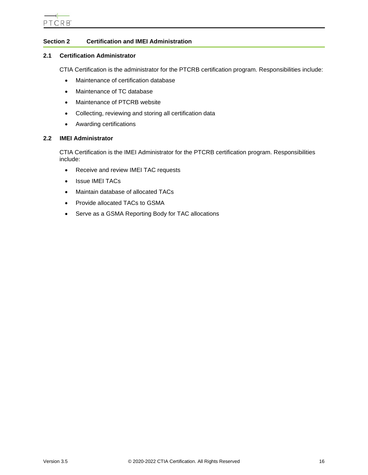# <span id="page-15-0"></span>**Section 2 Certification and IMEI Administration**

# <span id="page-15-1"></span>**2.1 Certification Administrator**

CTIA Certification is the administrator for the PTCRB certification program. Responsibilities include:

- Maintenance of certification database
- Maintenance of TC database
- Maintenance of PTCRB website
- Collecting, reviewing and storing all certification data
- Awarding certifications

# <span id="page-15-2"></span>**2.2 IMEI Administrator**

CTIA Certification is the IMEI Administrator for the PTCRB certification program. Responsibilities include:

- Receive and review IMEI TAC requests
- Issue IMEI TACs
- Maintain database of allocated TACs
- Provide allocated TACs to GSMA
- Serve as a GSMA Reporting Body for TAC allocations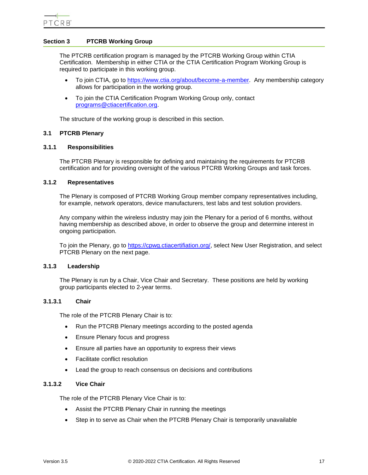# <span id="page-16-0"></span>**Section 3 PTCRB Working Group**

The PTCRB certification program is managed by the PTCRB Working Group within CTIA Certification. Membership in either CTIA or the CTIA Certification Program Working Group is required to participate in this working group.

- To join CTIA, go to [https://www.ctia.org/about/become-a-member.](https://www.ctia.org/about/become-a-member) Any membership category allows for participation in the working group.
- To join the CTIA Certification Program Working Group only, contact [programs@ctiacertification.org.](mailto:programs@ctiacertification.org)

The structure of the working group is described in this section.

# <span id="page-16-1"></span>**3.1 PTCRB Plenary**

# <span id="page-16-2"></span>**3.1.1 Responsibilities**

The PTCRB Plenary is responsible for defining and maintaining the requirements for PTCRB certification and for providing oversight of the various PTCRB Working Groups and task forces.

#### <span id="page-16-3"></span>**3.1.2 Representatives**

The Plenary is composed of PTCRB Working Group member company representatives including, for example, network operators, device manufacturers, test labs and test solution providers.

Any company within the wireless industry may join the Plenary for a period of 6 months, without having membership as described above, in order to observe the group and determine interest in ongoing participation.

To join the Plenary, go to [https://cpwg.ctiacertifiation.org/,](https://cpwg.ctiacertifiation.org/) select New User Registration, and select PTCRB Plenary on the next page.

# <span id="page-16-4"></span>**3.1.3 Leadership**

The Plenary is run by a Chair, Vice Chair and Secretary. These positions are held by working group participants elected to 2-year terms.

# <span id="page-16-5"></span>**3.1.3.1 Chair**

The role of the PTCRB Plenary Chair is to:

- Run the PTCRB Plenary meetings according to the posted agenda
- Ensure Plenary focus and progress
- Ensure all parties have an opportunity to express their views
- Facilitate conflict resolution
- Lead the group to reach consensus on decisions and contributions

# **3.1.3.2 Vice Chair**

The role of the PTCRB Plenary Vice Chair is to:

- Assist the PTCRB Plenary Chair in running the meetings
- Step in to serve as Chair when the PTCRB Plenary Chair is temporarily unavailable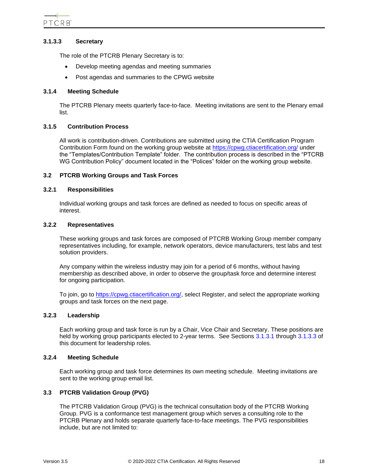# <span id="page-17-8"></span>**3.1.3.3 Secretary**

The role of the PTCRB Plenary Secretary is to:

- Develop meeting agendas and meeting summaries
- Post agendas and summaries to the CPWG website

# <span id="page-17-0"></span>**3.1.4 Meeting Schedule**

The PTCRB Plenary meets quarterly face-to-face. Meeting invitations are sent to the Plenary email list.

# <span id="page-17-1"></span>**3.1.5 Contribution Process**

All work is contribution-driven. Contributions are submitted using the CTIA Certification Program Contribution Form found on the working group website at<https://cpwg.ctiacertification.org/> under the "Templates/Contribution Template" folder. The contribution process is described in the "PTCRB WG Contribution Policy" document located in the "Polices" folder on the working group website.

# <span id="page-17-2"></span>**3.2 PTCRB Working Groups and Task Forces**

# <span id="page-17-3"></span>**3.2.1 Responsibilities**

Individual working groups and task forces are defined as needed to focus on specific areas of interest.

# <span id="page-17-4"></span>**3.2.2 Representatives**

These working groups and task forces are composed of PTCRB Working Group member company representatives including, for example, network operators, device manufacturers, test labs and test solution providers.

Any company within the wireless industry may join for a period of 6 months, without having membership as described above, in order to observe the group/task force and determine interest for ongoing participation.

To join, go to [https://cpwg.ctiacertification.org/,](https://cpwg.ctiacertification.org/) select Register, and select the appropriate working groups and task forces on the next page.

# <span id="page-17-5"></span>**3.2.3 Leadership**

Each working group and task force is run by a Chair, Vice Chair and Secretary. These positions are held by working group participants elected to 2-year terms. See Sections [3.1.3.1](#page-16-5) through [3.1.3.3](#page-17-8) of this document for leadership roles.

# <span id="page-17-6"></span>**3.2.4 Meeting Schedule**

Each working group and task force determines its own meeting schedule. Meeting invitations are sent to the working group email list.

# <span id="page-17-7"></span>**3.3 PTCRB Validation Group (PVG)**

The PTCRB Validation Group (PVG) is the technical consultation body of the PTCRB Working Group. PVG is a conformance test management group which serves a consulting role to the PTCRB Plenary and holds separate quarterly face-to-face meetings. The PVG responsibilities include, but are not limited to: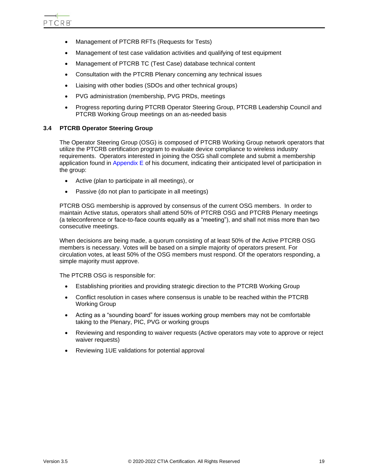- Management of PTCRB RFTs (Requests for Tests)
- Management of test case validation activities and qualifying of test equipment
- Management of PTCRB TC (Test Case) database technical content
- Consultation with the PTCRB Plenary concerning any technical issues
- Liaising with other bodies (SDOs and other technical groups)
- PVG administration (membership, PVG PRDs, meetings
- Progress reporting during PTCRB Operator Steering Group, PTCRB Leadership Council and PTCRB Working Group meetings on an as-needed basis

# <span id="page-18-0"></span>**3.4 PTCRB Operator Steering Group**

The Operator Steering Group (OSG) is composed of PTCRB Working Group network operators that utilize the PTCRB certification program to evaluate device compliance to wireless industry requirements. Operators interested in joining the OSG shall complete and submit a membership application found in [Appendix E](#page-85-0) of his document, indicating their anticipated level of participation in the group:

- Active (plan to participate in all meetings), or
- Passive (do not plan to participate in all meetings)

PTCRB OSG membership is approved by consensus of the current OSG members. In order to maintain Active status, operators shall attend 50% of PTCRB OSG and PTCRB Plenary meetings (a teleconference or face-to-face counts equally as a "meeting"), and shall not miss more than two consecutive meetings.

When decisions are being made, a quorum consisting of at least 50% of the Active PTCRB OSG members is necessary. Votes will be based on a simple majority of operators present. For circulation votes, at least 50% of the OSG members must respond. Of the operators responding, a simple majority must approve.

The PTCRB OSG is responsible for:

- Establishing priorities and providing strategic direction to the PTCRB Working Group
- Conflict resolution in cases where consensus is unable to be reached within the PTCRB Working Group
- Acting as a "sounding board" for issues working group members may not be comfortable taking to the Plenary, PIC, PVG or working groups
- Reviewing and responding to waiver requests (Active operators may vote to approve or reject waiver requests)
- Reviewing 1UE validations for potential approval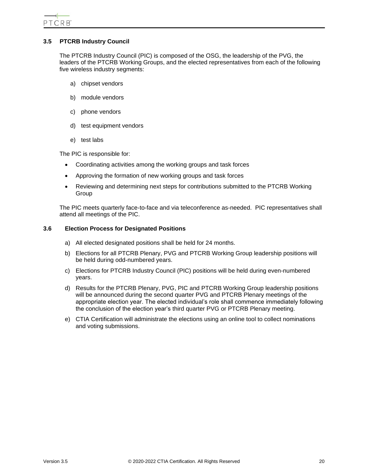# <span id="page-19-0"></span>**3.5 PTCRB Industry Council**

The PTCRB Industry Council (PIC) is composed of the OSG, the leadership of the PVG, the leaders of the PTCRB Working Groups, and the elected representatives from each of the following five wireless industry segments:

- a) chipset vendors
- b) module vendors
- c) phone vendors
- d) test equipment vendors
- e) test labs

The PIC is responsible for:

- Coordinating activities among the working groups and task forces
- Approving the formation of new working groups and task forces
- Reviewing and determining next steps for contributions submitted to the PTCRB Working Group

<span id="page-19-1"></span>The PIC meets quarterly face-to-face and via teleconference as-needed. PIC representatives shall attend all meetings of the PIC.

# **3.6 Election Process for Designated Positions**

- a) All elected designated positions shall be held for 24 months.
- b) Elections for all PTCRB Plenary, PVG and PTCRB Working Group leadership positions will be held during odd-numbered years.
- c) Elections for PTCRB Industry Council (PIC) positions will be held during even-numbered years.
- d) Results for the PTCRB Plenary, PVG, PIC and PTCRB Working Group leadership positions will be announced during the second quarter PVG and PTCRB Plenary meetings of the appropriate election year. The elected individual's role shall commence immediately following the conclusion of the election year's third quarter PVG or PTCRB Plenary meeting.
- e) CTIA Certification will administrate the elections using an online tool to collect nominations and voting submissions.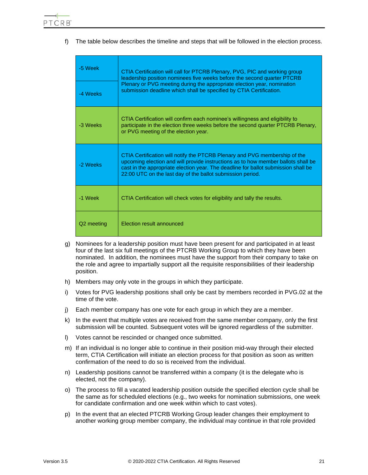f) The table below describes the timeline and steps that will be followed in the election process.

| -5 Week    | CTIA Certification will call for PTCRB Plenary, PVG, PIC and working group<br>leadership position nominees five weeks before the second quarter PTCRB                                                                                                                                                               |  |
|------------|---------------------------------------------------------------------------------------------------------------------------------------------------------------------------------------------------------------------------------------------------------------------------------------------------------------------|--|
| -4 Weeks   | Plenary or PVG meeting during the appropriate election year, nomination<br>submission deadline which shall be specified by CTIA Certification.                                                                                                                                                                      |  |
| -3 Weeks   | CTIA Certification will confirm each nominee's willingness and eligibility to<br>participate in the election three weeks before the second quarter PTCRB Plenary,<br>or PVG meeting of the election year.                                                                                                           |  |
| -2 Weeks   | CTIA Certification will notify the PTCRB Plenary and PVG membership of the<br>upcoming election and will provide instructions as to how member ballots shall be<br>cast in the appropriate election year. The deadline for ballot submission shall be<br>22:00 UTC on the last day of the ballot submission period. |  |
| -1 Week    | CTIA Certification will check votes for eligibility and tally the results.                                                                                                                                                                                                                                          |  |
| Q2 meeting | Election result announced                                                                                                                                                                                                                                                                                           |  |

- g) Nominees for a leadership position must have been present for and participated in at least four of the last six full meetings of the PTCRB Working Group to which they have been nominated. In addition, the nominees must have the support from their company to take on the role and agree to impartially support all the requisite responsibilities of their leadership position.
- h) Members may only vote in the groups in which they participate.
- i) Votes for PVG leadership positions shall only be cast by members recorded in PVG.02 at the time of the vote.
- j) Each member company has one vote for each group in which they are a member.
- k) In the event that multiple votes are received from the same member company, only the first submission will be counted. Subsequent votes will be ignored regardless of the submitter.
- l) Votes cannot be rescinded or changed once submitted.
- m) If an individual is no longer able to continue in their position mid-way through their elected term, CTIA Certification will initiate an election process for that position as soon as written confirmation of the need to do so is received from the individual.
- n) Leadership positions cannot be transferred within a company (it is the delegate who is elected, not the company).
- o) The process to fill a vacated leadership position outside the specified election cycle shall be the same as for scheduled elections (e.g., two weeks for nomination submissions, one week for candidate confirmation and one week within which to cast votes).
- p) In the event that an elected PTCRB Working Group leader changes their employment to another working group member company, the individual may continue in that role provided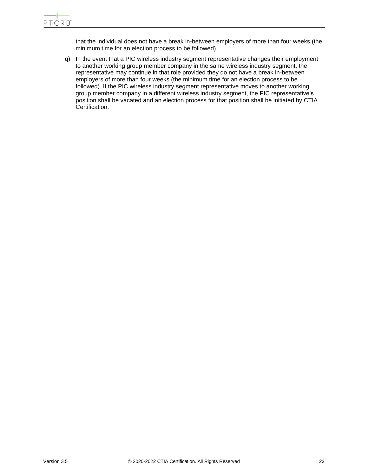that the individual does not have a break in-between employers of more than four weeks (the minimum time for an election process to be followed).

q) In the event that a PIC wireless industry segment representative changes their employment to another working group member company in the same wireless industry segment, the representative may continue in that role provided they do not have a break in-between employers of more than four weeks (the minimum time for an election process to be followed). If the PIC wireless industry segment representative moves to another working group member company in a different wireless industry segment, the PIC representative's position shall be vacated and an election process for that position shall be initiated by CTIA Certification.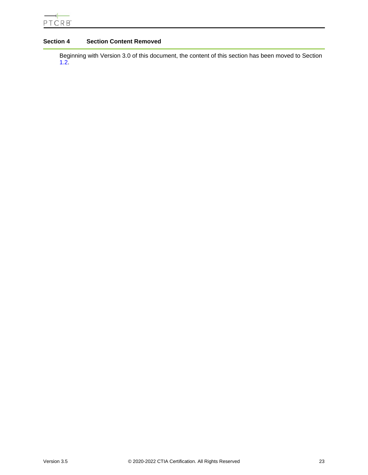# <span id="page-22-0"></span>**Section 4 Section Content Removed**

Beginning with Version 3.0 of this document, the content of this section has been moved to Section [1.2.](#page-7-2)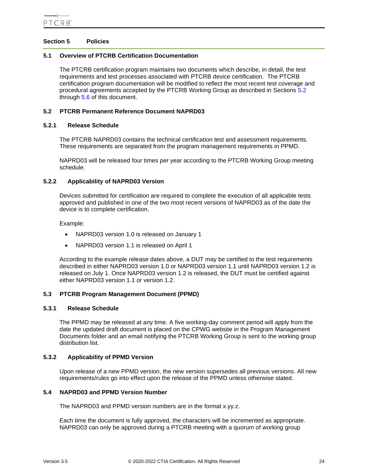# <span id="page-23-0"></span>**Section 5 Policies**

#### <span id="page-23-1"></span>**5.1 Overview of PTCRB Certification Documentation**

The PTCRB certification program maintains two documents which describe, in detail, the test requirements and test processes associated with PTCRB device certification. The PTCRB certification program documentation will be modified to reflect the most recent test coverage and procedural agreements accepted by the PTCRB Working Group as described in Sections [5.2](#page-23-2) through [5.6](#page-24-4) of this document.

#### <span id="page-23-2"></span>**5.2 PTCRB Permanent Reference Document NAPRD03**

#### <span id="page-23-3"></span>**5.2.1 Release Schedule**

The PTCRB NAPRD03 contains the technical certification test and assessment requirements. These requirements are separated from the program management requirements in PPMD.

NAPRD03 will be released four times per year according to the PTCRB Working Group meeting schedule.

#### <span id="page-23-4"></span>**5.2.2 Applicability of NAPRD03 Version**

Devices submitted for certification are required to complete the execution of all applicable tests approved and published in one of the two most recent versions of NAPRD03 as of the date the device is to complete certification.

Example:

- NAPRD03 version 1.0 is released on January 1
- NAPRD03 version 1.1 is released on April 1

According to the example release dates above, a DUT may be certified to the test requirements described in either NAPRD03 version 1.0 or NAPRD03 version 1.1 until NAPRD03 version 1.2 is released on July 1. Once NAPRD03 version 1.2 is released, the DUT must be certified against either NAPRD03 version 1.1 or version 1.2.

# <span id="page-23-5"></span>**5.3 PTCRB Program Management Document (PPMD)**

#### <span id="page-23-6"></span>**5.3.1 Release Schedule**

The PPMD may be released at any time. A five working-day comment period will apply from the date the updated draft document is placed on the CPWG website in the Program Management Documents folder and an email notifying the PTCRB Working Group is sent to the working group distribution list.

#### <span id="page-23-7"></span>**5.3.2 Applicability of PPMD Version**

Upon release of a new PPMD version, the new version supersedes all previous versions. All new requirements/rules go into effect upon the release of the PPMD unless otherwise stated.

# <span id="page-23-8"></span>**5.4 NAPRD03 and PPMD Version Number**

The NAPRD03 and PPMD version numbers are in the format x.yy.z.

Each time the document is fully approved, the characters will be incremented as appropriate. NAPRD03 can only be approved during a PTCRB meeting with a quorum of working group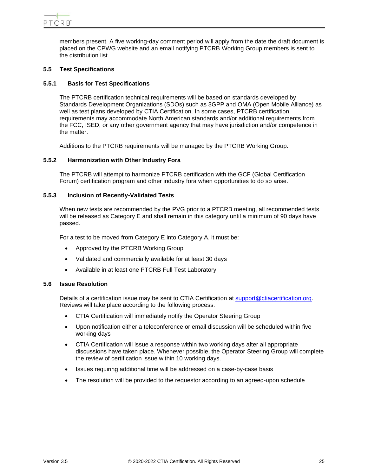members present. A five working-day comment period will apply from the date the draft document is placed on the CPWG website and an email notifying PTCRB Working Group members is sent to the distribution list.

# <span id="page-24-0"></span>**5.5 Test Specifications**

# <span id="page-24-1"></span>**5.5.1 Basis for Test Specifications**

The PTCRB certification technical requirements will be based on standards developed by Standards Development Organizations (SDOs) such as 3GPP and OMA (Open Mobile Alliance) as well as test plans developed by CTIA Certification. In some cases, PTCRB certification requirements may accommodate North American standards and/or additional requirements from the FCC, ISED, or any other government agency that may have jurisdiction and/or competence in the matter.

Additions to the PTCRB requirements will be managed by the PTCRB Working Group.

# <span id="page-24-2"></span>**5.5.2 Harmonization with Other Industry Fora**

The PTCRB will attempt to harmonize PTCRB certification with the GCF (Global Certification Forum) certification program and other industry fora when opportunities to do so arise.

# <span id="page-24-3"></span>**5.5.3 Inclusion of Recently-Validated Tests**

When new tests are recommended by the PVG prior to a PTCRB meeting, all recommended tests will be released as Category E and shall remain in this category until a minimum of 90 days have passed.

For a test to be moved from Category E into Category A, it must be:

- Approved by the PTCRB Working Group
- Validated and commercially available for at least 30 days
- Available in at least one PTCRB Full Test Laboratory

# <span id="page-24-4"></span>**5.6 Issue Resolution**

Details of a certification issue may be sent to CTIA Certification at [support@ctiacertification.org.](mailto:support@ctiacertification.org) Reviews will take place according to the following process:

- CTIA Certification will immediately notify the Operator Steering Group
- Upon notification either a teleconference or email discussion will be scheduled within five working days
- CTIA Certification will issue a response within two working days after all appropriate discussions have taken place. Whenever possible, the Operator Steering Group will complete the review of certification issue within 10 working days.
- Issues requiring additional time will be addressed on a case-by-case basis
- The resolution will be provided to the requestor according to an agreed-upon schedule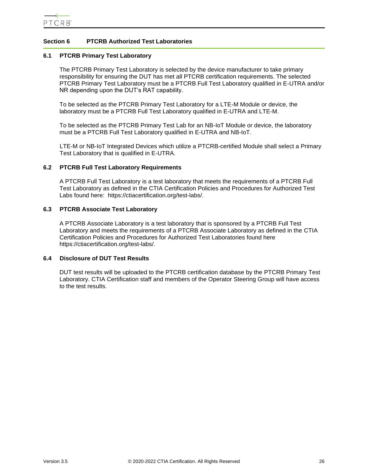# <span id="page-25-0"></span>**Section 6 PTCRB Authorized Test Laboratories**

# <span id="page-25-1"></span>**6.1 PTCRB Primary Test Laboratory**

The PTCRB Primary Test Laboratory is selected by the device manufacturer to take primary responsibility for ensuring the DUT has met all PTCRB certification requirements. The selected PTCRB Primary Test Laboratory must be a PTCRB Full Test Laboratory qualified in E-UTRA and/or NR depending upon the DUT's RAT capability.

To be selected as the PTCRB Primary Test Laboratory for a LTE-M Module or device, the laboratory must be a PTCRB Full Test Laboratory qualified in E-UTRA and LTE-M.

To be selected as the PTCRB Primary Test Lab for an NB-IoT Module or device, the laboratory must be a PTCRB Full Test Laboratory qualified in E-UTRA and NB-IoT.

<span id="page-25-2"></span>LTE-M or NB-IoT Integrated Devices which utilize a PTCRB-certified Module shall select a Primary Test Laboratory that is qualified in E-UTRA.

#### <span id="page-25-3"></span>**6.2 PTCRB Full Test Laboratory Requirements**

A PTCRB Full Test Laboratory is a test laboratory that meets the requirements of a PTCRB Full Test Laboratory as defined in the CTIA Certification Policies and Procedures for Authorized Test Labs found here: https://ctiacertification.org/test-labs/.

#### <span id="page-25-4"></span>**6.3 PTCRB Associate Test Laboratory**

A PTCRB Associate Laboratory is a test laboratory that is sponsored by a PTCRB Full Test Laboratory and meets the requirements of a PTCRB Associate Laboratory as defined in the CTIA Certification Policies and Procedures for Authorized Test Laboratories found here https://ctiacertification.org/test-labs/.

#### <span id="page-25-5"></span>**6.4 Disclosure of DUT Test Results**

DUT test results will be uploaded to the PTCRB certification database by the PTCRB Primary Test Laboratory. CTIA Certification staff and members of the Operator Steering Group will have access to the test results.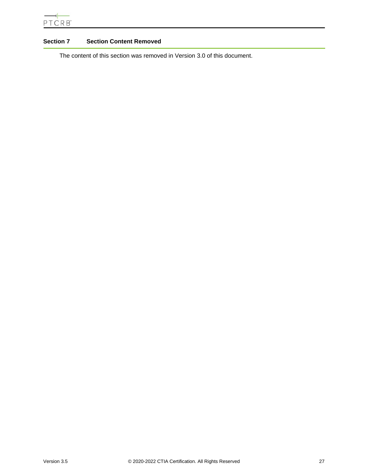# <span id="page-26-0"></span>**Section 7 Section Content Removed**

The content of this section was removed in Version 3.0 of this document.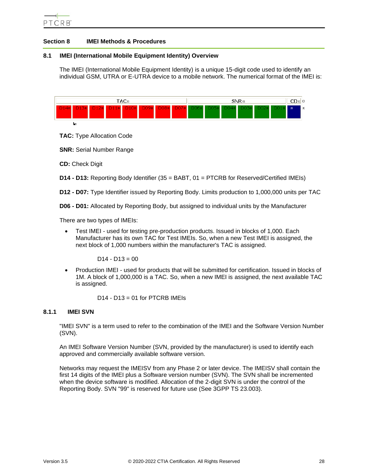# <span id="page-27-0"></span>**Section 8 IMEI Methods & Procedures**

# <span id="page-27-1"></span>**8.1 IMEI (International Mobile Equipment Identity) Overview**

The IMEI (International Mobile Equipment Identity) is a unique 15-digit code used to identify an individual GSM, UTRA or E-UTRA device to a mobile network. The numerical format of the IMEI is:



**TAC:** Type Allocation Code

**SNR:** Serial Number Range

**CD:** Check Digit

**D14 - D13:** Reporting Body Identifier (35 = BABT, 01 = PTCRB for Reserved/Certified IMEIs)

**D12 - D07:** Type Identifier issued by Reporting Body. Limits production to 1,000,000 units per TAC

**D06 - D01:** Allocated by Reporting Body, but assigned to individual units by the Manufacturer

There are two types of IMEIs:

• Test IMEI - used for testing pre-production products. Issued in blocks of 1,000. Each Manufacturer has its own TAC for Test IMEIs. So, when a new Test IMEI is assigned, the next block of 1,000 numbers within the manufacturer's TAC is assigned.

 $D14 - D13 = 00$ 

• Production IMEI - used for products that will be submitted for certification. Issued in blocks of 1M. A block of 1,000,000 is a TAC. So, when a new IMEI is assigned, the next available TAC is assigned.

 $D14 - D13 = 01$  for PTCRB IMEIs

# <span id="page-27-2"></span>**8.1.1 IMEI SVN**

"IMEI SVN" is a term used to refer to the combination of the IMEI and the Software Version Number (SVN).

An IMEI Software Version Number (SVN, provided by the manufacturer) is used to identify each approved and commercially available software version.

Networks may request the IMEISV from any Phase 2 or later device. The IMEISV shall contain the first 14 digits of the IMEI plus a Software version number (SVN). The SVN shall be incremented when the device software is modified. Allocation of the 2-digit SVN is under the control of the Reporting Body. SVN "99" is reserved for future use (See 3GPP TS 23.003).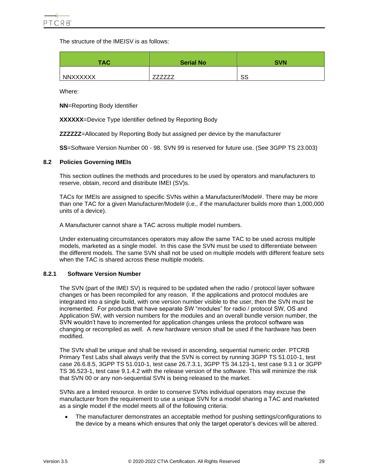The structure of the IMEISV is as follows:

| <b>TAC</b>      | <b>Serial No</b> | <b>SVN</b> |
|-----------------|------------------|------------|
| <b>NNXXXXXX</b> |                  | SS         |

Where:

**NN**=Reporting Body Identifier

**XXXXXX**=Device Type Identifier defined by Reporting Body

**ZZZZZZ**=Allocated by Reporting Body but assigned per device by the manufacturer

**SS**=Software Version Number 00 - 98. SVN 99 is reserved for future use. (See 3GPP TS 23.003)

# <span id="page-28-0"></span>**8.2 Policies Governing IMEIs**

This section outlines the methods and procedures to be used by operators and manufacturers to reserve, obtain, record and distribute IMEI (SV)s.

TACs for IMEIs are assigned to specific SVNs within a Manufacturer/Model#. There may be more than one TAC for a given Manufacturer/Model# (i.e., if the manufacturer builds more than 1,000,000 units of a device).

A Manufacturer cannot share a TAC across multiple model numbers.

Under extenuating circumstances operators may allow the same TAC to be used across multiple models, marketed as a single model. In this case the SVN must be used to differentiate between the different models. The same SVN shall not be used on multiple models with different feature sets when the TAC is shared across these multiple models.

# <span id="page-28-1"></span>**8.2.1 Software Version Number**

The SVN (part of the IMEI SV) is required to be updated when the radio / protocol layer software changes or has been recompiled for any reason. If the applications and protocol modules are integrated into a single build, with one version number visible to the user, then the SVN must be incremented. For products that have separate SW "modules" for radio / protocol SW, OS and Application SW, with version numbers for the modules and an overall bundle version number, the SVN wouldn't have to incremented for application changes unless the protocol software was changing or recompiled as well. A new hardware version shall be used if the hardware has been modified.

The SVN shall be unique and shall be revised in ascending, sequential numeric order. PTCRB Primary Test Labs shall always verify that the SVN is correct by running 3GPP TS 51.010-1, test case 26.6.8.5, 3GPP TS 51.010-1, test case 26.7.3.1, 3GPP TS 34.123-1, test case 9.3.1 or 3GPP TS 36.523-1, test case 9.1.4.2 with the release version of the software. This will minimize the risk that SVN 00 or any non-sequential SVN is being released to the market.

SVNs are a limited resource. In order to conserve SVNs individual operators may excuse the manufacturer from the requirement to use a unique SVN for a model sharing a TAC and marketed as a single model if the model meets all of the following criteria:

• The manufacturer demonstrates an acceptable method for pushing settings/configurations to the device by a means which ensures that only the target operator's devices will be altered.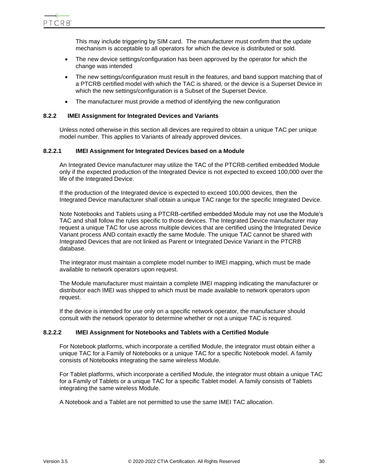This may include triggering by SIM card. The manufacturer must confirm that the update mechanism is acceptable to all operators for which the device is distributed or sold.

- The new device settings/configuration has been approved by the operator for which the change was intended
- The new settings/configuration must result in the features, and band support matching that of a PTCRB certified model with which the TAC is shared, or the device is a Superset Device in which the new settings/configuration is a Subset of the Superset Device.
- The manufacturer must provide a method of identifying the new configuration

# <span id="page-29-0"></span>**8.2.2 IMEI Assignment for Integrated Devices and Variants**

Unless noted otherwise in this section all devices are required to obtain a unique TAC per unique model number. This applies to Variants of already approved devices.

#### **8.2.2.1 IMEI Assignment for Integrated Devices based on a Module**

An Integrated Device manufacturer may utilize the TAC of the PTCRB-certified embedded Module only if the expected production of the Integrated Device is not expected to exceed 100,000 over the life of the Integrated Device.

If the production of the Integrated device is expected to exceed 100,000 devices, then the Integrated Device manufacturer shall obtain a unique TAC range for the specific Integrated Device.

Note Notebooks and Tablets using a PTCRB-certified embedded Module may not use the Module's TAC and shall follow the rules specific to those devices. The Integrated Device manufacturer may request a unique TAC for use across multiple devices that are certified using the Integrated Device Variant process AND contain exactly the same Module. The unique TAC cannot be shared with Integrated Devices that are not linked as Parent or Integrated Device Variant in the PTCRB database.

The integrator must maintain a complete model number to IMEI mapping, which must be made available to network operators upon request.

The Module manufacturer must maintain a complete IMEI mapping indicating the manufacturer or distributor each IMEI was shipped to which must be made available to network operators upon request.

If the device is intended for use only on a specific network operator, the manufacturer should consult with the network operator to determine whether or not a unique TAC is required.

# **8.2.2.2 IMEI Assignment for Notebooks and Tablets with a Certified Module**

For Notebook platforms, which incorporate a certified Module, the integrator must obtain either a unique TAC for a Family of Notebooks or a unique TAC for a specific Notebook model. A family consists of Notebooks integrating the same wireless Module.

For Tablet platforms, which incorporate a certified Module, the integrator must obtain a unique TAC for a Family of Tablets or a unique TAC for a specific Tablet model. A family consists of Tablets integrating the same wireless Module.

A Notebook and a Tablet are not permitted to use the same IMEI TAC allocation.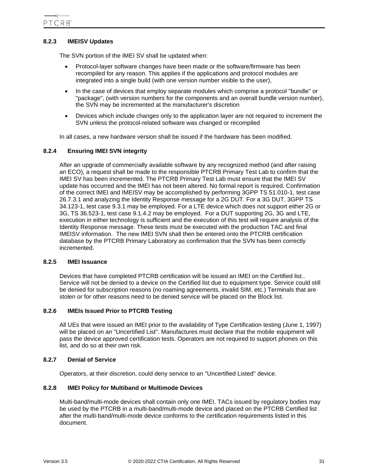# <span id="page-30-0"></span>**8.2.3 IMEISV Updates**

The SVN portion of the IMEI SV shall be updated when:

- Protocol-layer software changes have been made or the software/firmware has been recompiled for any reason. This applies if the applications and protocol modules are integrated into a single build (with one version number visible to the user),
- In the case of devices that employ separate modules which comprise a protocol "bundle" or "package", (with version numbers for the components and an overall bundle version number), the SVN may be incremented at the manufacturer's discretion
- Devices which include changes only to the application layer are not required to increment the SVN unless the protocol-related software was changed or recompiled

In all cases, a new hardware version shall be issued if the hardware has been modified.

# <span id="page-30-1"></span>**8.2.4 Ensuring IMEI SVN integrity**

After an upgrade of commercially available software by any recognized method (and after raising an ECO), a request shall be made to the responsible PTCRB Primary Test Lab to confirm that the IMEI SV has been incremented. The PTCRB Primary Test Lab must ensure that the IMEI SV update has occurred and the IMEI has not been altered. No formal report is required. Confirmation of the correct IMEI and IMEISV may be accomplished by performing 3GPP TS 51.010-1, test case 26.7.3.1 and analyzing the Identity Response message for a 2G DUT. For a 3G DUT, 3GPP TS 34.123-1, test case 9.3.1 may be employed. For a LTE device which does not support either 2G or 3G, TS 36.523-1, test case 9.1.4.2 may be employed. For a DUT supporting 2G, 3G and LTE, execution in either technology is sufficient and the execution of this test will require analysis of the Identity Response message. These tests must be executed with the production TAC and final IMEISV information. The new IMEI SVN shall then be entered onto the PTCRB certification database by the PTCRB Primary Laboratory as confirmation that the SVN has been correctly incremented.

# <span id="page-30-2"></span>**8.2.5 IMEI Issuance**

Devices that have completed PTCRB certification will be issued an IMEI on the Certified list.. Service will not be denied to a device on the Certified list due to equipment type. Service could still be denied for subscription reasons (no roaming agreements, invalid SIM, etc.) Terminals that are stolen or for other reasons need to be denied service will be placed on the Block list.

# <span id="page-30-3"></span>**8.2.6 IMEIs Issued Prior to PTCRB Testing**

All UEs that were issued an IMEI prior to the availability of Type Certification testing (June 1, 1997) will be placed on an "Uncertified List". Manufactures must declare that the mobile equipment will pass the device approved certification tests. Operators are not required to support phones on this list, and do so at their own risk.

# <span id="page-30-4"></span>**8.2.7 Denial of Service**

Operators, at their discretion, could deny service to an "Uncertified Listed" device.

# <span id="page-30-5"></span>**8.2.8 IMEI Policy for Multiband or Multimode Devices**

Multi-band/multi-mode devices shall contain only one IMEI. TACs issued by regulatory bodies may be used by the PTCRB in a multi-band/multi-mode device and placed on the PTCRB Certified list after the multi-band/multi-mode device conforms to the certification requirements listed in this document.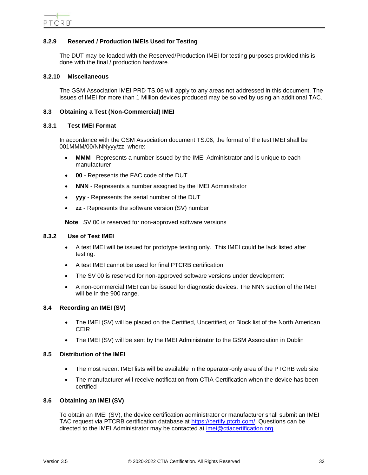# <span id="page-31-0"></span>**8.2.9 Reserved / Production IMEIs Used for Testing**

The DUT may be loaded with the Reserved/Production IMEI for testing purposes provided this is done with the final / production hardware.

#### <span id="page-31-1"></span>**8.2.10 Miscellaneous**

The GSM Association IMEI PRD TS.06 will apply to any areas not addressed in this document. The issues of IMEI for more than 1 Million devices produced may be solved by using an additional TAC.

#### <span id="page-31-2"></span>**8.3 Obtaining a Test (Non-Commercial) IMEI**

#### <span id="page-31-3"></span>**8.3.1 Test IMEI Format**

In accordance with the GSM Association document TS.06, the format of the test IMEI shall be 001MMM/00/NNNyyy/zz, where:

- **MMM** Represents a number issued by the IMEI Administrator and is unique to each manufacturer
- **00** Represents the FAC code of the DUT
- **NNN** Represents a number assigned by the IMEI Administrator
- **yyy** Represents the serial number of the DUT
- **zz** Represents the software version (SV) number

**Note**: SV 00 is reserved for non-approved software versions

#### <span id="page-31-4"></span>**8.3.2 Use of Test IMEI**

- A test IMEI will be issued for prototype testing only. This IMEI could be lack listed after testing.
- A test IMEI cannot be used for final PTCRB certification
- The SV 00 is reserved for non-approved software versions under development
- A non-commercial IMEI can be issued for diagnostic devices. The NNN section of the IMEI will be in the 900 range.

# <span id="page-31-5"></span>**8.4 Recording an IMEI (SV)**

- The IMEI (SV) will be placed on the Certified, Uncertified, or Block list of the North American CEIR
- The IMEI (SV) will be sent by the IMEI Administrator to the GSM Association in Dublin

#### <span id="page-31-6"></span>**8.5 Distribution of the IMEI**

- The most recent IMEI lists will be available in the operator-only area of the PTCRB web site
- The manufacturer will receive notification from CTIA Certification when the device has been certified

# <span id="page-31-7"></span>**8.6 Obtaining an IMEI (SV)**

To obtain an IMEI (SV), the device certification administrator or manufacturer shall submit an IMEI TAC request via PTCRB certification database at [https://certify.ptcrb.com/.](https://certify.ptcrb.com/) Questions can be directed to the IMEI Administrator may be contacted at [imei@ctiacertification.org.](mailto:imei@ctiacertification.org)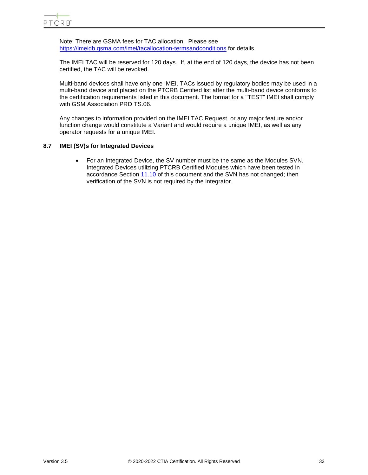Note: There are GSMA fees for TAC allocation. Please see <https://imeidb.gsma.com/imei/tacallocation-termsandconditions> for details.

The IMEI TAC will be reserved for 120 days. If, at the end of 120 days, the device has not been certified, the TAC will be revoked.

Multi-band devices shall have only one IMEI. TACs issued by regulatory bodies may be used in a multi-band device and placed on the PTCRB Certified list after the multi-band device conforms to the certification requirements listed in this document. The format for a "TEST" IMEI shall comply with GSM Association PRD TS.06.

Any changes to information provided on the IMEI TAC Request, or any major feature and/or function change would constitute a Variant and would require a unique IMEI, as well as any operator requests for a unique IMEI.

# <span id="page-32-0"></span>**8.7 IMEI (SV)s for Integrated Devices**

• For an Integrated Device, the SV number must be the same as the Modules SVN. Integrated Devices utilizing PTCRB Certified Modules which have been tested in accordance Section [11.10](#page-53-0) of this document and the SVN has not changed; then verification of the SVN is not required by the integrator.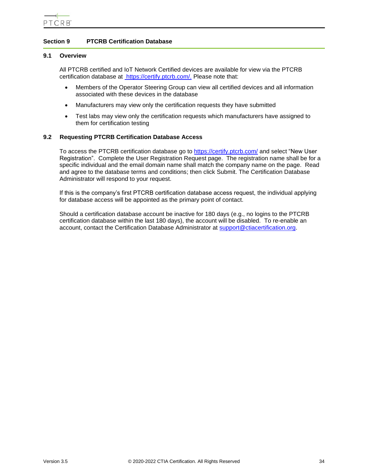# <span id="page-33-0"></span>**Section 9 PTCRB Certification Database**

#### <span id="page-33-1"></span>**9.1 Overview**

All PTCRB certified and IoT Network Certified devices are available for view via the PTCRB certification database at [https://certify.ptcrb.com/.](https://certify.ptcrb.com/) Please note that:

- Members of the Operator Steering Group can view all certified devices and all information associated with these devices in the database
- Manufacturers may view only the certification requests they have submitted
- Test labs may view only the certification requests which manufacturers have assigned to them for certification testing

# <span id="page-33-2"></span>**9.2 Requesting PTCRB Certification Database Access**

To access the PTCRB certification database go to<https://certify.ptcrb.com/> and select "New User Registration". Complete the User Registration Request page. The registration name shall be for a specific individual and the email domain name shall match the company name on the page. Read and agree to the database terms and conditions; then click Submit. The Certification Database Administrator will respond to your request.

If this is the company's first PTCRB certification database access request, the individual applying for database access will be appointed as the primary point of contact.

Should a certification database account be inactive for 180 days (e.g., no logins to the PTCRB certification database within the last 180 days), the account will be disabled. To re-enable an account, contact the Certification Database Administrator at [support@ctiacertification.org.](mailto:support@ctiacertification.org)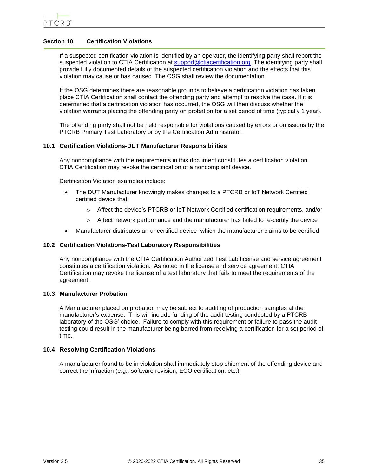# <span id="page-34-0"></span>**Section 10 Certification Violations**

If a suspected certification violation is identified by an operator, the identifying party shall report the suspected violation to CTIA Certification at [support@ctiacertification.org.](mailto:support@ctiacertification.org) The identifying party shall provide fully documented details of the suspected certification violation and the effects that this violation may cause or has caused. The OSG shall review the documentation.

If the OSG determines there are reasonable grounds to believe a certification violation has taken place CTIA Certification shall contact the offending party and attempt to resolve the case. If it is determined that a certification violation has occurred, the OSG will then discuss whether the violation warrants placing the offending party on probation for a set period of time (typically 1 year).

The offending party shall not be held responsible for violations caused by errors or omissions by the PTCRB Primary Test Laboratory or by the Certification Administrator.

# <span id="page-34-1"></span>**10.1 Certification Violations-DUT Manufacturer Responsibilities**

Any noncompliance with the requirements in this document constitutes a certification violation. CTIA Certification may revoke the certification of a noncompliant device.

Certification Violation examples include:

- The DUT Manufacturer knowingly makes changes to a PTCRB or IoT Network Certified certified device that:
	- o Affect the device's PTCRB or IoT Network Certified certification requirements, and/or
	- $\circ$  Affect network performance and the manufacturer has failed to re-certify the device
- Manufacturer distributes an uncertified device which the manufacturer claims to be certified

# <span id="page-34-2"></span>**10.2 Certification Violations-Test Laboratory Responsibilities**

Any noncompliance with the CTIA Certification Authorized Test Lab license and service agreement constitutes a certification violation. As noted in the license and service agreement, CTIA Certification may revoke the license of a test laboratory that fails to meet the requirements of the agreement.

# <span id="page-34-3"></span>**10.3 Manufacturer Probation**

A Manufacturer placed on probation may be subject to auditing of production samples at the manufacturer's expense. This will include funding of the audit testing conducted by a PTCRB laboratory of the OSG' choice. Failure to comply with this requirement or failure to pass the audit testing could result in the manufacturer being barred from receiving a certification for a set period of time.

# <span id="page-34-4"></span>**10.4 Resolving Certification Violations**

A manufacturer found to be in violation shall immediately stop shipment of the offending device and correct the infraction (e.g., software revision, ECO certification, etc.).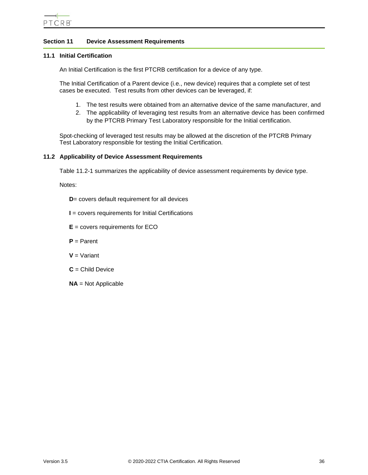

# <span id="page-35-0"></span>**Section 11 Device Assessment Requirements**

#### <span id="page-35-1"></span>**11.1 Initial Certification**

An Initial Certification is the first PTCRB certification for a device of any type.

The Initial Certification of a Parent device (i.e., new device) requires that a complete set of test cases be executed. Test results from other devices can be leveraged, if:

- 1. The test results were obtained from an alternative device of the same manufacturer, and
- 2. The applicability of leveraging test results from an alternative device has been confirmed by the PTCRB Primary Test Laboratory responsible for the Initial certification.

Spot-checking of leveraged test results may be allowed at the discretion of the PTCRB Primary Test Laboratory responsible for testing the Initial Certification.

#### <span id="page-35-2"></span>**11.2 Applicability of Device Assessment Requirements**

[Table 11.2-1](#page-36-1) summarizes the applicability of device assessment requirements by device type.

Notes:

**D**= covers default requirement for all devices

- **I** = covers requirements for Initial Certifications
- **E** = covers requirements for ECO
- **P** = Parent
- **V** = Variant
- **C** = Child Device
- **NA** = Not Applicable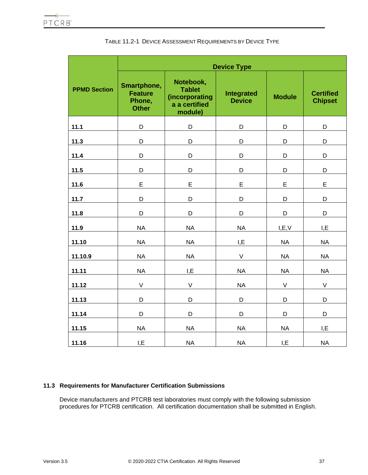|                     | <b>Device Type</b>                                      |                                                                          |                             |               |                                    |
|---------------------|---------------------------------------------------------|--------------------------------------------------------------------------|-----------------------------|---------------|------------------------------------|
| <b>PPMD Section</b> | Smartphone,<br><b>Feature</b><br>Phone,<br><b>Other</b> | Notebook,<br><b>Tablet</b><br>(incorporating<br>a a certified<br>module) | Integrated<br><b>Device</b> | <b>Module</b> | <b>Certified</b><br><b>Chipset</b> |
| 11.1                | D                                                       | D                                                                        | D                           | D             | D                                  |
| 11.3                | D                                                       | D                                                                        | D                           | D             | D                                  |
| 11.4                | D                                                       | D                                                                        | D                           | D             | D                                  |
| 11.5                | D                                                       | D                                                                        | D                           | D             | D                                  |
| 11.6                | E                                                       | E                                                                        | E                           | E             | E                                  |
| 11.7                | D                                                       | D                                                                        | D                           | D             | D                                  |
| 11.8                | D                                                       | D                                                                        | D                           | D             | D                                  |
| 11.9                | <b>NA</b>                                               | <b>NA</b>                                                                | <b>NA</b>                   | I, E, V       | I, E                               |
| 11.10               | <b>NA</b>                                               | <b>NA</b>                                                                | I,E                         | <b>NA</b>     | <b>NA</b>                          |
| 11.10.9             | <b>NA</b>                                               | <b>NA</b>                                                                | $\vee$                      | <b>NA</b>     | <b>NA</b>                          |
| 11.11               | <b>NA</b>                                               | I, E                                                                     | <b>NA</b>                   | <b>NA</b>     | <b>NA</b>                          |
| 11.12               | $\vee$                                                  | $\mathsf{V}$                                                             | <b>NA</b>                   | V             | $\mathsf V$                        |
| 11.13               | D                                                       | D                                                                        | D                           | D             | D                                  |
| 11.14               | D                                                       | D                                                                        | D                           | D             | D                                  |
| 11.15               | <b>NA</b>                                               | <b>NA</b>                                                                | <b>NA</b>                   | <b>NA</b>     | I, E                               |
| 11.16               | I,E                                                     | <b>NA</b>                                                                | <b>NA</b>                   | I, E          | <b>NA</b>                          |

# TABLE 11.2-1 DEVICE ASSESSMENT REQUIREMENTS BY DEVICE TYPE

# **11.3 Requirements for Manufacturer Certification Submissions**

Device manufacturers and PTCRB test laboratories must comply with the following submission procedures for PTCRB certification. All certification documentation shall be submitted in English.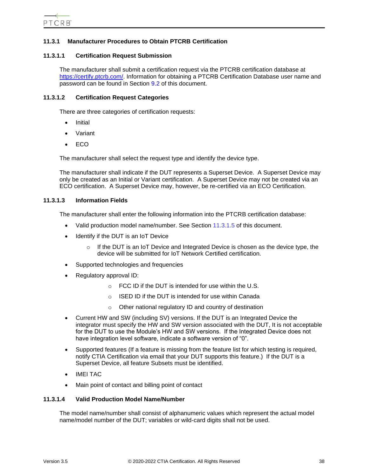# **11.3.1 Manufacturer Procedures to Obtain PTCRB Certification**

## **11.3.1.1 Certification Request Submission**

The manufacturer shall submit a certification request via the PTCRB certification database at [https://certify.ptcrb.com/.](https://certify.ptcrb.com/) Information for obtaining a PTCRB Certification Database user name and password can be found in Section [9.2](#page-33-0) of this document.

### **11.3.1.2 Certification Request Categories**

There are three categories of certification requests:

- **Initial**
- Variant
- ECO

The manufacturer shall select the request type and identify the device type.

The manufacturer shall indicate if the DUT represents a Superset Device. A Superset Device may only be created as an Initial or Variant certification. A Superset Device may not be created via an ECO certification. A Superset Device may, however, be re-certified via an ECO Certification.

## **11.3.1.3 Information Fields**

The manufacturer shall enter the following information into the PTCRB certification database:

- Valid production model name/number. See Section [11.3.1.5](#page-38-0) of this document.
- Identify if the DUT is an IoT Device
	- $\circ$  If the DUT is an IoT Device and Integrated Device is chosen as the device type, the device will be submitted for IoT Network Certified certification.
- Supported technologies and frequencies
- Regulatory approval ID:
	- $\circ$  FCC ID if the DUT is intended for use within the U.S.
	- o ISED ID if the DUT is intended for use within Canada
	- o Other national regulatory ID and country of destination
- Current HW and SW (including SV) versions. If the DUT is an Integrated Device the integrator must specify the HW and SW version associated with the DUT, It is not acceptable for the DUT to use the Module's HW and SW versions. If the Integrated Device does not have integration level software, indicate a software version of "0".
- Supported features (If a feature is missing from the feature list for which testing is required, notify CTIA Certification via email that your DUT supports this feature.) If the DUT is a Superset Device, all feature Subsets must be identified.
- IMEI TAC
- Main point of contact and billing point of contact

## **11.3.1.4 Valid Production Model Name/Number**

The model name/number shall consist of alphanumeric values which represent the actual model name/model number of the DUT; variables or wild-card digits shall not be used.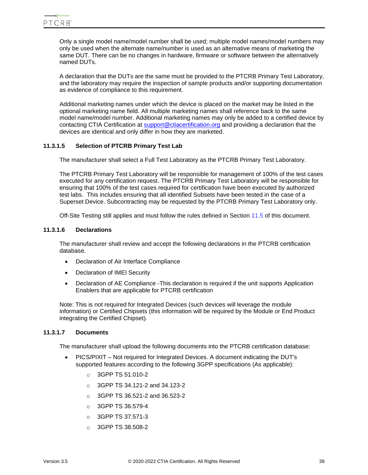Only a single model name/model number shall be used; multiple model names/model numbers may only be used when the alternate name/number is used as an alternative means of marketing the same DUT. There can be no changes in hardware, firmware or software between the alternatively named DUTs.

A declaration that the DUTs are the same must be provided to the PTCRB Primary Test Laboratory, and the laboratory may require the inspection of sample products and/or supporting documentation as evidence of compliance to this requirement.

Additional marketing names under which the device is placed on the market may be listed in the optional marketing name field. All multiple marketing names shall reference back to the same model name/model number. Additional marketing names may only be added to a certified device by contacting CTIA Certification at [support@ctiacertification.org](mailto:support@ctiacertification.org) and providing a declaration that the devices are identical and only differ in how they are marketed.

# <span id="page-38-0"></span>**11.3.1.5 Selection of PTCRB Primary Test Lab**

The manufacturer shall select a Full Test Laboratory as the PTCRB Primary Test Laboratory.

The PTCRB Primary Test Laboratory will be responsible for management of 100% of the test cases executed for any certification request. The PTCRB Primary Test Laboratory will be responsible for ensuring that 100% of the test cases required for certification have been executed by authorized test labs. This includes ensuring that all identified Subsets have been tested in the case of a Superset Device. Subcontracting may be requested by the PTCRB Primary Test Laboratory only.

Off-Site Testing still applies and must follow the rules defined in Section [11.5](#page-44-0) of this document.

# **11.3.1.6 Declarations**

The manufacturer shall review and accept the following declarations in the PTCRB certification database.

- Declaration of Air Interface Compliance
- Declaration of IMEI Security
- Declaration of AE Compliance -This declaration is required if the unit supports Application Enablers that are applicable for PTCRB certification

Note: This is not required for Integrated Devices (such devices will leverage the module information) or Certified Chipsets (this information will be required by the Module or End Product integrating the Certified Chipset).

## **11.3.1.7 Documents**

The manufacturer shall upload the following documents into the PTCRB certification database:

- PICS/PIXIT Not required for Integrated Devices. A document indicating the DUT's supported features according to the following 3GPP specifications (As applicable):
	- o 3GPP TS 51.010-2
	- o 3GPP TS 34.121-2 and 34.123-2
	- o 3GPP TS 36.521-2 and 36.523-2
	- o 3GPP TS 36.579-4
	- o 3GPP TS 37.571-3
	- o 3GPP TS 38.508-2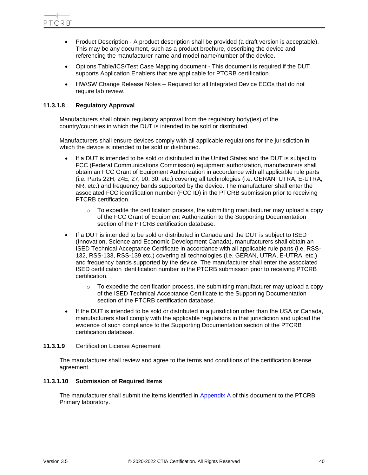

- Product Description A product description shall be provided (a draft version is acceptable). This may be any document, such as a product brochure, describing the device and referencing the manufacturer name and model name/number of the device.
- Options Table/ICS/Test Case Mapping document This document is required if the DUT supports Application Enablers that are applicable for PTCRB certification.
- HW/SW Change Release Notes Required for all Integrated Device ECOs that do not require lab review.

# **11.3.1.8 Regulatory Approval**

Manufacturers shall obtain regulatory approval from the regulatory body(ies) of the country/countries in which the DUT is intended to be sold or distributed.

Manufacturers shall ensure devices comply with all applicable regulations for the jurisdiction in which the device is intended to be sold or distributed.

- If a DUT is intended to be sold or distributed in the United States and the DUT is subject to FCC (Federal Communications Commission) equipment authorization, manufacturers shall obtain an FCC Grant of Equipment Authorization in accordance with all applicable rule parts (i.e. Parts 22H, 24E, 27, 90, 30, etc.) covering all technologies (i.e. GERAN, UTRA, E-UTRA, NR, etc.) and frequency bands supported by the device. The manufacturer shall enter the associated FCC identification number (FCC ID) in the PTCRB submission prior to receiving PTCRB certification.
	- $\circ$  To expedite the certification process, the submitting manufacturer may upload a copy of the FCC Grant of Equipment Authorization to the Supporting Documentation section of the PTCRB certification database.
- If a DUT is intended to be sold or distributed in Canada and the DUT is subject to ISED (Innovation, Science and Economic Development Canada), manufacturers shall obtain an ISED Technical Acceptance Certificate in accordance with all applicable rule parts (i.e. RSS-132, RSS-133, RSS-139 etc.) covering all technologies (i.e. GERAN, UTRA, E-UTRA, etc.) and frequency bands supported by the device. The manufacturer shall enter the associated ISED certification identification number in the PTCRB submission prior to receiving PTCRB certification.
	- $\circ$  To expedite the certification process, the submitting manufacturer may upload a copy of the ISED Technical Acceptance Certificate to the Supporting Documentation section of the PTCRB certification database.
- If the DUT is intended to be sold or distributed in a jurisdiction other than the USA or Canada, manufacturers shall comply with the applicable regulations in that jurisdiction and upload the evidence of such compliance to the Supporting Documentation section of the PTCRB certification database.

# **11.3.1.9** Certification License Agreement

The manufacturer shall review and agree to the terms and conditions of the certification license agreement.

## **11.3.1.10 Submission of Required Items**

The manufacturer shall submit the items identified in [Appendix A](#page-79-0) of this document to the PTCRB Primary laboratory.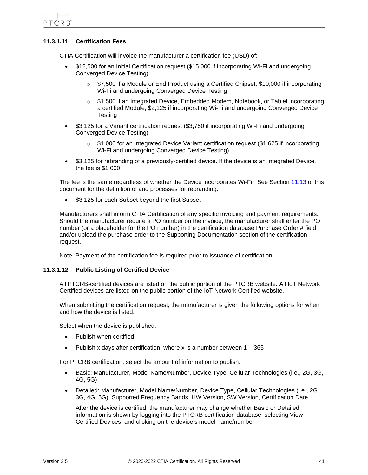PTCRB<sup>®</sup>

# **11.3.1.11 Certification Fees**

CTIA Certification will invoice the manufacturer a certification fee (USD) of:

- \$12,500 for an Initial Certification request (\$15,000 if incorporating Wi-Fi and undergoing Converged Device Testing)
	- \$7,500 if a Module or End Product using a Certified Chipset; \$10,000 if incorporating Wi-Fi and undergoing Converged Device Testing
	- o \$1,500 if an Integrated Device, Embedded Modem, Notebook, or Tablet incorporating a certified Module; \$2,125 if incorporating Wi-Fi and undergoing Converged Device **Testing**
- \$3,125 for a Variant certification request (\$3,750 if incorporating Wi-Fi and undergoing Converged Device Testing)
	- $\circ$  \$1,000 for an Integrated Device Variant certification request (\$1,625 if incorporating Wi-Fi and undergoing Converged Device Testing)
- \$3,125 for rebranding of a previously-certified device. If the device is an Integrated Device, the fee is \$1,000.

The fee is the same regardless of whether the Device incorporates Wi-Fi. See Section [11.13](#page-73-0) of this document for the definition of and processes for rebranding.

• \$3,125 for each Subset beyond the first Subset

Manufacturers shall inform CTIA Certification of any specific invoicing and payment requirements. Should the manufacturer require a PO number on the invoice, the manufacturer shall enter the PO number (or a placeholder for the PO number) in the certification database Purchase Order # field, and/or upload the purchase order to the Supporting Documentation section of the certification request.

Note: Payment of the certification fee is required prior to issuance of certification.

## **11.3.1.12 Public Listing of Certified Device**

All PTCRB-certified devices are listed on the public portion of the PTCRB website. All IoT Network Certified devices are listed on the public portion of the IoT Network Certified website.

When submitting the certification request, the manufacturer is given the following options for when and how the device is listed:

Select when the device is published:

- Publish when certified
- Publish x days after certification, where x is a number between  $1 365$

For PTCRB certification, select the amount of information to publish:

- Basic: Manufacturer, Model Name/Number, Device Type, Cellular Technologies (i.e., 2G, 3G, 4G, 5G)
- Detailed: Manufacturer, Model Name/Number, Device Type, Cellular Technologies (i.e., 2G, 3G, 4G, 5G), Supported Frequency Bands, HW Version, SW Version, Certification Date

After the device is certified, the manufacturer may change whether Basic or Detailed information is shown by logging into the PTCRB certification database, selecting View Certified Devices, and clicking on the device's model name/number.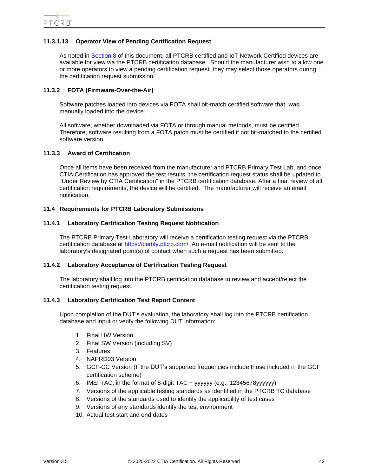# **11.3.1.13 Operator View of Pending Certification Request**

As noted in [Section 8](#page-27-0) of this document, all PTCRB certified and IoT Network Certified devices are available for view via the PTCRB certification database. Should the manufacturer wish to allow one or more operators to view a pending certification request, they may select those operators during the certification request submission.

## **11.3.2 FOTA (Firmware-Over-the-Air)**

Software patches loaded into devices via FOTA shall bit-match certified software that was manually loaded into the device.

All software, whether downloaded via FOTA or through manual methods, must be certified. Therefore, software resulting from a FOTA patch must be certified if not bit-matched to the certified software version.

## **11.3.3 Award of Certification**

Once all items have been received from the manufacturer and PTCRB Primary Test Lab, and once CTIA Certification has approved the test results, the certification request status shall be updated to "Under Review by CTIA Certification" in the PTCRB certification database. After a final review of all certification requirements, the device will be certified. The manufacturer will receive an email notification.

## **11.4 Requirements for PTCRB Laboratory Submissions**

#### **11.4.1 Laboratory Certification Testing Request Notification**

The PTCRB Primary Test Laboratory will receive a certification testing request via the PTCRB certification database at [https://certify.ptcrb.com/.](https://certify.ptcrb.com/) An e-mail notification will be sent to the laboratory's designated point(s) of contact when such a request has been submitted.

## **11.4.2 Laboratory Acceptance of Certification Testing Request**

The laboratory shall log into the PTCRB certification database to review and accept/reject the certification testing request.

## <span id="page-41-0"></span>**11.4.3 Laboratory Certification Test Report Content**

Upon completion of the DUT's evaluation, the laboratory shall log into the PTCRB certification database and input or verify the following DUT information:

- 1. Final HW Version
- 2. Final SW Version (including SV)
- 3. Features
- 4. NAPRD03 Version
- 5. GCF-CC Version (If the DUT's supported frequencies include those included in the GCF certification scheme)
- 6. IMEI TAC, in the format of 8-digit TAC + yyyyyy (e.g., 12345678yyyyyy)
- 7. Versions of the applicable testing standards as identified in the PTCRB TC database
- 8. Versions of the standards used to identify the applicability of test cases
- 9. Versions of any standards identify the test environment
- 10. Actual test start and end dates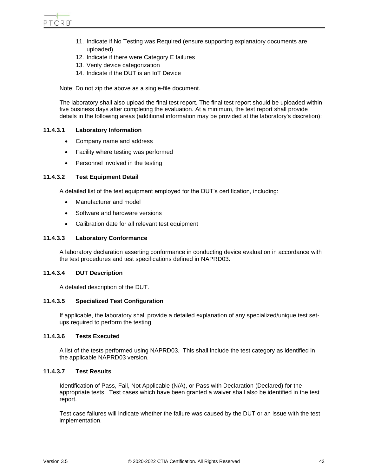- 11. Indicate if No Testing was Required (ensure supporting explanatory documents are uploaded)
- 12. Indicate if there were Category E failures
- 13. Verify device categorization
- 14. Indicate if the DUT is an IoT Device

Note: Do not zip the above as a single-file document.

The laboratory shall also upload the final test report. The final test report should be uploaded within five business days after completing the evaluation. At a minimum, the test report shall provide details in the following areas (additional information may be provided at the laboratory's discretion):

## **11.4.3.1 Laboratory Information**

- Company name and address
- Facility where testing was performed
- Personnel involved in the testing

## **11.4.3.2 Test Equipment Detail**

A detailed list of the test equipment employed for the DUT's certification, including:

- Manufacturer and model
- Software and hardware versions
- Calibration date for all relevant test equipment

## **11.4.3.3 Laboratory Conformance**

A laboratory declaration asserting conformance in conducting device evaluation in accordance with the test procedures and test specifications defined in NAPRD03.

## **11.4.3.4 DUT Description**

A detailed description of the DUT.

## **11.4.3.5 Specialized Test Configuration**

If applicable, the laboratory shall provide a detailed explanation of any specialized/unique test setups required to perform the testing.

# **11.4.3.6 Tests Executed**

A list of the tests performed using NAPRD03. This shall include the test category as identified in the applicable NAPRD03 version.

# **11.4.3.7 Test Results**

Identification of Pass, Fail, Not Applicable (N/A), or Pass with Declaration (Declared) for the appropriate tests. Test cases which have been granted a waiver shall also be identified in the test report.

Test case failures will indicate whether the failure was caused by the DUT or an issue with the test implementation.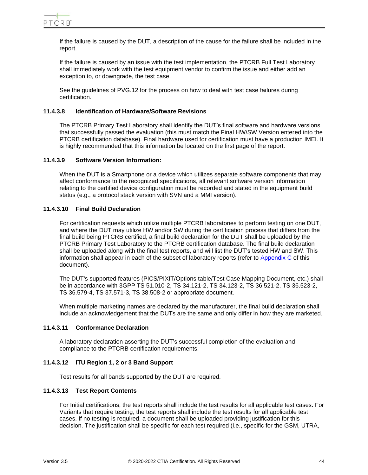If the failure is caused by the DUT, a description of the cause for the failure shall be included in the report.

If the failure is caused by an issue with the test implementation, the PTCRB Full Test Laboratory shall immediately work with the test equipment vendor to confirm the issue and either add an exception to, or downgrade, the test case.

See the guidelines of PVG.12 for the process on how to deal with test case failures during certification.

## **11.4.3.8 Identification of Hardware/Software Revisions**

The PTCRB Primary Test Laboratory shall identify the DUT's final software and hardware versions that successfully passed the evaluation (this must match the Final HW/SW Version entered into the PTCRB certification database). Final hardware used for certification must have a production IMEI. It is highly recommended that this information be located on the first page of the report.

# **11.4.3.9 Software Version Information:**

When the DUT is a Smartphone or a device which utilizes separate software components that may affect conformance to the recognized specifications, all relevant software version information relating to the certified device configuration must be recorded and stated in the equipment build status (e.g., a protocol stack version with SVN and a MMI version).

# **11.4.3.10 Final Build Declaration**

For certification requests which utilize multiple PTCRB laboratories to perform testing on one DUT, and where the DUT may utilize HW and/or SW during the certification process that differs from the final build being PTCRB certified, a final build declaration for the DUT shall be uploaded by the PTCRB Primary Test Laboratory to the PTCRB certification database. The final build declaration shall be uploaded along with the final test reports, and will list the DUT's tested HW and SW. This information shall appear in each of the subset of laboratory reports (refer to [Appendix C](#page-82-0) of this document).

The DUT's supported features (PICS/PIXIT/Options table/Test Case Mapping Document, etc.) shall be in accordance with 3GPP TS 51.010-2, TS 34.121-2, TS 34.123-2, TS 36.521-2, TS 36.523-2, TS 36.579-4, TS 37.571-3, TS 38.508-2 or appropriate document.

When multiple marketing names are declared by the manufacturer, the final build declaration shall include an acknowledgement that the DUTs are the same and only differ in how they are marketed.

## **11.4.3.11 Conformance Declaration**

A laboratory declaration asserting the DUT's successful completion of the evaluation and compliance to the PTCRB certification requirements.

# **11.4.3.12 ITU Region 1, 2 or 3 Band Support**

Test results for all bands supported by the DUT are required.

## **11.4.3.13 Test Report Contents**

For Initial certifications, the test reports shall include the test results for all applicable test cases. For Variants that require testing, the test reports shall include the test results for all applicable test cases. If no testing is required, a document shall be uploaded providing justification for this decision. The justification shall be specific for each test required (i.e., specific for the GSM, UTRA,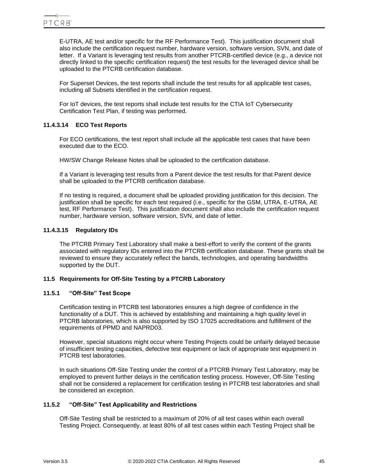E-UTRA, AE test and/or specific for the RF Performance Test). This justification document shall also include the certification request number, hardware version, software version, SVN, and date of letter. If a Variant is leveraging test results from another PTCRB-certified device (e.g., a device not directly linked to the specific certification request) the test results for the leveraged device shall be uploaded to the PTCRB certification database.

For Superset Devices, the test reports shall include the test results for all applicable test cases, including all Subsets identified in the certification request.

For IoT devices, the test reports shall include test results for the CTIA IoT Cybersecurity Certification Test Plan, if testing was performed.

# **11.4.3.14 ECO Test Reports**

For ECO certifications, the test report shall include all the applicable test cases that have been executed due to the ECO.

HW/SW Change Release Notes shall be uploaded to the certification database.

If a Variant is leveraging test results from a Parent device the test results for that Parent device shall be uploaded to the PTCRB certification database.

If no testing is required, a document shall be uploaded providing justification for this decision. The justification shall be specific for each test required (i.e., specific for the GSM, UTRA, E-UTRA, AE test, RF Performance Test). This justification document shall also include the certification request number, hardware version, software version, SVN, and date of letter.

## **11.4.3.15 Regulatory IDs**

The PTCRB Primary Test Laboratory shall make a best-effort to verify the content of the grants associated with regulatory IDs entered into the PTCRB certification database. These grants shall be reviewed to ensure they accurately reflect the bands, technologies, and operating bandwidths supported by the DUT.

## <span id="page-44-0"></span>**11.5 Requirements for Off-Site Testing by a PTCRB Laboratory**

## **11.5.1 "Off-Site" Test Scope**

Certification testing in PTCRB test laboratories ensures a high degree of confidence in the functionality of a DUT. This is achieved by establishing and maintaining a high quality level in PTCRB laboratories, which is also supported by ISO 17025 accreditations and fulfillment of the requirements of PPMD and NAPRD03.

However, special situations might occur where Testing Projects could be unfairly delayed because of insufficient testing capacities, defective test equipment or lack of appropriate test equipment in PTCRB test laboratories.

In such situations Off-Site Testing under the control of a PTCRB Primary Test Laboratory, may be employed to prevent further delays in the certification testing process. However, Off-Site Testing shall not be considered a replacement for certification testing in PTCRB test laboratories and shall be considered an exception.

## **11.5.2 "Off-Site" Test Applicability and Restrictions**

<span id="page-44-1"></span>Off-Site Testing shall be restricted to a maximum of 20% of all test cases within each overall Testing Project. Consequently, at least 80% of all test cases within each Testing Project shall be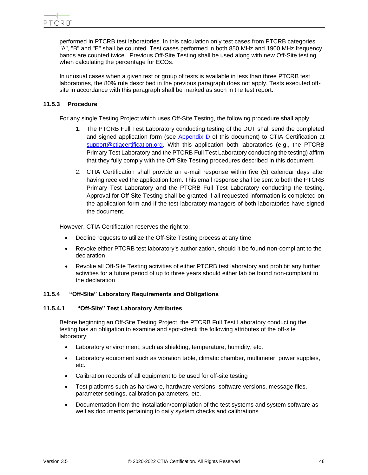performed in PTCRB test laboratories. In this calculation only test cases from PTCRB categories "A", "B" and "E" shall be counted. Test cases performed in both 850 MHz and 1900 MHz frequency bands are counted twice. Previous Off-Site Testing shall be used along with new Off-Site testing when calculating the percentage for ECOs.

In unusual cases when a given test or group of tests is available in less than three PTCRB test laboratories, the 80% rule described in the previous paragraph does not apply. Tests executed offsite in accordance with this paragraph shall be marked as such in the test report.

# **11.5.3 Procedure**

For any single Testing Project which uses Off-Site Testing, the following procedure shall apply:

- 1. The PTCRB Full Test Laboratory conducting testing of the DUT shall send the completed and signed application form (see [Appendix D](#page-83-0) of this document) to CTIA Certification at [support@ctiacertification.org.](mailto:support@ctiacertification.org) With this application both laboratories (e.g., the PTCRB Primary Test Laboratory and the PTCRB Full Test Laboratory conducting the testing) affirm that they fully comply with the Off-Site Testing procedures described in this document.
- 2. CTIA Certification shall provide an e-mail response within five (5) calendar days after having received the application form. This email response shall be sent to both the PTCRB Primary Test Laboratory and the PTCRB Full Test Laboratory conducting the testing. Approval for Off-Site Testing shall be granted if all requested information is completed on the application form and if the test laboratory managers of both laboratories have signed the document.

However, CTIA Certification reserves the right to:

- Decline requests to utilize the Off-Site Testing process at any time
- Revoke either PTCRB test laboratory's authorization, should it be found non-compliant to the declaration
- Revoke all Off-Site Testing activities of either PTCRB test laboratory and prohibit any further activities for a future period of up to three years should either lab be found non-compliant to the declaration

## **11.5.4 "Off-Site" Laboratory Requirements and Obligations**

## **11.5.4.1 "Off-Site" Test Laboratory Attributes**

Before beginning an Off-Site Testing Project, the PTCRB Full Test Laboratory conducting the testing has an obligation to examine and spot-check the following attributes of the off-site laboratory:

- Laboratory environment, such as shielding, temperature, humidity, etc.
- Laboratory equipment such as vibration table, climatic chamber, multimeter, power supplies, etc.
- Calibration records of all equipment to be used for off-site testing
- Test platforms such as hardware, hardware versions, software versions, message files, parameter settings, calibration parameters, etc.
- Documentation from the installation/compilation of the test systems and system software as well as documents pertaining to daily system checks and calibrations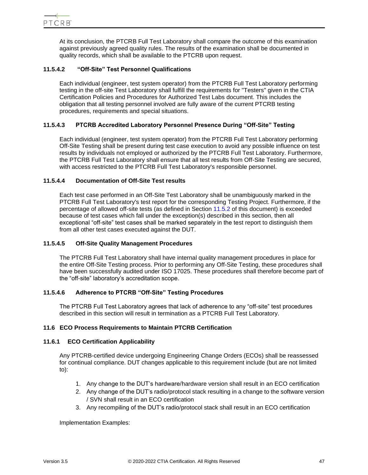At its conclusion, the PTCRB Full Test Laboratory shall compare the outcome of this examination against previously agreed quality rules. The results of the examination shall be documented in quality records, which shall be available to the PTCRB upon request.

# **11.5.4.2 "Off-Site" Test Personnel Qualifications**

Each individual (engineer, test system operator) from the PTCRB Full Test Laboratory performing testing in the off-site Test Laboratory shall fulfill the requirements for "Testers" given in the CTIA Certification Policies and Procedures for Authorized Test Labs document. This includes the obligation that all testing personnel involved are fully aware of the current PTCRB testing procedures, requirements and special situations.

# **11.5.4.3 PTCRB Accredited Laboratory Personnel Presence During "Off-Site" Testing**

Each individual (engineer, test system operator) from the PTCRB Full Test Laboratory performing Off-Site Testing shall be present during test case execution to avoid any possible influence on test results by individuals not employed or authorized by the PTCRB Full Test Laboratory. Furthermore, the PTCRB Full Test Laboratory shall ensure that all test results from Off-Site Testing are secured, with access restricted to the PTCRB Full Test Laboratory's responsible personnel.

# **11.5.4.4 Documentation of Off-Site Test results**

Each test case performed in an Off-Site Test Laboratory shall be unambiguously marked in the PTCRB Full Test Laboratory's test report for the corresponding Testing Project. Furthermore, if the percentage of allowed off-site tests (as defined in Section [11.5.2](#page-44-1) of this document) is exceeded because of test cases which fall under the exception(s) described in this section, then all exceptional "off-site" test cases shall be marked separately in the test report to distinguish them from all other test cases executed against the DUT.

# **11.5.4.5 Off-Site Quality Management Procedures**

The PTCRB Full Test Laboratory shall have internal quality management procedures in place for the entire Off-Site Testing process. Prior to performing any Off-Site Testing, these procedures shall have been successfully audited under ISO 17025. These procedures shall therefore become part of the "off-site" laboratory's accreditation scope.

# **11.5.4.6 Adherence to PTCRB "Off-Site" Testing Procedures**

The PTCRB Full Test Laboratory agrees that lack of adherence to any "off-site" test procedures described in this section will result in termination as a PTCRB Full Test Laboratory.

# **11.6 ECO Process Requirements to Maintain PTCRB Certification**

# **11.6.1 ECO Certification Applicability**

Any PTCRB-certified device undergoing Engineering Change Orders (ECOs) shall be reassessed for continual compliance. DUT changes applicable to this requirement include (but are not limited to):

- 1. Any change to the DUT's hardware/hardware version shall result in an ECO certification
- 2. Any change of the DUT's radio/protocol stack resulting in a change to the software version / SVN shall result in an ECO certification
- 3. Any recompiling of the DUT's radio/protocol stack shall result in an ECO certification

Implementation Examples: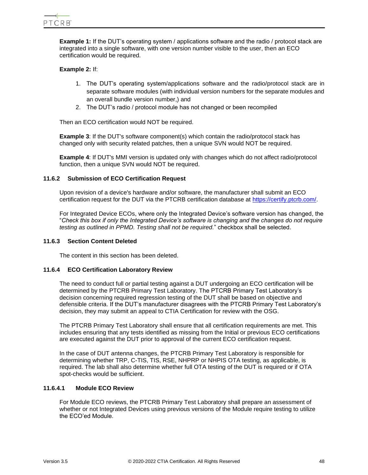

**Example 1:** If the DUT's operating system / applications software and the radio / protocol stack are integrated into a single software, with one version number visible to the user, then an ECO certification would be required.

## **Example 2:** If:

- 1. The DUT's operating system/applications software and the radio/protocol stack are in separate software modules (with individual version numbers for the separate modules and an overall bundle version number,) and
- 2. The DUT's radio / protocol module has not changed or been recompiled

Then an ECO certification would NOT be required.

**Example 3**: If the DUT's software component(s) which contain the radio/protocol stack has changed only with security related patches, then a unique SVN would NOT be required.

**Example 4**: If DUT's MMI version is updated only with changes which do not affect radio/protocol function, then a unique SVN would NOT be required.

## **11.6.2 Submission of ECO Certification Request**

Upon revision of a device's hardware and/or software, the manufacturer shall submit an ECO certification request for the DUT via the PTCRB certification database at [https://certify.ptcrb.com/.](https://certify.ptcrb.com/)

For Integrated Device ECOs, where only the Integrated Device's software version has changed, the "*Check this box if only the Integrated Device's software is changing and the changes do not require testing as outlined in PPMD. Testing shall not be required.*" checkbox shall be selected.

# **11.6.3 Section Content Deleted**

The content in this section has been deleted.

## **11.6.4 ECO Certification Laboratory Review**

The need to conduct full or partial testing against a DUT undergoing an ECO certification will be determined by the PTCRB Primary Test Laboratory. The PTCRB Primary Test Laboratory's decision concerning required regression testing of the DUT shall be based on objective and defensible criteria. If the DUT's manufacturer disagrees with the PTCRB Primary Test Laboratory's decision, they may submit an appeal to CTIA Certification for review with the OSG.

The PTCRB Primary Test Laboratory shall ensure that all certification requirements are met. This includes ensuring that any tests identified as missing from the Initial or previous ECO certifications are executed against the DUT prior to approval of the current ECO certification request.

In the case of DUT antenna changes, the PTCRB Primary Test Laboratory is responsible for determining whether TRP, C-TIS, TIS, RSE, NHPRP or NHPIS OTA testing, as applicable, is required. The lab shall also determine whether full OTA testing of the DUT is required or if OTA spot-checks would be sufficient.

# <span id="page-47-0"></span>**11.6.4.1 Module ECO Review**

For Module ECO reviews, the PTCRB Primary Test Laboratory shall prepare an assessment of whether or not Integrated Devices using previous versions of the Module require testing to utilize the ECO'ed Module.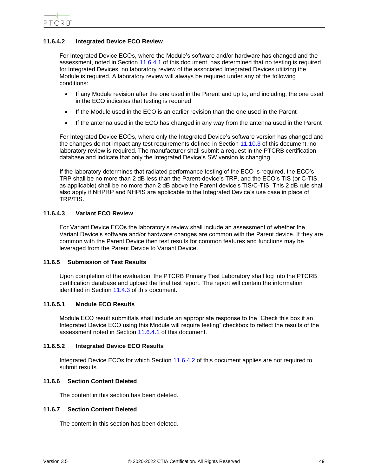# <span id="page-48-0"></span>**11.6.4.2 Integrated Device ECO Review**

For Integrated Device ECOs, where the Module's software and/or hardware has changed and the assessment, noted in Section [11.6.4.1.](#page-47-0)of this document, has determined that no testing is required for Integrated Devices, no laboratory review of the associated Integrated Devices utilizing the Module is required. A laboratory review will always be required under any of the following conditions:

- If any Module revision after the one used in the Parent and up to, and including, the one used in the ECO indicates that testing is required
- If the Module used in the ECO is an earlier revision than the one used in the Parent
- If the antenna used in the ECO has changed in any way from the antenna used in the Parent

For Integrated Device ECOs, where only the Integrated Device's software version has changed and the changes do not impact any test requirements defined in Section [11.10.3](#page-54-0) of this document, no laboratory review is required. The manufacturer shall submit a request in the PTCRB certification database and indicate that only the Integrated Device's SW version is changing.

If the laboratory determines that radiated performance testing of the ECO is required, the ECO's TRP shall be no more than 2 dB less than the Parent-device's TRP, and the ECO's TIS (or C-TIS, as applicable) shall be no more than 2 dB above the Parent device's TIS/C-TIS. This 2 dB rule shall also apply if NHPRP and NHPIS are applicable to the Integrated Device's use case in place of TRP/TIS.

# **11.6.4.3 Variant ECO Review**

For Variant Device ECOs the laboratory's review shall include an assessment of whether the Variant Device's software and/or hardware changes are common with the Parent device. If they are common with the Parent Device then test results for common features and functions may be leveraged from the Parent Device to Variant Device.

## **11.6.5 Submission of Test Results**

Upon completion of the evaluation, the PTCRB Primary Test Laboratory shall log into the PTCRB certification database and upload the final test report. The report will contain the information identified in Section [11.4.3](#page-41-0) of this document.

# **11.6.5.1 Module ECO Results**

Module ECO result submittals shall include an appropriate response to the "Check this box if an Integrated Device ECO using this Module will require testing" checkbox to reflect the results of the assessment noted in Section [11.6.4.1](#page-47-0) of this document.

# **11.6.5.2 Integrated Device ECO Results**

Integrated Device ECOs for which Section [11.6.4.2](#page-48-0) of this document applies are not required to submit results.

## **11.6.6 Section Content Deleted**

The content in this section has been deleted.

# **11.6.7 Section Content Deleted**

The content in this section has been deleted.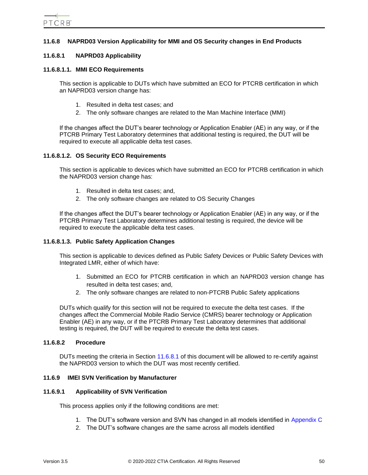# **11.6.8 NAPRD03 Version Applicability for MMI and OS Security changes in End Products**

## <span id="page-49-0"></span>**11.6.8.1 NAPRD03 Applicability**

#### **11.6.8.1.1. MMI ECO Requirements**

This section is applicable to DUTs which have submitted an ECO for PTCRB certification in which an NAPRD03 version change has:

- 1. Resulted in delta test cases; and
- 2. The only software changes are related to the Man Machine Interface (MMI)

If the changes affect the DUT's bearer technology or Application Enabler (AE) in any way, or if the PTCRB Primary Test Laboratory determines that additional testing is required, the DUT will be required to execute all applicable delta test cases.

#### **11.6.8.1.2. OS Security ECO Requirements**

This section is applicable to devices which have submitted an ECO for PTCRB certification in which the NAPRD03 version change has:

- 1. Resulted in delta test cases; and,
- 2. The only software changes are related to OS Security Changes

If the changes affect the DUT's bearer technology or Application Enabler (AE) in any way, or if the PTCRB Primary Test Laboratory determines additional testing is required, the device will be required to execute the applicable delta test cases.

## **11.6.8.1.3. Public Safety Application Changes**

This section is applicable to devices defined as Public Safety Devices or Public Safety Devices with Integrated LMR, either of which have:

- 1. Submitted an ECO for PTCRB certification in which an NAPRD03 version change has resulted in delta test cases; and,
- 2. The only software changes are related to non-PTCRB Public Safety applications

DUTs which qualify for this section will not be required to execute the delta test cases. If the changes affect the Commercial Mobile Radio Service (CMRS) bearer technology or Application Enabler (AE) in any way, or if the PTCRB Primary Test Laboratory determines that additional testing is required, the DUT will be required to execute the delta test cases.

#### **11.6.8.2 Procedure**

DUTs meeting the criteria in Section [11.6.8.1](#page-49-0) of this document will be allowed to re-certify against the NAPRD03 version to which the DUT was most recently certified.

### <span id="page-49-1"></span>**11.6.9 IMEI SVN Verification by Manufacturer**

#### **11.6.9.1 Applicability of SVN Verification**

This process applies only if the following conditions are met:

- 1. The DUT's software version and SVN has changed in all models identified in [Appendix C](#page-82-0)
- 2. The DUT's software changes are the same across all models identified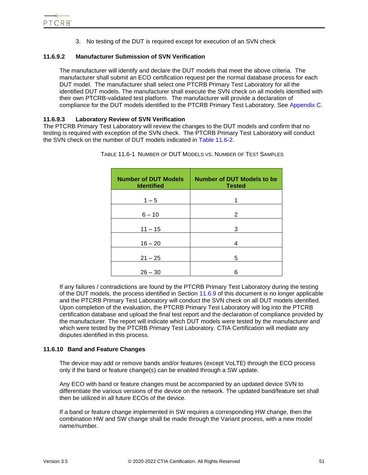

3. No testing of the DUT is required except for execution of an SVN check

# **11.6.9.2 Manufacturer Submission of SVN Verification**

The manufacturer will identify and declare the DUT models that meet the above criteria. The manufacturer shall submit an ECO certification request per the normal database process for each DUT model. The manufacturer shall select one PTCRB Primary Test Laboratory for all the identified DUT models. The manufacturer shall execute the SVN check on all models identified with their own PTCRB-validated test platform. The manufacturer will provide a declaration of compliance for the DUT models identified to the PTCRB Primary Test Laboratory. See [Appendix C.](#page-82-0)

# **11.6.9.3 Laboratory Review of SVN Verification**

<span id="page-50-0"></span>The PTCRB Primary Test Laboratory will review the changes to the DUT models and confirm that no testing is required with exception of the SVN check. The PTCRB Primary Test Laboratory will conduct the SVN check on the number of DUT models indicated in [Table 11.6-2.](#page-50-0)

| <b>Number of DUT Models</b><br><b>Identified</b> | Number of DUT Models to be<br><b>Tested</b> |
|--------------------------------------------------|---------------------------------------------|
| $1 - 5$                                          | 1                                           |
| $6 - 10$                                         | 2                                           |
| $11 - 15$                                        | 3                                           |
| $16 - 20$                                        | 4                                           |
| $21 - 25$                                        | 5                                           |
| $26 - 30$                                        | 6                                           |

TABLE 11.6-1 NUMBER OF DUT MODELS VS. NUMBER OF TEST SAMPLES

If any failures / contradictions are found by the PTCRB Primary Test Laboratory during the testing of the DUT models, the process identified in Section [11.6.9](#page-49-1) of this document is no longer applicable and the PTCRB Primary Test Laboratory will conduct the SVN check on all DUT models identified. Upon completion of the evaluation, the PTCRB Primary Test Laboratory will log into the PTCRB certification database and upload the final test report and the declaration of compliance provided by the manufacturer. The report will indicate which DUT models were tested by the manufacturer and which were tested by the PTCRB Primary Test Laboratory. CTIA Certification will mediate any disputes identified in this process.

# **11.6.10 Band and Feature Changes**

The device may add or remove bands and/or features (except VoLTE) through the ECO process only if the band or feature change(s) can be enabled through a SW update.

Any ECO with band or feature changes must be accompanied by an updated device SVN to differentiate the various versions of the device on the network. The updated band/feature set shall then be utilized in all future ECOs of the device.

If a band or feature change implemented in SW requires a corresponding HW change, then the combination HW and SW change shall be made through the Variant process, with a new model name/number.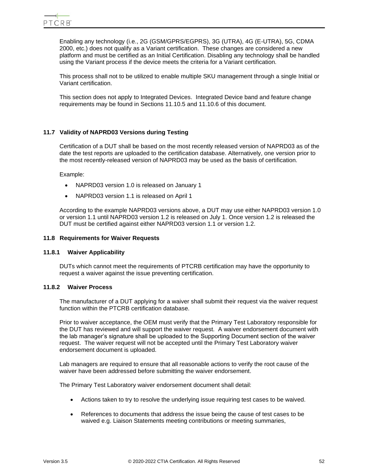Enabling any technology (i.e., 2G (GSM/GPRS/EGPRS), 3G (UTRA), 4G (E-UTRA), 5G, CDMA 2000, etc.) does not qualify as a Variant certification. These changes are considered a new platform and must be certified as an Initial Certification. Disabling any technology shall be handled using the Variant process if the device meets the criteria for a Variant certification.

This process shall not to be utilized to enable multiple SKU management through a single Initial or Variant certification.

This section does not apply to Integrated Devices. Integrated Device band and feature change requirements may be found in Sections [11.10.5](#page-59-0) and [11.10.6](#page-59-1) of this document.

# **11.7 Validity of NAPRD03 Versions during Testing**

Certification of a DUT shall be based on the most recently released version of NAPRD03 as of the date the test reports are uploaded to the certification database. Alternatively, one version prior to the most recently-released version of NAPRD03 may be used as the basis of certification.

Example:

- NAPRD03 version 1.0 is released on January 1
- NAPRD03 version 1.1 is released on April 1

According to the example NAPRD03 versions above, a DUT may use either NAPRD03 version 1.0 or version 1.1 until NAPRD03 version 1.2 is released on July 1. Once version 1.2 is released the DUT must be certified against either NAPRD03 version 1.1 or version 1.2.

### **11.8 Requirements for Waiver Requests**

## **11.8.1 Waiver Applicability**

DUTs which cannot meet the requirements of PTCRB certification may have the opportunity to request a waiver against the issue preventing certification.

## **11.8.2 Waiver Process**

The manufacturer of a DUT applying for a waiver shall submit their request via the waiver request function within the PTCRB certification database.

Prior to waiver acceptance, the OEM must verify that the Primary Test Laboratory responsible for the DUT has reviewed and will support the waiver request. A waiver endorsement document with the lab manager's signature shall be uploaded to the Supporting Document section of the waiver request. The waiver request will not be accepted until the Primary Test Laboratory waiver endorsement document is uploaded.

Lab managers are required to ensure that all reasonable actions to verify the root cause of the waiver have been addressed before submitting the waiver endorsement.

The Primary Test Laboratory waiver endorsement document shall detail:

- Actions taken to try to resolve the underlying issue requiring test cases to be waived.
- References to documents that address the issue being the cause of test cases to be waived e.g. Liaison Statements meeting contributions or meeting summaries,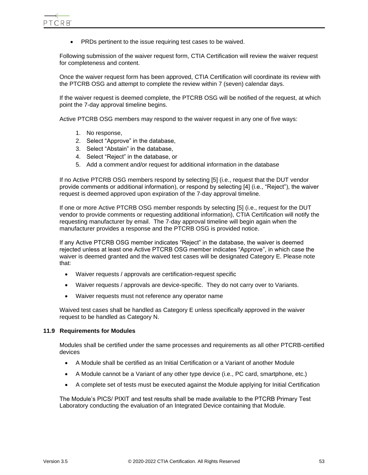PTCRB

• PRDs pertinent to the issue requiring test cases to be waived.

Following submission of the waiver request form, CTIA Certification will review the waiver request for completeness and content.

Once the waiver request form has been approved, CTIA Certification will coordinate its review with the PTCRB OSG and attempt to complete the review within 7 (seven) calendar days.

If the waiver request is deemed complete, the PTCRB OSG will be notified of the request, at which point the 7-day approval timeline begins.

Active PTCRB OSG members may respond to the waiver request in any one of five ways:

- 1. No response,
- 2. Select "Approve" in the database,
- 3. Select "Abstain" in the database,
- 4. Select "Reject" in the database, or
- 5. Add a comment and/or request for additional information in the database

If no Active PTCRB OSG members respond by selecting [5] (i.e., request that the DUT vendor provide comments or additional information), or respond by selecting [4] (i.e., "Reject"), the waiver request is deemed approved upon expiration of the 7-day approval timeline.

If one or more Active PTCRB OSG member responds by selecting [5] (i.e., request for the DUT vendor to provide comments or requesting additional information), CTIA Certification will notify the requesting manufacturer by email. The 7-day approval timeline will begin again when the manufacturer provides a response and the PTCRB OSG is provided notice.

If any Active PTCRB OSG member indicates "Reject" in the database, the waiver is deemed rejected unless at least one Active PTCRB OSG member indicates "Approve", in which case the waiver is deemed granted and the waived test cases will be designated Category E. Please note that:

- Waiver requests / approvals are certification-request specific
- Waiver requests / approvals are device-specific. They do not carry over to Variants.
- Waiver requests must not reference any operator name

Waived test cases shall be handled as Category E unless specifically approved in the waiver request to be handled as Category N.

#### **11.9 Requirements for Modules**

Modules shall be certified under the same processes and requirements as all other PTCRB-certified devices

- A Module shall be certified as an Initial Certification or a Variant of another Module
- A Module cannot be a Variant of any other type device (i.e., PC card, smartphone, etc.)
- A complete set of tests must be executed against the Module applying for Initial Certification

The Module's PICS/ PIXIT and test results shall be made available to the PTCRB Primary Test Laboratory conducting the evaluation of an Integrated Device containing that Module.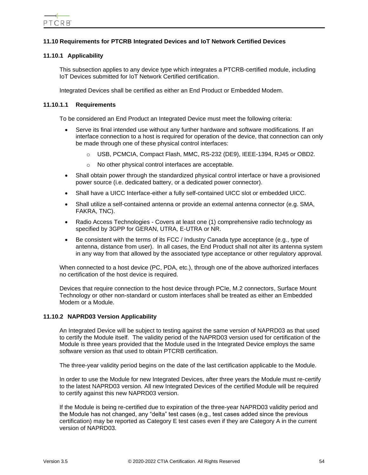# **11.10 Requirements for PTCRB Integrated Devices and IoT Network Certified Devices**

# <span id="page-53-1"></span>**11.10.1 Applicability**

This subsection applies to any device type which integrates a PTCRB-certified module, including IoT Devices submitted for IoT Network Certified certification.

Integrated Devices shall be certified as either an End Product or Embedded Modem.

### <span id="page-53-0"></span>**11.10.1.1 Requirements**

To be considered an End Product an Integrated Device must meet the following criteria:

- Serve its final intended use without any further hardware and software modifications. If an interface connection to a host is required for operation of the device, that connection can only be made through one of these physical control interfaces:
	- o USB, PCMCIA, Compact Flash, MMC, RS-232 (DE9), IEEE-1394, RJ45 or OBD2.
	- o No other physical control interfaces are acceptable.
- Shall obtain power through the standardized physical control interface or have a provisioned power source (i.e. dedicated battery, or a dedicated power connector).
- Shall have a UICC Interface-either a fully self-contained UICC slot or embedded UICC.
- Shall utilize a self-contained antenna or provide an external antenna connector (e.g. SMA, FAKRA, TNC).
- Radio Access Technologies Covers at least one (1) comprehensive radio technology as specified by 3GPP for GERAN, UTRA, E-UTRA or NR.
- Be consistent with the terms of its FCC / Industry Canada type acceptance (e.g., type of antenna, distance from user). In all cases, the End Product shall not alter its antenna system in any way from that allowed by the associated type acceptance or other regulatory approval.

When connected to a host device (PC, PDA, etc.), through one of the above authorized interfaces no certification of the host device is required.

Devices that require connection to the host device through PCIe, M.2 connectors, Surface Mount Technology or other non-standard or custom interfaces shall be treated as either an Embedded Modem or a Module.

## <span id="page-53-2"></span>**11.10.2 NAPRD03 Version Applicability**

An Integrated Device will be subject to testing against the same version of NAPRD03 as that used to certify the Module itself. The validity period of the NAPRD03 version used for certification of the Module is three years provided that the Module used in the Integrated Device employs the same software version as that used to obtain PTCRB certification.

The three-year validity period begins on the date of the last certification applicable to the Module.

In order to use the Module for new Integrated Devices, after three years the Module must re-certify to the latest NAPRD03 version. All new Integrated Devices of the certified Module will be required to certify against this new NAPRD03 version.

If the Module is being re-certified due to expiration of the three-year NAPRD03 validity period and the Module has not changed, any "delta" test cases (e.g., test cases added since the previous certification) may be reported as Category E test cases even if they are Category A in the current version of NAPRD03.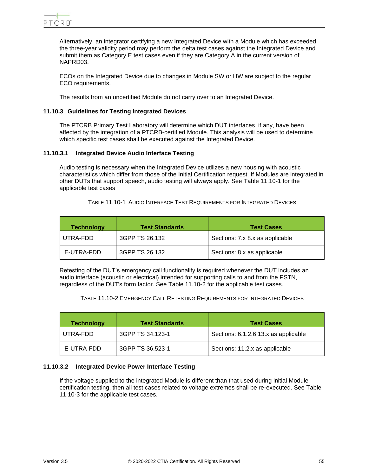

Alternatively, an integrator certifying a new Integrated Device with a Module which has exceeded the three-year validity period may perform the delta test cases against the Integrated Device and submit them as Category E test cases even if they are Category A in the current version of NAPRD03.

ECOs on the Integrated Device due to changes in Module SW or HW are subject to the regular ECO requirements.

The results from an uncertified Module do not carry over to an Integrated Device.

### <span id="page-54-0"></span>**11.10.3 Guidelines for Testing Integrated Devices**

The PTCRB Primary Test Laboratory will determine which DUT interfaces, if any, have been affected by the integration of a PTCRB-certified Module. This analysis will be used to determine which specific test cases shall be executed against the Integrated Device.

#### **11.10.3.1 Integrated Device Audio Interface Testing**

Audio testing is necessary when the Integrated Device utilizes a new housing with acoustic characteristics which differ from those of the Initial Certification request. If Modules are integrated in other DUTs that support speech, audio testing will always apply. See [Table 11.10-1](#page-54-1) for the applicable test cases

TABLE 11.10-1 AUDIO INTERFACE TEST REQUIREMENTS FOR INTEGRATED DEVICES

<span id="page-54-1"></span>

| <b>Technology</b> | <b>Test Standards</b> | <b>Test Cases</b>               |
|-------------------|-----------------------|---------------------------------|
| UTRA-FDD          | 3GPP TS 26.132        | Sections: 7.x 8.x as applicable |
| E-UTRA-FDD        | 3GPP TS 26.132        | Sections: 8.x as applicable     |

<span id="page-54-2"></span>Retesting of the DUT's emergency call functionality is required whenever the DUT includes an audio interface (acoustic or electrical) intended for supporting calls to and from the PSTN, regardless of the DUT's form factor. See [Table 11.10-2](#page-54-2) for the applicable test cases.

TABLE 11.10-2 EMERGENCY CALL RETESTING REQUIREMENTS FOR INTEGRATED DEVICES

| <b>Technology</b> | <b>Test Standards</b> | <b>Test Cases</b>                    |
|-------------------|-----------------------|--------------------------------------|
| UTRA-FDD          | 3GPP TS 34.123-1      | Sections: 6.1.2.6 13.x as applicable |
| E-UTRA-FDD        | 3GPP TS 36.523-1      | Sections: 11.2.x as applicable       |

#### **11.10.3.2 Integrated Device Power Interface Testing**

If the voltage supplied to the integrated Module is different than that used during initial Module certification testing, then all test cases related to voltage extremes shall be re-executed. See [Table](#page-55-0)  [11.10-3](#page-55-0) for the applicable test cases.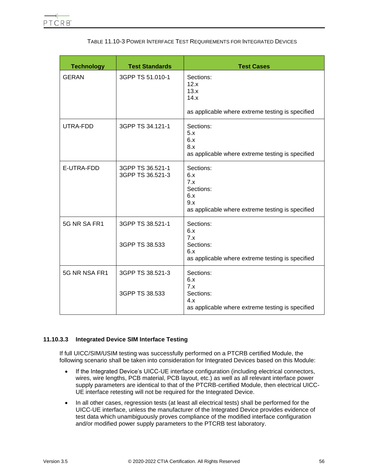<span id="page-55-0"></span>

| <b>Technology</b> | <b>Test Standards</b>                | <b>Test Cases</b>                                                                                      |
|-------------------|--------------------------------------|--------------------------------------------------------------------------------------------------------|
| <b>GERAN</b>      | 3GPP TS 51.010-1                     | Sections:<br>12.x<br>13.x<br>14.x<br>as applicable where extreme testing is specified                  |
| UTRA-FDD          | 3GPP TS 34.121-1                     | Sections:<br>5.x<br>6.x<br>8.x<br>as applicable where extreme testing is specified                     |
| E-UTRA-FDD        | 3GPP TS 36.521-1<br>3GPP TS 36.521-3 | Sections:<br>6.x<br>7.x<br>Sections:<br>6.x<br>9.x<br>as applicable where extreme testing is specified |
| 5G NR SA FR1      | 3GPP TS 38.521-1<br>3GPP TS 38.533   | Sections:<br>6.x<br>7.x<br>Sections:<br>6.x<br>as applicable where extreme testing is specified        |
| 5G NR NSA FR1     | 3GPP TS 38.521-3<br>3GPP TS 38.533   | Sections:<br>6.x<br>7.x<br>Sections:<br>4.x<br>as applicable where extreme testing is specified        |

# TABLE 11.10-3 POWER INTERFACE TEST REQUIREMENTS FOR INTEGRATED DEVICES

# **11.10.3.3 Integrated Device SIM Interface Testing**

If full UICC/SIM/USIM testing was successfully performed on a PTCRB certified Module, the following scenario shall be taken into consideration for Integrated Devices based on this Module:

- If the Integrated Device's UICC-UE interface configuration (including electrical connectors, wires, wire lengths, PCB material, PCB layout, etc.) as well as all relevant interface power supply parameters are identical to that of the PTCRB-certified Module, then electrical UICC-UE interface retesting will not be required for the Integrated Device.
- In all other cases, regression tests (at least all electrical tests) shall be performed for the UICC-UE interface, unless the manufacturer of the Integrated Device provides evidence of test data which unambiguously proves compliance of the modified interface configuration and/or modified power supply parameters to the PTCRB test laboratory.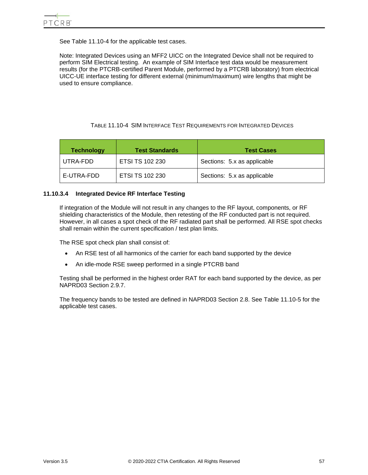See [Table 11.10-4](#page-56-0) for the applicable test cases.

Note: Integrated Devices using an MFF2 UICC on the Integrated Device shall not be required to perform SIM Electrical testing. An example of SIM Interface test data would be measurement results (for the PTCRB-certified Parent Module, performed by a PTCRB laboratory) from electrical UICC-UE interface testing for different external (minimum/maximum) wire lengths that might be used to ensure compliance.

# TABLE 11.10-4 SIM INTERFACE TEST REQUIREMENTS FOR INTEGRATED DEVICES

<span id="page-56-0"></span>

| <b>Technology</b> | <b>Test Standards</b>  | <b>Test Cases</b>           |
|-------------------|------------------------|-----------------------------|
| UTRA-FDD          | <b>ETSI TS 102 230</b> | Sections: 5.x as applicable |
| E-UTRA-FDD        | ETSI TS 102 230        | Sections: 5.x as applicable |

# **11.10.3.4 Integrated Device RF Interface Testing**

If integration of the Module will not result in any changes to the RF layout, components, or RF shielding characteristics of the Module, then retesting of the RF conducted part is not required. However, in all cases a spot check of the RF radiated part shall be performed. All RSE spot checks shall remain within the current specification / test plan limits.

The RSE spot check plan shall consist of:

- An RSE test of all harmonics of the carrier for each band supported by the device
- An idle-mode RSE sweep performed in a single PTCRB band

Testing shall be performed in the highest order RAT for each band supported by the device, as per NAPRD03 Section 2.9.7.

The frequency bands to be tested are defined in NAPRD03 Section 2.8. See [Table 11.10-5](#page-57-0) for the applicable test cases.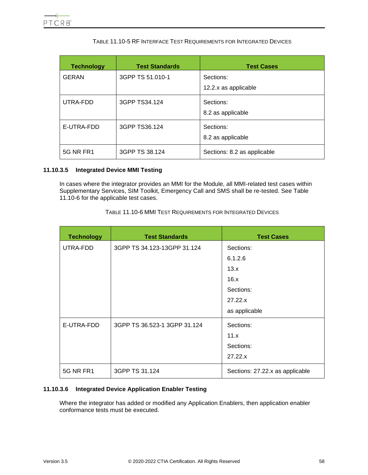<span id="page-57-0"></span>

| <b>Technology</b> | <b>Test Standards</b> | <b>Test Cases</b>                 |
|-------------------|-----------------------|-----------------------------------|
| <b>GERAN</b>      | 3GPP TS 51.010-1      | Sections:<br>12.2.x as applicable |
| UTRA-FDD          | 3GPP TS34.124         | Sections:<br>8.2 as applicable    |
| E-UTRA-FDD        | 3GPP TS36.124         | Sections:<br>8.2 as applicable    |
| <b>5G NR FR1</b>  | 3GPP TS 38.124        | Sections: 8.2 as applicable       |

# TABLE 11.10-5 RF INTERFACE TEST REQUIREMENTS FOR INTEGRATED DEVICES

## **11.10.3.5 Integrated Device MMI Testing**

<span id="page-57-1"></span>In cases where the integrator provides an MMI for the Module, all MMI-related test cases within Supplementary Services, SIM Toolkit, Emergency Call and SMS shall be re-tested. See [Table](#page-57-1)  [11.10-6](#page-57-1) for the applicable test cases.

| TABLE 11.10-6 MMI TEST REQUIREMENTS FOR INTEGRATED DEVICES |  |
|------------------------------------------------------------|--|
|------------------------------------------------------------|--|

| <b>Technology</b> | <b>Test Standards</b>        | <b>Test Cases</b>               |
|-------------------|------------------------------|---------------------------------|
| UTRA-FDD          | 3GPP TS 34.123-13GPP 31.124  | Sections:                       |
|                   |                              | 6.1.2.6                         |
|                   |                              | 13.x                            |
|                   |                              | 16.x                            |
|                   |                              | Sections:                       |
|                   |                              | 27.22.x                         |
|                   |                              | as applicable                   |
| E-UTRA-FDD        | 3GPP TS 36.523-1 3GPP 31.124 | Sections:                       |
|                   |                              | 11.x                            |
|                   |                              | Sections:                       |
|                   |                              | 27.22.x                         |
| 5G NR FR1         | 3GPP TS 31.124               | Sections: 27.22.x as applicable |

# **11.10.3.6 Integrated Device Application Enabler Testing**

Where the integrator has added or modified any Application Enablers, then application enabler conformance tests must be executed.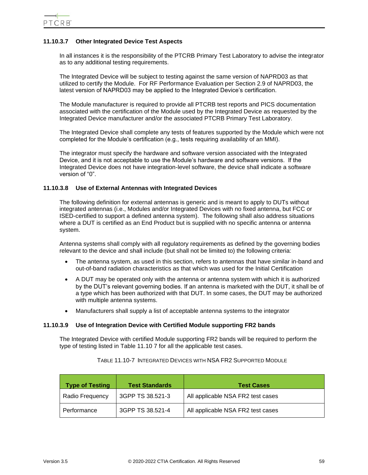# **11.10.3.7 Other Integrated Device Test Aspects**

In all instances it is the responsibility of the PTCRB Primary Test Laboratory to advise the integrator as to any additional testing requirements.

The Integrated Device will be subject to testing against the same version of NAPRD03 as that utilized to certify the Module. For RF Performance Evaluation per Section 2.9 of NAPRD03, the latest version of NAPRD03 may be applied to the Integrated Device's certification.

The Module manufacturer is required to provide all PTCRB test reports and PICS documentation associated with the certification of the Module used by the Integrated Device as requested by the Integrated Device manufacturer and/or the associated PTCRB Primary Test Laboratory.

The Integrated Device shall complete any tests of features supported by the Module which were not completed for the Module's certification (e.g., tests requiring availability of an MMI).

The integrator must specify the hardware and software version associated with the Integrated Device, and it is not acceptable to use the Module's hardware and software versions. If the Integrated Device does not have integration-level software, the device shall indicate a software version of "0".

#### **11.10.3.8 Use of External Antennas with Integrated Devices**

The following definition for external antennas is generic and is meant to apply to DUTs without integrated antennas (i.e., Modules and/or Integrated Devices with no fixed antenna, but FCC or ISED-certified to support a defined antenna system). The following shall also address situations where a DUT is certified as an End Product but is supplied with no specific antenna or antenna system.

Antenna systems shall comply with all regulatory requirements as defined by the governing bodies relevant to the device and shall include (but shall not be limited to) the following criteria:

- The antenna system, as used in this section, refers to antennas that have similar in-band and out-of-band radiation characteristics as that which was used for the Initial Certification
- A DUT may be operated only with the antenna or antenna system with which it is authorized by the DUT's relevant governing bodies. If an antenna is marketed with the DUT, it shall be of a type which has been authorized with that DUT. In some cases, the DUT may be authorized with multiple antenna systems.
- Manufacturers shall supply a list of acceptable antenna systems to the integrator

# **11.10.3.9 Use of Integration Device with Certified Module supporting FR2 bands**

The Integrated Device with certified Module supporting FR2 bands will be required to perform the type of testing listed in Table 11.10 7 for all the applicable test cases.

| <b>Type of Testing</b> | <b>Test Standards</b> | <b>Test Cases</b>                 |
|------------------------|-----------------------|-----------------------------------|
| Radio Frequency        | 3GPP TS 38.521-3      | All applicable NSA FR2 test cases |
| Performance            | 3GPP TS 38.521-4      | All applicable NSA FR2 test cases |

TABLE 11.10-7 INTEGRATED DEVICES WITH NSA FR2 SUPPORTED MODULE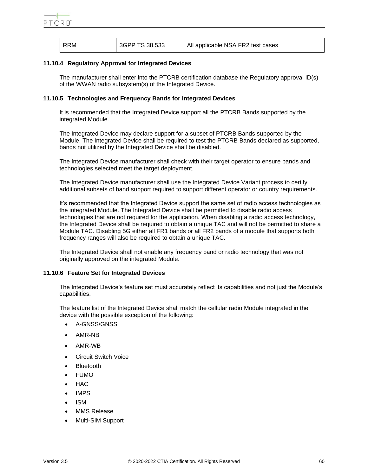| RRM | 3GPP TS 38.533 | All applicable NSA FR2 test cases |
|-----|----------------|-----------------------------------|
|     |                |                                   |

## **11.10.4 Regulatory Approval for Integrated Devices**

The manufacturer shall enter into the PTCRB certification database the Regulatory approval ID(s) of the WWAN radio subsystem(s) of the Integrated Device.

# <span id="page-59-0"></span>**11.10.5 Technologies and Frequency Bands for Integrated Devices**

It is recommended that the Integrated Device support all the PTCRB Bands supported by the integrated Module.

The Integrated Device may declare support for a subset of PTCRB Bands supported by the Module. The Integrated Device shall be required to test the PTCRB Bands declared as supported, bands not utilized by the Integrated Device shall be disabled.

The Integrated Device manufacturer shall check with their target operator to ensure bands and technologies selected meet the target deployment.

The Integrated Device manufacturer shall use the Integrated Device Variant process to certify additional subsets of band support required to support different operator or country requirements.

It's recommended that the Integrated Device support the same set of radio access technologies as the integrated Module. The Integrated Device shall be permitted to disable radio access technologies that are not required for the application. When disabling a radio access technology, the Integrated Device shall be required to obtain a unique TAC and will not be permitted to share a Module TAC. Disabling 5G either all FR1 bands or all FR2 bands of a module that supports both frequency ranges will also be required to obtain a unique TAC.

The Integrated Device shall not enable any frequency band or radio technology that was not originally approved on the integrated Module.

## <span id="page-59-1"></span>**11.10.6 Feature Set for Integrated Devices**

The Integrated Device's feature set must accurately reflect its capabilities and not just the Module's capabilities.

The feature list of the Integrated Device shall match the cellular radio Module integrated in the device with the possible exception of the following:

- A-GNSS/GNSS
- AMR-NB
- AMR-WB
- Circuit Switch Voice
- **Bluetooth**
- FUMO
- HAC
- IMPS
- ISM
- MMS Release
- Multi-SIM Support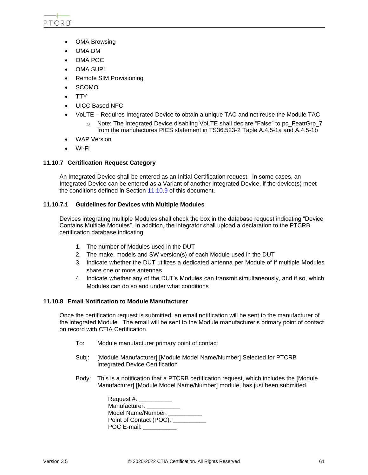- OMA Browsing
- OMA DM
- OMA POC
- **OMA SUPL**
- Remote SIM Provisioning
- SCOMO
- TTY
- UICC Based NFC
- VoLTE Requires Integrated Device to obtain a unique TAC and not reuse the Module TAC
	- $\circ$  Note: The Integrated Device disabling VoLTE shall declare "False" to pc FeatrGrp 7 from the manufactures PICS statement in TS36.523-2 Table A.4.5-1a and A.4.5-1b
- WAP Version
- Wi-Fi

# **11.10.7 Certification Request Category**

An Integrated Device shall be entered as an Initial Certification request. In some cases, an Integrated Device can be entered as a Variant of another Integrated Device, if the device(s) meet the conditions defined in Section [11.10.9](#page-61-0) of this document.

## **11.10.7.1 Guidelines for Devices with Multiple Modules**

Devices integrating multiple Modules shall check the box in the database request indicating "Device Contains Multiple Modules". In addition, the integrator shall upload a declaration to the PTCRB certification database indicating:

- 1. The number of Modules used in the DUT
- 2. The make, models and SW version(s) of each Module used in the DUT
- 3. Indicate whether the DUT utilizes a dedicated antenna per Module of if multiple Modules share one or more antennas
- 4. Indicate whether any of the DUT's Modules can transmit simultaneously, and if so, which Modules can do so and under what conditions

## **11.10.8 Email Notification to Module Manufacturer**

Once the certification request is submitted, an email notification will be sent to the manufacturer of the integrated Module. The email will be sent to the Module manufacturer's primary point of contact on record with CTIA Certification.

- To: Module manufacturer primary point of contact
- Subj: [Module Manufacturer] [Module Model Name/Number] Selected for PTCRB Integrated Device Certification
- Body: This is a notification that a PTCRB certification request, which includes the [Module Manufacturer] [Module Model Name/Number] module, has just been submitted.

| Request #: _________        |  |
|-----------------------------|--|
| Manufacturer:               |  |
| Model Name/Number:          |  |
| Point of Contact (POC): ___ |  |
| POC E-mail: ______          |  |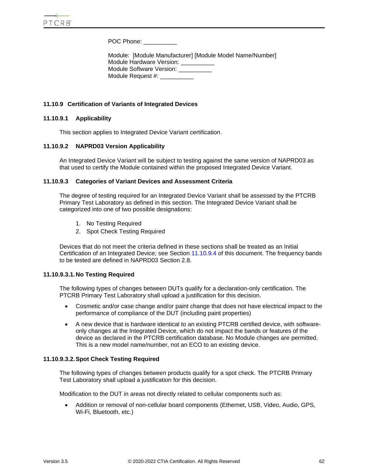POC Phone: \_\_\_\_\_\_\_\_\_\_\_\_

Module: [Module Manufacturer] [Module Model Name/Number] Module Hardware Version: \_\_\_\_\_\_\_\_\_\_ Module Software Version: Module Request #:

# <span id="page-61-0"></span>**11.10.9 Certification of Variants of Integrated Devices**

## **11.10.9.1 Applicability**

This section applies to Integrated Device Variant certification.

## **11.10.9.2 NAPRD03 Version Applicability**

An Integrated Device Variant will be subject to testing against the same version of NAPRD03 as that used to certify the Module contained within the proposed Integrated Device Variant.

# <span id="page-61-3"></span>**11.10.9.3 Categories of Variant Devices and Assessment Criteria**

The degree of testing required for an Integrated Device Variant shall be assessed by the PTCRB Primary Test Laboratory as defined in this section. The Integrated Device Variant shall be categorized into one of two possible designations:

- 1. No Testing Required
- 2. Spot Check Testing Required

Devices that do not meet the criteria defined in these sections shall be treated as an Initial Certification of an Integrated Device; see Section [11.10.9.4](#page-62-0) of this document. The frequency bands to be tested are defined in NAPRD03 Section 2.8.

## <span id="page-61-1"></span>**11.10.9.3.1.No Testing Required**

The following types of changes between DUTs qualify for a declaration-only certification. The PTCRB Primary Test Laboratory shall upload a justification for this decision.

- Cosmetic and/or case change and/or paint change that does not have electrical impact to the performance of compliance of the DUT (including paint properties)
- A new device that is hardware identical to an existing PTCRB certified device, with softwareonly changes at the Integrated Device, which do not impact the bands or features of the device as declared in the PTCRB certification database. No Module changes are permitted. This is a new model name/number, not an ECO to an existing device.

## <span id="page-61-2"></span>**11.10.9.3.2.Spot Check Testing Required**

The following types of changes between products qualify for a spot check. The PTCRB Primary Test Laboratory shall upload a justification for this decision.

Modification to the DUT in areas not directly related to cellular components such as:

• Addition or removal of non-cellular board components (Ethernet, USB, Video, Audio, GPS, Wi-Fi, Bluetooth, etc.)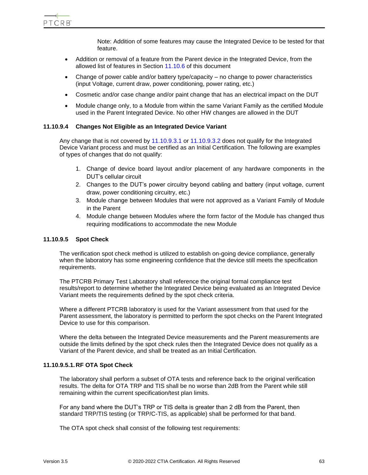PTCRB

Note: Addition of some features may cause the Integrated Device to be tested for that feature.

- Addition or removal of a feature from the Parent device in the Integrated Device, from the allowed list of features in Section [11.10.6](#page-59-1) of this document
- Change of power cable and/or battery type/capacity no change to power characteristics (input Voltage, current draw, power conditioning, power rating, etc.)
- Cosmetic and/or case change and/or paint change that has an electrical impact on the DUT
- Module change only, to a Module from within the same Variant Family as the certified Module used in the Parent Integrated Device. No other HW changes are allowed in the DUT

#### <span id="page-62-0"></span>**11.10.9.4 Changes Not Eligible as an Integrated Device Variant**

Any change that is not covered by [11.10.9.3.1](#page-61-1) or [11.10.9.3.2](#page-61-2) does not qualify for the Integrated Device Variant process and must be certified as an Initial Certification. The following are examples of types of changes that do not qualify:

- 1. Change of device board layout and/or placement of any hardware components in the DUT's cellular circuit
- 2. Changes to the DUT's power circuitry beyond cabling and battery (input voltage, current draw, power conditioning circuitry, etc.)
- 3. Module change between Modules that were not approved as a Variant Family of Module in the Parent
- 4. Module change between Modules where the form factor of the Module has changed thus requiring modifications to accommodate the new Module

#### **11.10.9.5 Spot Check**

The verification spot check method is utilized to establish on-going device compliance, generally when the laboratory has some engineering confidence that the device still meets the specification requirements.

The PTCRB Primary Test Laboratory shall reference the original formal compliance test results/report to determine whether the Integrated Device being evaluated as an Integrated Device Variant meets the requirements defined by the spot check criteria.

Where a different PTCRB laboratory is used for the Variant assessment from that used for the Parent assessment, the laboratory is permitted to perform the spot checks on the Parent Integrated Device to use for this comparison.

Where the delta between the Integrated Device measurements and the Parent measurements are outside the limits defined by the spot check rules then the Integrated Device does not qualify as a Variant of the Parent device, and shall be treated as an Initial Certification.

#### **11.10.9.5.1.RF OTA Spot Check**

The laboratory shall perform a subset of OTA tests and reference back to the original verification results. The delta for OTA TRP and TIS shall be no worse than 2dB from the Parent while still remaining within the current specification/test plan limits.

For any band where the DUT's TRP or TIS delta is greater than 2 dB from the Parent, then standard TRP/TIS testing (or TRP/C-TIS, as applicable) shall be performed for that band.

The OTA spot check shall consist of the following test requirements: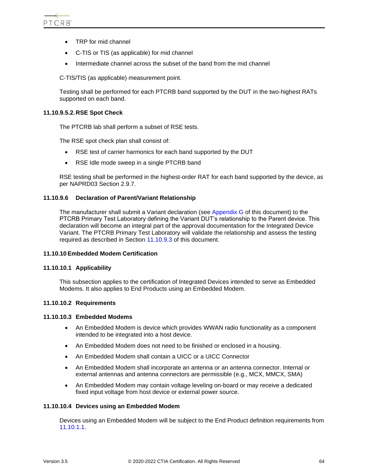- TRP for mid channel
- C-TIS or TIS (as applicable) for mid channel
- Intermediate channel across the subset of the band from the mid channel

C-TIS/TIS (as applicable) measurement point.

Testing shall be performed for each PTCRB band supported by the DUT in the two-highest RATs supported on each band.

## **11.10.9.5.2.RSE Spot Check**

The PTCRB lab shall perform a subset of RSE tests.

The RSE spot check plan shall consist of:

- RSE test of carrier harmonics for each band supported by the DUT
- RSE Idle mode sweep in a single PTCRB band

RSE testing shall be performed in the highest-order RAT for each band supported by the device, as per NAPRD03 Section 2.9.7.

## **11.10.9.6 Declaration of Parent/Variant Relationship**

The manufacturer shall submit a Variant declaration (see [Appendix G](#page-89-0) of this document) to the PTCRB Primary Test Laboratory defining the Variant DUT's relationship to the Parent device. This declaration will become an integral part of the approval documentation for the Integrated Device Variant. The PTCRB Primary Test Laboratory will validate the relationship and assess the testing required as described in Section [11.10.9.3](#page-61-3) of this document.

# **11.10.10 Embedded Modem Certification**

## **11.10.10.1 Applicability**

This subsection applies to the certification of Integrated Devices intended to serve as Embedded Modems. It also applies to End Products using an Embedded Modem.

## **11.10.10.2 Requirements**

## **11.10.10.3 Embedded Modems**

- An Embedded Modem is device which provides WWAN radio functionality as a component intended to be integrated into a host device.
- An Embedded Modem does not need to be finished or enclosed in a housing.
- An Embedded Modem shall contain a UICC or a UICC Connector
- An Embedded Modem shall incorporate an antenna or an antenna connector. Internal or external antennas and antenna connectors are permissible (e.g., MCX, MMCX, SMA)
- An Embedded Modem may contain voltage leveling on-board or may receive a dedicated fixed input voltage from host device or external power source.

## **11.10.10.4 Devices using an Embedded Modem**

Devices using an Embedded Modem will be subject to the End Product definition requirements from [11.10.1.1.](#page-53-0)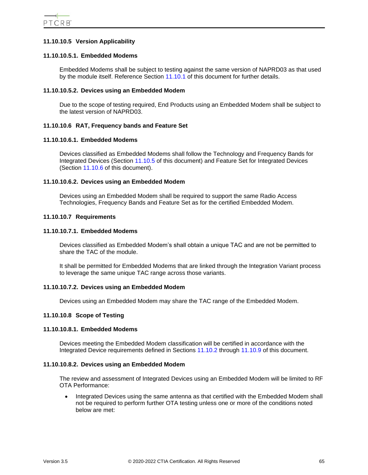# **11.10.10.5 Version Applicability**

# **11.10.10.5.1. Embedded Modems**

Embedded Modems shall be subject to testing against the same version of NAPRD03 as that used by the module itself. Reference Section [11.10.1](#page-53-1) of this document for further details.

## **11.10.10.5.2. Devices using an Embedded Modem**

Due to the scope of testing required, End Products using an Embedded Modem shall be subject to the latest version of NAPRD03.

# **11.10.10.6 RAT, Frequency bands and Feature Set**

## **11.10.10.6.1. Embedded Modems**

Devices classified as Embedded Modems shall follow the Technology and Frequency Bands for Integrated Devices (Section [11.10.5](#page-59-0) of this document) and Feature Set for Integrated Devices (Section [11.10.6](#page-59-1) of this document).

## **11.10.10.6.2. Devices using an Embedded Modem**

Devices using an Embedded Modem shall be required to support the same Radio Access Technologies, Frequency Bands and Feature Set as for the certified Embedded Modem.

#### **11.10.10.7 Requirements**

#### **11.10.10.7.1. Embedded Modems**

Devices classified as Embedded Modem's shall obtain a unique TAC and are not be permitted to share the TAC of the module.

It shall be permitted for Embedded Modems that are linked through the Integration Variant process to leverage the same unique TAC range across those variants.

## **11.10.10.7.2. Devices using an Embedded Modem**

Devices using an Embedded Modem may share the TAC range of the Embedded Modem.

#### **11.10.10.8 Scope of Testing**

## **11.10.10.8.1. Embedded Modems**

Devices meeting the Embedded Modem classification will be certified in accordance with the Integrated Device requirements defined in Sections [11.10.2](#page-53-2) through [11.10.9](#page-61-0) of this document.

## **11.10.10.8.2. Devices using an Embedded Modem**

The review and assessment of Integrated Devices using an Embedded Modem will be limited to RF OTA Performance:

• Integrated Devices using the same antenna as that certified with the Embedded Modem shall not be required to perform further OTA testing unless one or more of the conditions noted below are met: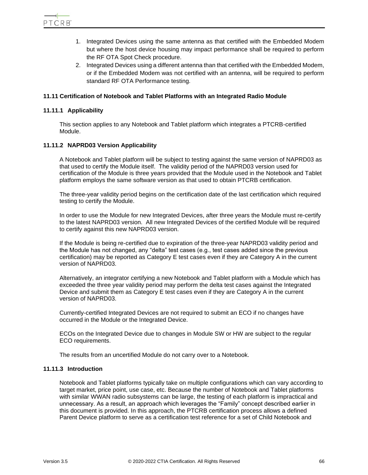- 1. Integrated Devices using the same antenna as that certified with the Embedded Modem but where the host device housing may impact performance shall be required to perform the RF OTA Spot Check procedure.
- 2. Integrated Devices using a different antenna than that certified with the Embedded Modem, or if the Embedded Modem was not certified with an antenna, will be required to perform standard RF OTA Performance testing.

# **11.11 Certification of Notebook and Tablet Platforms with an Integrated Radio Module**

# **11.11.1 Applicability**

This section applies to any Notebook and Tablet platform which integrates a PTCRB-certified Module.

# **11.11.2 NAPRD03 Version Applicability**

A Notebook and Tablet platform will be subject to testing against the same version of NAPRD03 as that used to certify the Module itself. The validity period of the NAPRD03 version used for certification of the Module is three years provided that the Module used in the Notebook and Tablet platform employs the same software version as that used to obtain PTCRB certification.

The three-year validity period begins on the certification date of the last certification which required testing to certify the Module.

In order to use the Module for new Integrated Devices, after three years the Module must re-certify to the latest NAPRD03 version. All new Integrated Devices of the certified Module will be required to certify against this new NAPRD03 version.

If the Module is being re-certified due to expiration of the three-year NAPRD03 validity period and the Module has not changed, any "delta" test cases (e.g., test cases added since the previous certification) may be reported as Category E test cases even if they are Category A in the current version of NAPRD03.

Alternatively, an integrator certifying a new Notebook and Tablet platform with a Module which has exceeded the three year validity period may perform the delta test cases against the Integrated Device and submit them as Category E test cases even if they are Category A in the current version of NAPRD03.

Currently-certified Integrated Devices are not required to submit an ECO if no changes have occurred in the Module or the Integrated Device.

ECOs on the Integrated Device due to changes in Module SW or HW are subject to the regular ECO requirements.

The results from an uncertified Module do not carry over to a Notebook.

## **11.11.3 Introduction**

Notebook and Tablet platforms typically take on multiple configurations which can vary according to target market, price point, use case, etc. Because the number of Notebook and Tablet platforms with similar WWAN radio subsystems can be large, the testing of each platform is impractical and unnecessary. As a result, an approach which leverages the "Family" concept described earlier in this document is provided. In this approach, the PTCRB certification process allows a defined Parent Device platform to serve as a certification test reference for a set of Child Notebook and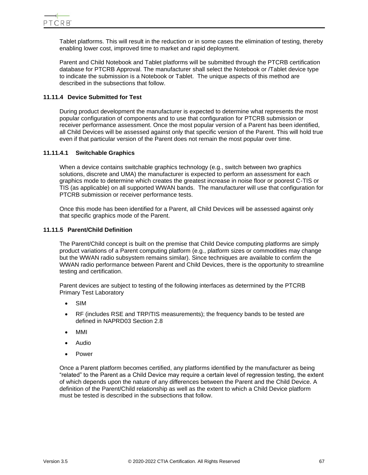Tablet platforms. This will result in the reduction or in some cases the elimination of testing, thereby enabling lower cost, improved time to market and rapid deployment.

Parent and Child Notebook and Tablet platforms will be submitted through the PTCRB certification database for PTCRB Approval. The manufacturer shall select the Notebook or /Tablet device type to indicate the submission is a Notebook or Tablet. The unique aspects of this method are described in the subsections that follow.

# **11.11.4 Device Submitted for Test**

During product development the manufacturer is expected to determine what represents the most popular configuration of components and to use that configuration for PTCRB submission or receiver performance assessment. Once the most popular version of a Parent has been identified, all Child Devices will be assessed against only that specific version of the Parent. This will hold true even if that particular version of the Parent does not remain the most popular over time.

# **11.11.4.1 Switchable Graphics**

When a device contains switchable graphics technology (e.g., switch between two graphics solutions, discrete and UMA) the manufacturer is expected to perform an assessment for each graphics mode to determine which creates the greatest increase in noise floor or poorest C-TIS or TIS (as applicable) on all supported WWAN bands. The manufacturer will use that configuration for PTCRB submission or receiver performance tests.

Once this mode has been identified for a Parent, all Child Devices will be assessed against only that specific graphics mode of the Parent.

## **11.11.5 Parent/Child Definition**

The Parent/Child concept is built on the premise that Child Device computing platforms are simply product variations of a Parent computing platform (e.g., platform sizes or commodities may change but the WWAN radio subsystem remains similar). Since techniques are available to confirm the WWAN radio performance between Parent and Child Devices, there is the opportunity to streamline testing and certification.

Parent devices are subject to testing of the following interfaces as determined by the PTCRB Primary Test Laboratory

- SIM
- RF (includes RSE and TRP/TIS measurements); the frequency bands to be tested are defined in NAPRD03 Section 2.8
- MMI
- Audio
- Power

Once a Parent platform becomes certified, any platforms identified by the manufacturer as being "related" to the Parent as a Child Device may require a certain level of regression testing, the extent of which depends upon the nature of any differences between the Parent and the Child Device. A definition of the Parent/Child relationship as well as the extent to which a Child Device platform must be tested is described in the subsections that follow.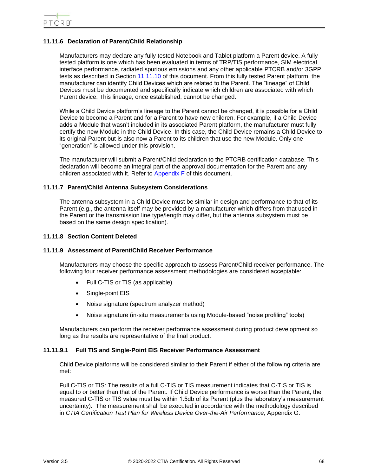# **11.11.6 Declaration of Parent/Child Relationship**

Manufacturers may declare any fully tested Notebook and Tablet platform a Parent device. A fully tested platform is one which has been evaluated in terms of TRP/TIS performance, SIM electrical interface performance, radiated spurious emissions and any other applicable PTCRB and/or 3GPP tests as described in Section [11.11.10](#page-69-0) of this document. From this fully tested Parent platform, the manufacturer can identify Child Devices which are related to the Parent. The "lineage" of Child Devices must be documented and specifically indicate which children are associated with which Parent device. This lineage, once established, cannot be changed.

While a Child Device platform's lineage to the Parent cannot be changed, it is possible for a Child Device to become a Parent and for a Parent to have new children. For example, if a Child Device adds a Module that wasn't included in its associated Parent platform, the manufacturer must fully certify the new Module in the Child Device. In this case, the Child Device remains a Child Device to its original Parent but is also now a Parent to its children that use the new Module. Only one "generation" is allowed under this provision.

The manufacturer will submit a Parent/Child declaration to the PTCRB certification database. This declaration will become an integral part of the approval documentation for the Parent and any children associated with it. Refer to [Appendix F](#page-86-0) of this document.

# **11.11.7 Parent/Child Antenna Subsystem Considerations**

The antenna subsystem in a Child Device must be similar in design and performance to that of its Parent (e.g., the antenna itself may be provided by a manufacturer which differs from that used in the Parent or the transmission line type/length may differ, but the antenna subsystem must be based on the same design specification).

#### **11.11.8 Section Content Deleted**

# **11.11.9 Assessment of Parent/Child Receiver Performance**

Manufacturers may choose the specific approach to assess Parent/Child receiver performance. The following four receiver performance assessment methodologies are considered acceptable:

- Full C-TIS or TIS (as applicable)
- Single-point EIS
- Noise signature (spectrum analyzer method)
- Noise signature (in-situ measurements using Module-based "noise profiling" tools)

Manufacturers can perform the receiver performance assessment during product development so long as the results are representative of the final product.

## **11.11.9.1 Full TIS and Single-Point EIS Receiver Performance Assessment**

Child Device platforms will be considered similar to their Parent if either of the following criteria are met:

Full C-TIS or TIS: The results of a full C-TIS or TIS measurement indicates that C-TIS or TIS is equal to or better than that of the Parent. If Child Device performance is worse than the Parent, the measured C-TIS or TIS value must be within 1.5db of its Parent (plus the laboratory's measurement uncertainty). The measurement shall be executed in accordance with the methodology described in *CTIA Certification Test Plan for Wireless Device Over-the-Air Performance*, Appendix G.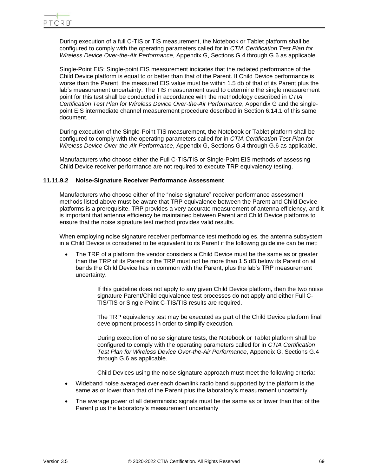During execution of a full C-TIS or TIS measurement, the Notebook or Tablet platform shall be configured to comply with the operating parameters called for in *CTIA Certification Test Plan for Wireless Device Over-the-Air Performance*, Appendix G, Sections G.4 through G.6 as applicable.

Single-Point EIS: Single-point EIS measurement indicates that the radiated performance of the Child Device platform is equal to or better than that of the Parent. If Child Device performance is worse than the Parent, the measured EIS value must be within 1.5 db of that of its Parent plus the lab's measurement uncertainty. The TIS measurement used to determine the single measurement point for this test shall be conducted in accordance with the methodology described in *CTIA Certification Test Plan for Wireless Device Over-the-Air Performance*, Appendix G and the singlepoint EIS intermediate channel measurement procedure described in Section 6.14.1 of this same document.

During execution of the Single-Point TIS measurement, the Notebook or Tablet platform shall be configured to comply with the operating parameters called for in *CTIA Certification Test Plan for Wireless Device Over-the-Air Performance*, Appendix G, Sections G.4 through G.6 as applicable.

Manufacturers who choose either the Full C-TIS/TIS or Single-Point EIS methods of assessing Child Device receiver performance are not required to execute TRP equivalency testing.

#### **11.11.9.2 Noise-Signature Receiver Performance Assessment**

Manufacturers who choose either of the "noise signature" receiver performance assessment methods listed above must be aware that TRP equivalence between the Parent and Child Device platforms is a prerequisite. TRP provides a very accurate measurement of antenna efficiency, and it is important that antenna efficiency be maintained between Parent and Child Device platforms to ensure that the noise signature test method provides valid results.

When employing noise signature receiver performance test methodologies, the antenna subsystem in a Child Device is considered to be equivalent to its Parent if the following guideline can be met:

• The TRP of a platform the vendor considers a Child Device must be the same as or greater than the TRP of its Parent or the TRP must not be more than 1.5 dB below its Parent on all bands the Child Device has in common with the Parent, plus the lab's TRP measurement uncertainty.

> If this guideline does not apply to any given Child Device platform, then the two noise signature Parent/Child equivalence test processes do not apply and either Full C-TIS/TIS or Single-Point C-TIS/TIS results are required.

> The TRP equivalency test may be executed as part of the Child Device platform final development process in order to simplify execution.

During execution of noise signature tests, the Notebook or Tablet platform shall be configured to comply with the operating parameters called for in *CTIA Certification Test Plan for Wireless Device Over-the-Air Performance*, Appendix G, Sections G.4 through G.6 as applicable.

Child Devices using the noise signature approach must meet the following criteria:

- Wideband noise averaged over each downlink radio band supported by the platform is the same as or lower than that of the Parent plus the laboratory's measurement uncertainty
- The average power of all deterministic signals must be the same as or lower than that of the Parent plus the laboratory's measurement uncertainty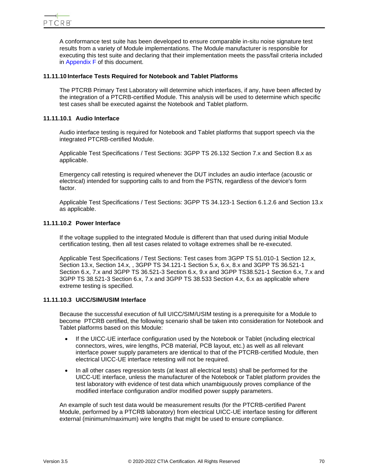A conformance test suite has been developed to ensure comparable in-situ noise signature test results from a variety of Module implementations. The Module manufacturer is responsible for executing this test suite and declaring that their implementation meets the pass/fail criteria included in [Appendix F](#page-86-0) of this document.

# <span id="page-69-0"></span>**11.11.10 Interface Tests Required for Notebook and Tablet Platforms**

The PTCRB Primary Test Laboratory will determine which interfaces, if any, have been affected by the integration of a PTCRB-certified Module. This analysis will be used to determine which specific test cases shall be executed against the Notebook and Tablet platform.

# **11.11.10.1 Audio Interface**

Audio interface testing is required for Notebook and Tablet platforms that support speech via the integrated PTCRB-certified Module.

Applicable Test Specifications / Test Sections: 3GPP TS 26.132 Section 7.x and Section 8.x as applicable.

Emergency call retesting is required whenever the DUT includes an audio interface (acoustic or electrical) intended for supporting calls to and from the PSTN, regardless of the device's form factor.

Applicable Test Specifications / Test Sections: 3GPP TS 34.123-1 Section 6.1.2.6 and Section 13.x as applicable.

# **11.11.10.2 Power Interface**

If the voltage supplied to the integrated Module is different than that used during initial Module certification testing, then all test cases related to voltage extremes shall be re-executed.

Applicable Test Specifications / Test Sections: Test cases from 3GPP TS 51.010-1 Section 12.x, Section 13.x, Section 14.x, , 3GPP TS 34.121-1 Section 5.x, 6.x, 8.x and 3GPP TS 36.521-1 Section 6.x, 7.x and 3GPP TS 36.521-3 Section 6.x, 9.x and 3GPP TS38.521-1 Section 6.x, 7.x and 3GPP TS 38.521-3 Section 6.x, 7.x and 3GPP TS 38.533 Section 4.x, 6.x as applicable where extreme testing is specified.

## **11.11.10.3 UICC/SIM/USIM Interface**

Because the successful execution of full UICC/SIM/USIM testing is a prerequisite for a Module to become PTCRB certified, the following scenario shall be taken into consideration for Notebook and Tablet platforms based on this Module:

- If the UICC-UE interface configuration used by the Notebook or Tablet (including electrical connectors, wires, wire lengths, PCB material, PCB layout, etc.) as well as all relevant interface power supply parameters are identical to that of the PTCRB-certified Module, then electrical UICC-UE interface retesting will not be required.
- In all other cases regression tests (at least all electrical tests) shall be performed for the UICC-UE interface, unless the manufacturer of the Notebook or Tablet platform provides the test laboratory with evidence of test data which unambiguously proves compliance of the modified interface configuration and/or modified power supply parameters.

An example of such test data would be measurement results (for the PTCRB-certified Parent Module, performed by a PTCRB laboratory) from electrical UICC-UE interface testing for different external (minimum/maximum) wire lengths that might be used to ensure compliance.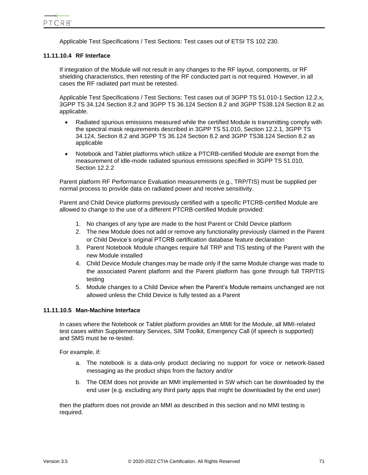Applicable Test Specifications / Test Sections: Test cases out of ETSI TS 102 230.

# **11.11.10.4 RF Interface**

If integration of the Module will not result in any changes to the RF layout, components, or RF shielding characteristics, then retesting of the RF conducted part is not required. However, in all cases the RF radiated part must be retested.

Applicable Test Specifications / Test Sections: Test cases out of 3GPP TS 51.010-1 Section 12.2.x, 3GPP TS 34.124 Section 8.2 and 3GPP TS 36.124 Section 8.2 and 3GPP TS38.124 Section 8.2 as applicable.

- Radiated spurious emissions measured while the certified Module is transmitting comply with the spectral mask requirements described in 3GPP TS 51.010, Section 12.2.1, 3GPP TS 34.124, Section 8.2 and 3GPP TS 36.124 Section 8.2 and 3GPP TS38.124 Section 8.2 as applicable
- Notebook and Tablet platforms which utilize a PTCRB-certified Module are exempt from the measurement of idle-mode radiated spurious emissions specified in 3GPP TS 51.010, Section 12.2.2

Parent platform RF Performance Evaluation measurements (e.g., TRP/TIS) must be supplied per normal process to provide data on radiated power and receive sensitivity.

Parent and Child Device platforms previously certified with a specific PTCRB-certified Module are allowed to change to the use of a different PTCRB-certified Module provided:

- 1. No changes of any type are made to the host Parent or Child Device platform
- 2. The new Module does not add or remove any functionality previously claimed in the Parent or Child Device's original PTCRB certification database feature declaration
- 3. Parent Notebook Module changes require full TRP and TIS testing of the Parent with the new Module installed
- 4. Child Device Module changes may be made only if the same Module change was made to the associated Parent platform and the Parent platform has gone through full TRP/TIS testing
- 5. Module changes to a Child Device when the Parent's Module remains unchanged are not allowed unless the Child Device is fully tested as a Parent

# **11.11.10.5 Man-Machine Interface**

In cases where the Notebook or Tablet platform provides an MMI for the Module, all MMI-related test cases within Supplementary Services, SIM Toolkit, Emergency Call (if speech is supported) and SMS must be re-tested.

For example, if:

- a. The notebook is a data-only product declaring no support for voice or network-based messaging as the product ships from the factory and/or
- b. The OEM does not provide an MMI implemented in SW which can be downloaded by the end user (e.g. excluding any third party apps that might be downloaded by the end user)

then the platform does not provide an MMI as described in this section and no MMI testing is required.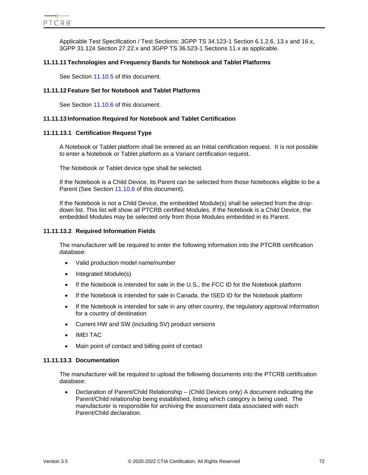Applicable Test Specification / Test Sections: 3GPP TS 34.123-1 Section 6.1.2.6, 13.x and 16.x, 3GPP 31.124 Section 27.22.x and 3GPP TS 36.523-1 Sections 11.x as applicable.

# **11.11.11 Technologies and Frequency Bands for Notebook and Tablet Platforms**

See Section [11.10.5](#page-59-0) of this document.

# **11.11.12 Feature Set for Notebook and Tablet Platforms**

See Section [11.10.6](#page-59-1) of this document.

# **11.11.13 Information Required for Notebook and Tablet Certification**

# **11.11.13.1 Certification Request Type**

A Notebook or Tablet platform shall be entered as an Initial certification request. It is not possible to enter a Notebook or Tablet platform as a Variant certification request.

The Notebook or Tablet device type shall be selected.

If the Notebook is a Child Device, its Parent can be selected from those Notebooks eligible to be a Parent (See Section [11.10.6](#page-59-1) of this document).

If the Notebook is not a Child Device, the embedded Module(s) shall be selected from the dropdown list. This list will show all PTCRB certified Modules. If the Notebook is a Child Device, the embedded Modules may be selected only from those Modules embedded in its Parent.

# **11.11.13.2 Required Information Fields**

The manufacturer will be required to enter the following information into the PTCRB certification database:

- Valid production model name/number
- Integrated Module(s)
- If the Notebook is intended for sale in the U.S., the FCC ID for the Notebook platform
- If the Notebook is intended for sale in Canada, the ISED ID for the Notebook platform
- If the Notebook is intended for sale in any other country, the regulatory approval information for a country of destination
- Current HW and SW (including SV) product versions
- IMEI TAC
- Main point of contact and billing point of contact

## **11.11.13.3 Documentation**

The manufacturer will be required to upload the following documents into the PTCRB certification database:

• Declaration of Parent/Child Relationship – (Child Devices only) A document indicating the Parent/Child relationship being established, listing which category is being used. The manufacturer is responsible for archiving the assessment data associated with each Parent/Child declaration.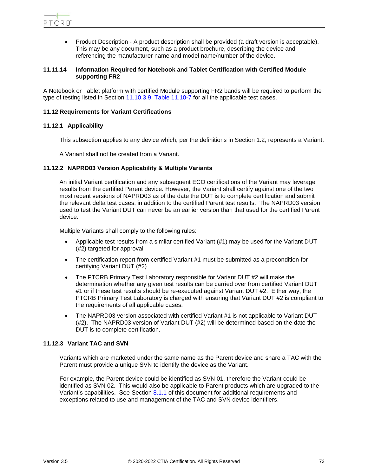• Product Description - A product description shall be provided (a draft version is acceptable). This may be any document, such as a product brochure, describing the device and referencing the manufacturer name and model name/number of the device.

# **11.11.14 Information Required for Notebook and Tablet Certification with Certified Module supporting FR2**

A Notebook or Tablet platform with certified Module supporting FR2 bands will be required to perform the type of testing listed in Section [11.10.3.9,](#page-58-0) [Table 11.10-7](#page-58-1) for all the applicable test cases.

# <span id="page-72-0"></span>**11.12 Requirements for Variant Certifications**

# **11.12.1 Applicability**

This subsection applies to any device which, per the definitions in Section 1.2, represents a Variant.

A Variant shall not be created from a Variant.

#### **11.12.2 NAPRD03 Version Applicability & Multiple Variants**

An initial Variant certification and any subsequent ECO certifications of the Variant may leverage results from the certified Parent device. However, the Variant shall certify against one of the two most recent versions of NAPRD03 as of the date the DUT is to complete certification and submit the relevant delta test cases, in addition to the certified Parent test results. The NAPRD03 version used to test the Variant DUT can never be an earlier version than that used for the certified Parent device.

Multiple Variants shall comply to the following rules:

- Applicable test results from a similar certified Variant (#1) may be used for the Variant DUT (#2) targeted for approval
- The certification report from certified Variant #1 must be submitted as a precondition for certifying Variant DUT (#2)
- The PTCRB Primary Test Laboratory responsible for Variant DUT #2 will make the determination whether any given test results can be carried over from certified Variant DUT #1 or if these test results should be re-executed against Variant DUT #2. Either way, the PTCRB Primary Test Laboratory is charged with ensuring that Variant DUT #2 is compliant to the requirements of all applicable cases.
- The NAPRD03 version associated with certified Variant #1 is not applicable to Variant DUT (#2). The NAPRD03 version of Variant DUT (#2) will be determined based on the date the DUT is to complete certification.

# **11.12.3 Variant TAC and SVN**

Variants which are marketed under the same name as the Parent device and share a TAC with the Parent must provide a unique SVN to identify the device as the Variant.

For example, the Parent device could be identified as SVN 01, therefore the Variant could be identified as SVN 02. This would also be applicable to Parent products which are upgraded to the Variant's capabilities. See Section [8.1.1](#page-27-0) of this document for additional requirements and exceptions related to use and management of the TAC and SVN device identifiers.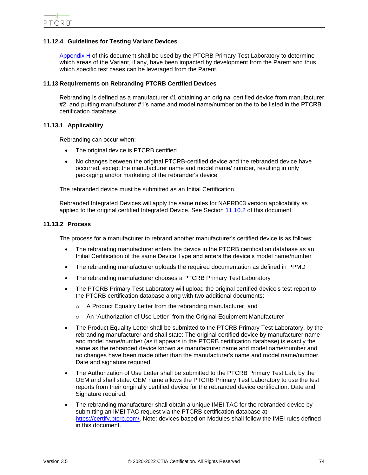# **11.12.4 Guidelines for Testing Variant Devices**

[Appendix H](#page-89-0) of this document shall be used by the PTCRB Primary Test Laboratory to determine which areas of the Variant, if any, have been impacted by development from the Parent and thus which specific test cases can be leveraged from the Parent.

#### **11.13 Requirements on Rebranding PTCRB Certified Devices**

Rebranding is defined as a manufacturer #1 obtaining an original certified device from manufacturer #2, and putting manufacturer #1's name and model name/number on the to be listed in the PTCRB certification database.

# **11.13.1 Applicability**

Rebranding can occur when:

- The original device is PTCRB certified
- No changes between the original PTCRB-certified device and the rebranded device have occurred, except the manufacturer name and model name/ number, resulting in only packaging and/or marketing of the rebrander's device

The rebranded device must be submitted as an Initial Certification.

Rebranded Integrated Devices will apply the same rules for NAPRD03 version applicability as applied to the original certified Integrated Device. See Section [11.10.2](#page-53-0) of this document.

# **11.13.2 Process**

The process for a manufacturer to rebrand another manufacturer's certified device is as follows:

- The rebranding manufacturer enters the device in the PTCRB certification database as an Initial Certification of the same Device Type and enters the device's model name/number
- The rebranding manufacturer uploads the required documentation as defined in PPMD
- The rebranding manufacturer chooses a PTCRB Primary Test Laboratory
- The PTCRB Primary Test Laboratory will upload the original certified device's test report to the PTCRB certification database along with two additional documents:
	- o A Product Equality Letter from the rebranding manufacturer, and
	- o An "Authorization of Use Letter" from the Original Equipment Manufacturer
- The Product Equality Letter shall be submitted to the PTCRB Primary Test Laboratory, by the rebranding manufacturer and shall state: The original certified device by manufacturer name and model name/number (as it appears in the PTCRB certification database) is exactly the same as the rebranded device known as manufacturer name and model name/number and no changes have been made other than the manufacturer's name and model name/number. Date and signature required.
- The Authorization of Use Letter shall be submitted to the PTCRB Primary Test Lab, by the OEM and shall state: OEM name allows the PTCRB Primary Test Laboratory to use the test reports from their originally certified device for the rebranded device certification. Date and Signature required.
- The rebranding manufacturer shall obtain a unique IMEI TAC for the rebranded device by submitting an IMEI TAC request via the PTCRB certification database at [https://certify.ptcrb.com/.](https://certify.ptcrb.com/) Note: devices based on Modules shall follow the IMEI rules defined in this document.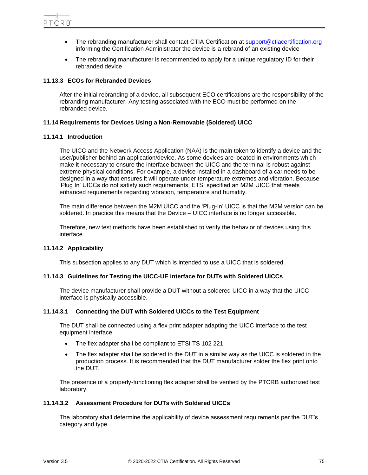

- The rebranding manufacturer shall contact CTIA Certification at [support@ctiacertification.org](mailto:support@ctiacertification.org) informing the Certification Administrator the device is a rebrand of an existing device
- The rebranding manufacturer is recommended to apply for a unique regulatory ID for their rebranded device

#### **11.13.3 ECOs for Rebranded Devices**

After the initial rebranding of a device, all subsequent ECO certifications are the responsibility of the rebranding manufacturer. Any testing associated with the ECO must be performed on the rebranded device.

#### **11.14 Requirements for Devices Using a Non-Removable (Soldered) UICC**

#### **11.14.1 Introduction**

The UICC and the Network Access Application (NAA) is the main token to identify a device and the user/publisher behind an application/device. As some devices are located in environments which make it necessary to ensure the interface between the UICC and the terminal is robust against extreme physical conditions. For example, a device installed in a dashboard of a car needs to be designed in a way that ensures it will operate under temperature extremes and vibration. Because 'Plug In' UICCs do not satisfy such requirements, ETSI specified an M2M UICC that meets enhanced requirements regarding vibration, temperature and humidity.

The main difference between the M2M UICC and the 'Plug-In' UICC is that the M2M version can be soldered. In practice this means that the Device – UICC interface is no longer accessible.

Therefore, new test methods have been established to verify the behavior of devices using this interface.

#### **11.14.2 Applicability**

This subsection applies to any DUT which is intended to use a UICC that is soldered.

#### **11.14.3 Guidelines for Testing the UICC-UE interface for DUTs with Soldered UICCs**

The device manufacturer shall provide a DUT without a soldered UICC in a way that the UICC interface is physically accessible.

#### **11.14.3.1 Connecting the DUT with Soldered UICCs to the Test Equipment**

The DUT shall be connected using a flex print adapter adapting the UICC interface to the test equipment interface.

- The flex adapter shall be compliant to ETSI TS 102 221
- The flex adapter shall be soldered to the DUT in a similar way as the UICC is soldered in the production process. It is recommended that the DUT manufacturer solder the flex print onto the DUT.

The presence of a properly-functioning flex adapter shall be verified by the PTCRB authorized test laboratory.

# **11.14.3.2 Assessment Procedure for DUTs with Soldered UICCs**

The laboratory shall determine the applicability of device assessment requirements per the DUT's category and type.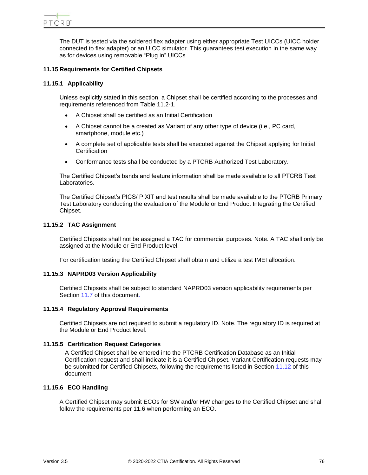The DUT is tested via the soldered flex adapter using either appropriate Test UICCs (UICC holder connected to flex adapter) or an UICC simulator. This guarantees test execution in the same way as for devices using removable "Plug in" UICCs.

# **11.15 Requirements for Certified Chipsets**

# **11.15.1 Applicability**

Unless explicitly stated in this section, a Chipset shall be certified according to the processes and requirements referenced from [Table 11.2-1.](#page-36-0)

- A Chipset shall be certified as an Initial Certification
- A Chipset cannot be a created as Variant of any other type of device (i.e., PC card, smartphone, module etc.)
- A complete set of applicable tests shall be executed against the Chipset applying for Initial **Certification**
- Conformance tests shall be conducted by a PTCRB Authorized Test Laboratory.

The Certified Chipset's bands and feature information shall be made available to all PTCRB Test Laboratories.

The Certified Chipset's PICS/ PIXIT and test results shall be made available to the PTCRB Primary Test Laboratory conducting the evaluation of the Module or End Product Integrating the Certified Chipset.

# **11.15.2 TAC Assignment**

Certified Chipsets shall not be assigned a TAC for commercial purposes. Note. A TAC shall only be assigned at the Module or End Product level.

For certification testing the Certified Chipset shall obtain and utilize a test IMEI allocation.

# **11.15.3 NAPRD03 Version Applicability**

Certified Chipsets shall be subject to standard NAPRD03 version applicability requirements per Section [11.7](#page-51-0) of this document.

#### **11.15.4 Regulatory Approval Requirements**

Certified Chipsets are not required to submit a regulatory ID. Note. The regulatory ID is required at the Module or End Product level.

# **11.15.5 Certification Request Categories**

A Certified Chipset shall be entered into the PTCRB Certification Database as an Initial Certification request and shall indicate it is a Certified Chipset. Variant Certification requests may be submitted for Certified Chipsets, following the requirements listed in Section [11.12](#page-72-0) of this document.

#### **11.15.6 ECO Handling**

A Certified Chipset may submit ECOs for SW and/or HW changes to the Certified Chipset and shall follow the requirements per 11.6 when performing an ECO.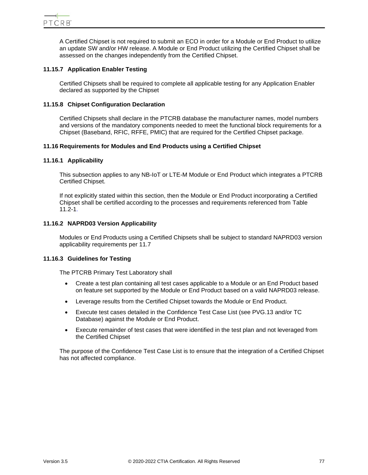

A Certified Chipset is not required to submit an ECO in order for a Module or End Product to utilize an update SW and/or HW release. A Module or End Product utilizing the Certified Chipset shall be assessed on the changes independently from the Certified Chipset.

# **11.15.7 Application Enabler Testing**

Certified Chipsets shall be required to complete all applicable testing for any Application Enabler declared as supported by the Chipset

# **11.15.8 Chipset Configuration Declaration**

Certified Chipsets shall declare in the PTCRB database the manufacturer names, model numbers and versions of the mandatory components needed to meet the functional block requirements for a Chipset (Baseband, RFIC, RFFE, PMIC) that are required for the Certified Chipset package.

# **11.16 Requirements for Modules and End Products using a Certified Chipset**

#### **11.16.1 Applicability**

This subsection applies to any NB-IoT or LTE-M Module or End Product which integrates a PTCRB Certified Chipset.

If not explicitly stated within this section, then the Module or End Product incorporating a Certified Chipset shall be certified according to the processes and requirements referenced from [Table](#page-36-0)  [11.2-1.](#page-36-0)

#### **11.16.2 NAPRD03 Version Applicability**

Modules or End Products using a Certified Chipsets shall be subject to standard NAPRD03 version applicability requirements per 11.7

#### **11.16.3 Guidelines for Testing**

The PTCRB Primary Test Laboratory shall

- Create a test plan containing all test cases applicable to a Module or an End Product based on feature set supported by the Module or End Product based on a valid NAPRD03 release.
- Leverage results from the Certified Chipset towards the Module or End Product.
- Execute test cases detailed in the Confidence Test Case List (see PVG.13 and/or TC Database) against the Module or End Product.
- Execute remainder of test cases that were identified in the test plan and not leveraged from the Certified Chipset

The purpose of the Confidence Test Case List is to ensure that the integration of a Certified Chipset has not affected compliance.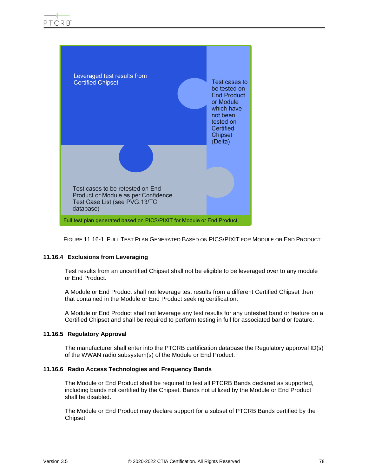

FIGURE 11.16-1 FULL TEST PLAN GENERATED BASED ON PICS/PIXIT FOR MODULE OR END PRODUCT

# **11.16.4 Exclusions from Leveraging**

Test results from an uncertified Chipset shall not be eligible to be leveraged over to any module or End Product.

A Module or End Product shall not leverage test results from a different Certified Chipset then that contained in the Module or End Product seeking certification.

A Module or End Product shall not leverage any test results for any untested band or feature on a Certified Chipset and shall be required to perform testing in full for associated band or feature.

#### **11.16.5 Regulatory Approval**

The manufacturer shall enter into the PTCRB certification database the Regulatory approval ID(s) of the WWAN radio subsystem(s) of the Module or End Product.

## **11.16.6 Radio Access Technologies and Frequency Bands**

The Module or End Product shall be required to test all PTCRB Bands declared as supported, including bands not certified by the Chipset. Bands not utilized by the Module or End Product shall be disabled.

The Module or End Product may declare support for a subset of PTCRB Bands certified by the Chipset.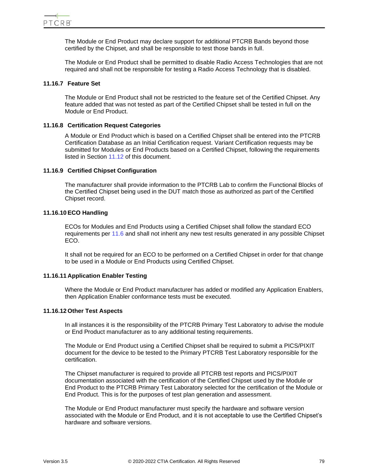The Module or End Product may declare support for additional PTCRB Bands beyond those certified by the Chipset, and shall be responsible to test those bands in full.

The Module or End Product shall be permitted to disable Radio Access Technologies that are not required and shall not be responsible for testing a Radio Access Technology that is disabled.

# **11.16.7 Feature Set**

The Module or End Product shall not be restricted to the feature set of the Certified Chipset. Any feature added that was not tested as part of the Certified Chipset shall be tested in full on the Module or End Product.

# **11.16.8 Certification Request Categories**

A Module or End Product which is based on a Certified Chipset shall be entered into the PTCRB Certification Database as an Initial Certification request. Variant Certification requests may be submitted for Modules or End Products based on a Certified Chipset, following the requirements listed in Section [11.12](#page-72-0) of this document.

# **11.16.9 Certified Chipset Configuration**

The manufacturer shall provide information to the PTCRB Lab to confirm the Functional Blocks of the Certified Chipset being used in the DUT match those as authorized as part of the Certified Chipset record.

# **11.16.10 ECO Handling**

ECOs for Modules and End Products using a Certified Chipset shall follow the standard ECO requirements per [11.6](#page-46-0) and shall not inherit any new test results generated in any possible Chipset ECO.

It shall not be required for an ECO to be performed on a Certified Chipset in order for that change to be used in a Module or End Products using Certified Chipset.

#### **11.16.11 Application Enabler Testing**

Where the Module or End Product manufacturer has added or modified any Application Enablers, then Application Enabler conformance tests must be executed.

#### **11.16.12 Other Test Aspects**

In all instances it is the responsibility of the PTCRB Primary Test Laboratory to advise the module or End Product manufacturer as to any additional testing requirements.

The Module or End Product using a Certified Chipset shall be required to submit a PICS/PIXIT document for the device to be tested to the Primary PTCRB Test Laboratory responsible for the certification.

The Chipset manufacturer is required to provide all PTCRB test reports and PICS/PIXIT documentation associated with the certification of the Certified Chipset used by the Module or End Product to the PTCRB Primary Test Laboratory selected for the certification of the Module or End Product. This is for the purposes of test plan generation and assessment.

The Module or End Product manufacturer must specify the hardware and software version associated with the Module or End Product, and it is not acceptable to use the Certified Chipset's hardware and software versions.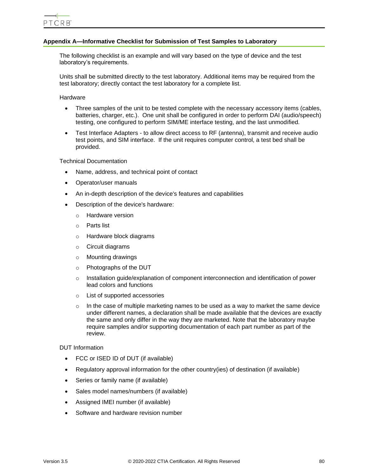# **Appendix A—Informative Checklist for Submission of Test Samples to Laboratory**

The following checklist is an example and will vary based on the type of device and the test laboratory's requirements.

Units shall be submitted directly to the test laboratory. Additional items may be required from the test laboratory; directly contact the test laboratory for a complete list.

Hardware

- Three samples of the unit to be tested complete with the necessary accessory items (cables, batteries, charger, etc.). One unit shall be configured in order to perform DAI (audio/speech) testing, one configured to perform SIM/ME interface testing, and the last unmodified.
- Test Interface Adapters to allow direct access to RF (antenna), transmit and receive audio test points, and SIM interface. If the unit requires computer control, a test bed shall be provided.

Technical Documentation

- Name, address, and technical point of contact
- Operator/user manuals
- An in-depth description of the device's features and capabilities
- Description of the device's hardware:
	- o Hardware version
	- o Parts list
	- o Hardware block diagrams
	- o Circuit diagrams
	- o Mounting drawings
	- o Photographs of the DUT
	- o Installation guide/explanation of component interconnection and identification of power lead colors and functions
	- o List of supported accessories
	- $\circ$  In the case of multiple marketing names to be used as a way to market the same device under different names, a declaration shall be made available that the devices are exactly the same and only differ in the way they are marketed. Note that the laboratory maybe require samples and/or supporting documentation of each part number as part of the review.

DUT Information

- FCC or ISED ID of DUT (if available)
- Regulatory approval information for the other country(ies) of destination (if available)
- Series or family name (if available)
- Sales model names/numbers (if available)
- Assigned IMEI number (if available)
- Software and hardware revision number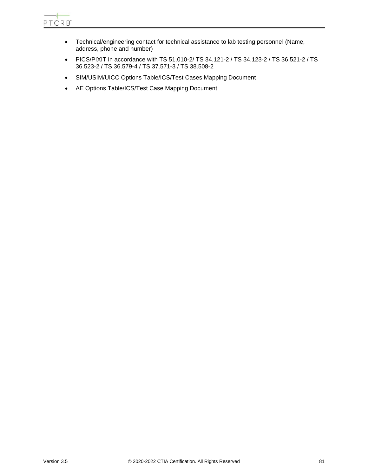

- Technical/engineering contact for technical assistance to lab testing personnel (Name, address, phone and number)
- PICS/PIXIT in accordance with TS 51.010-2/ TS 34.121-2 / TS 34.123-2 / TS 36.521-2 / TS 36.523-2 / TS 36.579-4 / TS 37.571-3 / TS 38.508-2
- SIM/USIM/UICC Options Table/ICS/Test Cases Mapping Document
- AE Options Table/ICS/Test Case Mapping Document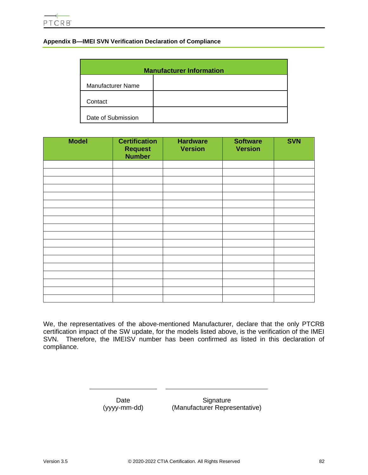# **Appendix B—IMEI SVN Verification Declaration of Compliance**

| <b>Manufacturer Information</b> |  |  |
|---------------------------------|--|--|
| <b>Manufacturer Name</b>        |  |  |
| Contact                         |  |  |
| Date of Submission              |  |  |

| <b>Model</b> | <b>Certification</b><br><b>Request</b><br><b>Number</b> | <b>Hardware</b><br><b>Version</b> | <b>Software</b><br><b>Version</b> | <b>SVN</b> |
|--------------|---------------------------------------------------------|-----------------------------------|-----------------------------------|------------|
|              |                                                         |                                   |                                   |            |
|              |                                                         |                                   |                                   |            |
|              |                                                         |                                   |                                   |            |
|              |                                                         |                                   |                                   |            |
|              |                                                         |                                   |                                   |            |
|              |                                                         |                                   |                                   |            |
|              |                                                         |                                   |                                   |            |
|              |                                                         |                                   |                                   |            |
|              |                                                         |                                   |                                   |            |
|              |                                                         |                                   |                                   |            |
|              |                                                         |                                   |                                   |            |
|              |                                                         |                                   |                                   |            |
|              |                                                         |                                   |                                   |            |
|              |                                                         |                                   |                                   |            |
|              |                                                         |                                   |                                   |            |
|              |                                                         |                                   |                                   |            |
|              |                                                         |                                   |                                   |            |
|              |                                                         |                                   |                                   |            |

We, the representatives of the above-mentioned Manufacturer, declare that the only PTCRB certification impact of the SW update, for the models listed above, is the verification of the IMEI SVN. Therefore, the IMEISV number has been confirmed as listed in this declaration of compliance.

> Date (yyyy-mm-dd)

**Signature** (Manufacturer Representative)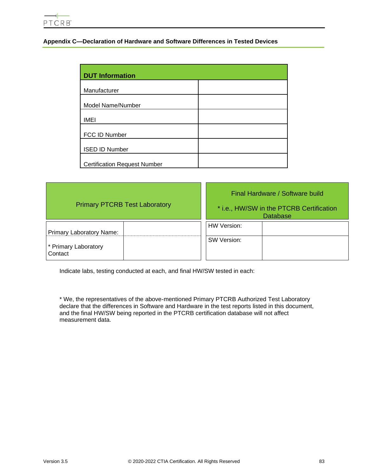# **Appendix C—Declaration of Hardware and Software Differences in Tested Devices**

| <b>DUT Information</b>              |  |
|-------------------------------------|--|
| Manufacturer                        |  |
| Model Name/Number                   |  |
| <b>IMEI</b>                         |  |
| FCC ID Number                       |  |
| <b>ISED ID Number</b>               |  |
| <b>Certification Request Number</b> |  |

| <b>Primary PTCRB Test Laboratory</b>                        | Final Hardware / Software build<br>* i.e., HW/SW in the PTCRB Certification<br><b>Database</b> |
|-------------------------------------------------------------|------------------------------------------------------------------------------------------------|
| Primary Laboratory Name:<br>* Primary Laboratory<br>Contact | HW Version:<br>SW Version:                                                                     |

Indicate labs, testing conducted at each, and final HW/SW tested in each:

\* We, the representatives of the above-mentioned Primary PTCRB Authorized Test Laboratory declare that the differences in Software and Hardware in the test reports listed in this document, and the final HW/SW being reported in the PTCRB certification database will not affect measurement data.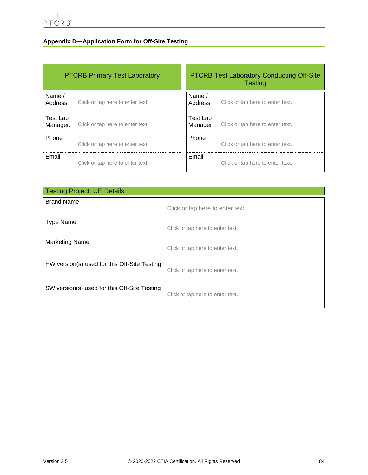# **Appendix D—Application Form for Off-Site Testing**

| <b>PTCRB Primary Test Laboratory</b> |                                  | <b>PTCRB Test Laboratory Conducting Off-Site</b><br><b>Testing</b> |                                  |
|--------------------------------------|----------------------------------|--------------------------------------------------------------------|----------------------------------|
| Name /<br>Address                    | Click or tap here to enter text. | Name $/$<br>Address                                                | Click or tap here to enter text. |
| Test Lab<br>Manager:                 | Click or tap here to enter text. | Test Lab<br>Manager:                                               | Click or tap here to enter text. |
| Phone                                | Click or tap here to enter text. | Phone                                                              | Click or tap here to enter text. |
| Email                                | Click or tap here to enter text. | Email                                                              | Click or tap here to enter text. |

| <b>Testing Project: UE Details</b>           |                                  |  |
|----------------------------------------------|----------------------------------|--|
| <b>Brand Name</b>                            | Click or tap here to enter text. |  |
| <b>Type Name</b>                             | Click or tap here to enter text. |  |
| <b>Marketing Name</b>                        | Click or tap here to enter text. |  |
| HW version(s) used for this Off-Site Testing | Click or tap here to enter text. |  |
| SW version(s) used for this Off-Site Testing | Click or tap here to enter text. |  |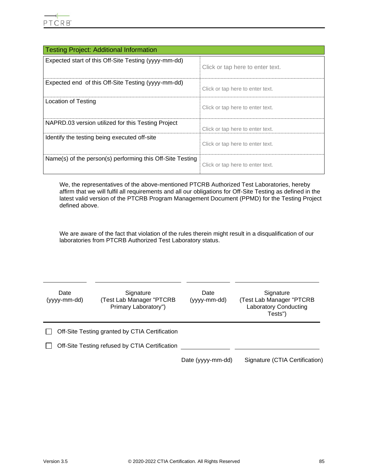| <b>Testing Project: Additional Information</b>            |                                  |  |
|-----------------------------------------------------------|----------------------------------|--|
| Expected start of this Off-Site Testing (yyyy-mm-dd)      | Click or tap here to enter text. |  |
| Expected end of this Off-Site Testing (yyyy-mm-dd)        | Click or tap here to enter text. |  |
| Location of Testing                                       | Click or tap here to enter text. |  |
| NAPRD.03 version utilized for this Testing Project        | Click or tap here to enter text. |  |
| Identify the testing being executed off-site              | Click or tap here to enter text. |  |
| Name(s) of the person(s) performing this Off-Site Testing | Click or tap here to enter text. |  |

We, the representatives of the above-mentioned PTCRB Authorized Test Laboratories, hereby affirm that we will fulfil all requirements and all our obligations for Off-Site Testing as defined in the latest valid version of the PTCRB Program Management Document (PPMD) for the Testing Project defined above.

We are aware of the fact that violation of the rules therein might result in a disqualification of our laboratories from PTCRB Authorized Test Laboratory status.

| Date<br>(yyyy-mm-dd) | Signature<br>(Test Lab Manager "PTCRB<br>Primary Laboratory") | Date<br>(yyyy-mm-dd) | Signature<br>(Test Lab Manager "PTCRB<br><b>Laboratory Conducting</b><br>Tests") |
|----------------------|---------------------------------------------------------------|----------------------|----------------------------------------------------------------------------------|
|                      | Off-Site Testing granted by CTIA Certification                |                      |                                                                                  |
|                      | Off-Site Testing refused by CTIA Certification                |                      |                                                                                  |
|                      |                                                               | Date (yyyy-mm-dd)    | Signature (CTIA Certification)                                                   |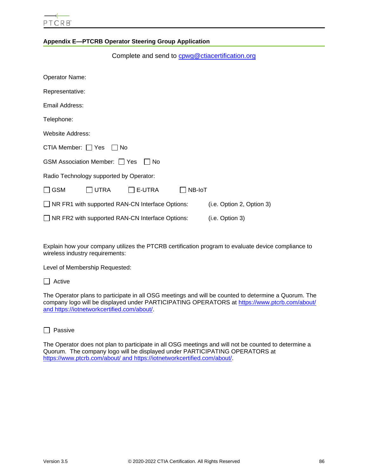# **Appendix E—PTCRB Operator Steering Group Application**

| Complete and send to cowg@ctiacertification.org |                           |
|-------------------------------------------------|---------------------------|
| Operator Name:                                  |                           |
| Representative:                                 |                           |
| Email Address:                                  |                           |
| Telephone:                                      |                           |
| Website Address:                                |                           |
| CTIA Member: □ Yes<br>l INo                     |                           |
| GSM Association Member: 7 Yes<br>No.            |                           |
| Radio Technology supported by Operator:         |                           |
| $\Box$ UTRA<br><b>GSM</b><br>E-UTRA             | NB-IoT                    |
| NR FR1 with supported RAN-CN Interface Options: | (i.e. Option 2, Option 3) |
| NR FR2 with supported RAN-CN Interface Options: | (i.e. Option 3)           |

Explain how your company utilizes the PTCRB certification program to evaluate device compliance to wireless industry requirements:

Level of Membership Requested:

The Operator plans to participate in all OSG meetings and will be counted to determine a Quorum. The company logo will be displayed under PARTICIPATING OPERATORS at<https://www.ptcrb.com/about/> and [https://iotnetworkcertified.com/about/.](https://iotnetworkcertified.com/about/) 

 $\Box$  Passive

The Operator does not plan to participate in all OSG meetings and will not be counted to determine a Quorum. The company logo will be displayed under PARTICIPATING OPERATORS at <https://www.ptcrb.com/about/> and [https://iotnetworkcertified.com/about/.](https://iotnetworkcertified.com/about/)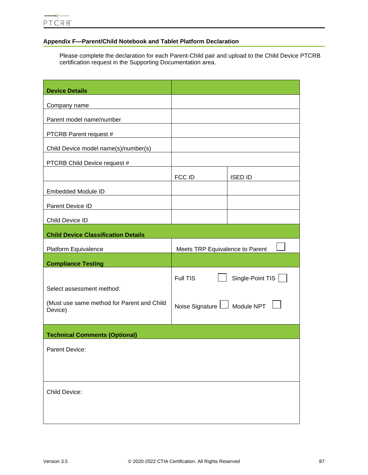# **Appendix F—Parent/Child Notebook and Tablet Platform Declaration**

Please complete the declaration for each Parent-Child pair and upload to the Child Device PTCRB certification request in the Supporting Documentation area.

| <b>Device Details</b>                                 |                                 |                  |
|-------------------------------------------------------|---------------------------------|------------------|
| Company name                                          |                                 |                  |
| Parent model name/number                              |                                 |                  |
| PTCRB Parent request #                                |                                 |                  |
| Child Device model name(s)/number(s)                  |                                 |                  |
| PTCRB Child Device request #                          |                                 |                  |
|                                                       | <b>FCC ID</b>                   | <b>ISED ID</b>   |
| <b>Embedded Module ID</b>                             |                                 |                  |
| Parent Device ID                                      |                                 |                  |
| Child Device ID                                       |                                 |                  |
| <b>Child Device Classification Details</b>            |                                 |                  |
| Platform Equivalence                                  | Meets TRP Equivalence to Parent |                  |
| <b>Compliance Testing</b>                             |                                 |                  |
|                                                       | Full TIS                        | Single-Point TIS |
| Select assessment method:                             |                                 |                  |
| (Must use same method for Parent and Child<br>Device) | Noise Signature L Module NPT    |                  |
| <b>Technical Comments (Optional)</b>                  |                                 |                  |
| Parent Device:                                        |                                 |                  |
|                                                       |                                 |                  |
| Child Device:                                         |                                 |                  |
|                                                       |                                 |                  |
|                                                       |                                 |                  |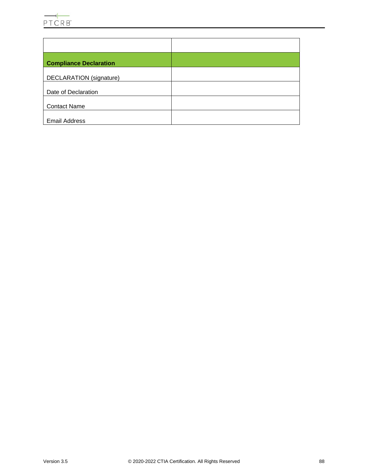

| <b>Compliance Declaration</b>  |  |
|--------------------------------|--|
| <b>DECLARATION</b> (signature) |  |
| Date of Declaration            |  |
| <b>Contact Name</b>            |  |
| <b>Email Address</b>           |  |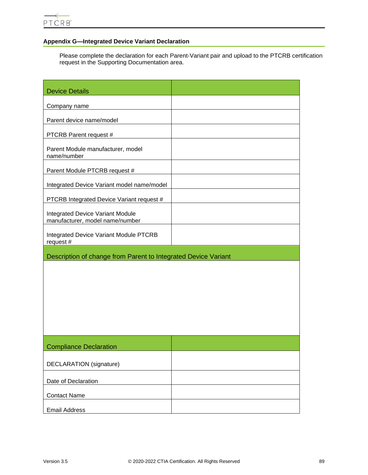# **Appendix G—Integrated Device Variant Declaration**

Please complete the declaration for each Parent-Variant pair and upload to the PTCRB certification request in the Supporting Documentation area.

| <b>Device Details</b>                                                      |  |  |
|----------------------------------------------------------------------------|--|--|
| Company name                                                               |  |  |
| Parent device name/model                                                   |  |  |
| PTCRB Parent request #                                                     |  |  |
| Parent Module manufacturer, model<br>name/number                           |  |  |
| Parent Module PTCRB request #                                              |  |  |
| Integrated Device Variant model name/model                                 |  |  |
| PTCRB Integrated Device Variant request #                                  |  |  |
| <b>Integrated Device Variant Module</b><br>manufacturer, model name/number |  |  |
| <b>Integrated Device Variant Module PTCRB</b><br>request #                 |  |  |
| Description of change from Parent to Integrated Device Variant             |  |  |
|                                                                            |  |  |
|                                                                            |  |  |
|                                                                            |  |  |
|                                                                            |  |  |
|                                                                            |  |  |
|                                                                            |  |  |
| <b>Compliance Declaration</b>                                              |  |  |
| <b>DECLARATION</b> (signature)                                             |  |  |
| Date of Declaration                                                        |  |  |
| <b>Contact Name</b>                                                        |  |  |
| <b>Email Address</b>                                                       |  |  |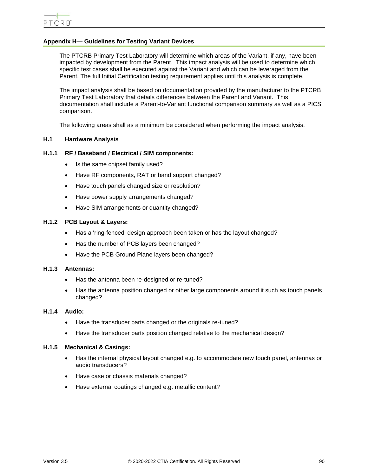# <span id="page-89-0"></span>**Appendix H— Guidelines for Testing Variant Devices**

The PTCRB Primary Test Laboratory will determine which areas of the Variant, if any, have been impacted by development from the Parent. This impact analysis will be used to determine which specific test cases shall be executed against the Variant and which can be leveraged from the Parent. The full Initial Certification testing requirement applies until this analysis is complete.

The impact analysis shall be based on documentation provided by the manufacturer to the PTCRB Primary Test Laboratory that details differences between the Parent and Variant. This documentation shall include a Parent-to-Variant functional comparison summary as well as a PICS comparison.

The following areas shall as a minimum be considered when performing the impact analysis.

## **H.1 Hardware Analysis**

#### **H.1.1 RF / Baseband / Electrical / SIM components:**

- Is the same chipset family used?
- Have RF components, RAT or band support changed?
- Have touch panels changed size or resolution?
- Have power supply arrangements changed?
- Have SIM arrangements or quantity changed?

#### **H.1.2 PCB Layout & Layers:**

- Has a 'ring-fenced' design approach been taken or has the layout changed?
- Has the number of PCB layers been changed?
- Have the PCB Ground Plane layers been changed?

#### **H.1.3 Antennas:**

- Has the antenna been re-designed or re-tuned?
- Has the antenna position changed or other large components around it such as touch panels changed?

#### **H.1.4 Audio:**

- Have the transducer parts changed or the originals re-tuned?
- Have the transducer parts position changed relative to the mechanical design?

#### **H.1.5 Mechanical & Casings:**

- Has the internal physical layout changed e.g. to accommodate new touch panel, antennas or audio transducers?
- Have case or chassis materials changed?
- Have external coatings changed e.g. metallic content?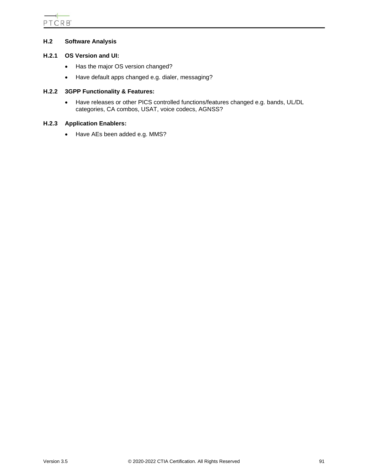# **H.2 Software Analysis**

## **H.2.1 OS Version and UI:**

- Has the major OS version changed?
- Have default apps changed e.g. dialer, messaging?

# **H.2.2 3GPP Functionality & Features:**

• Have releases or other PICS controlled functions/features changed e.g. bands, UL/DL categories, CA combos, USAT, voice codecs, AGNSS?

# **H.2.3 Application Enablers:**

• Have AEs been added e.g. MMS?